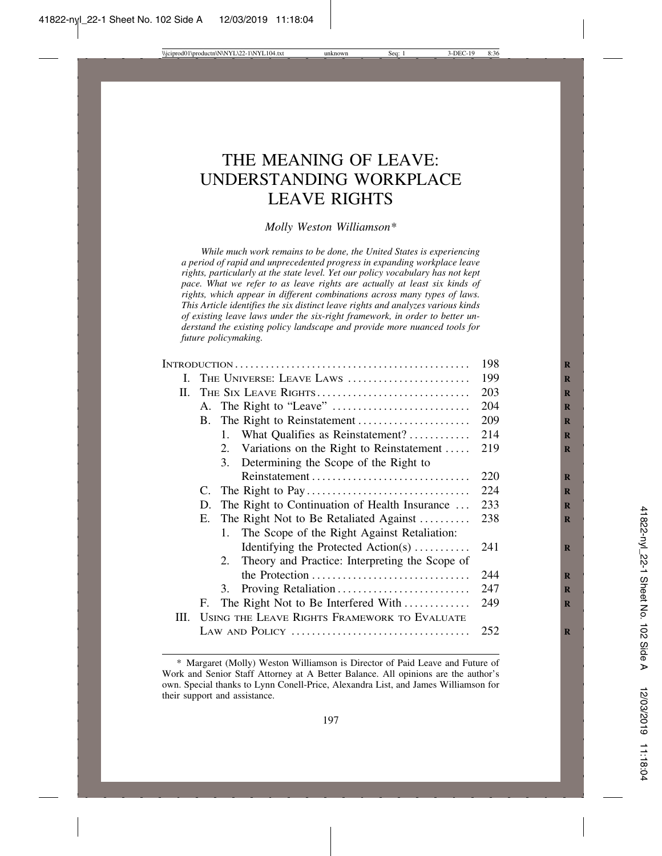# THE MEANING OF LEAVE: UNDERSTANDING WORKPLACE LEAVE RIGHTS

## *Molly Weston Williamson\**

*While much work remains to be done, the United States is experiencing a period of rapid and unprecedented progress in expanding workplace leave rights, particularly at the state level. Yet our policy vocabulary has not kept pace. What we refer to as leave rights are actually at least six kinds of rights, which appear in different combinations across many types of laws. This Article identifies the six distinct leave rights and analyzes various kinds of existing leave laws under the six-right framework, in order to better understand the existing policy landscape and provide more nuanced tools for future policymaking.*

|      | 198 |                                                   |     |
|------|-----|---------------------------------------------------|-----|
| L.   |     | THE UNIVERSE: LEAVE LAWS                          | 199 |
| П.   |     | THE SIX LEAVE RIGHTS                              | 203 |
|      |     |                                                   | 204 |
|      |     |                                                   | 209 |
|      |     | 1. What Qualifies as Reinstatement?               | 214 |
|      |     | 2. Variations on the Right to Reinstatement       | 219 |
|      |     | 3. Determining the Scope of the Right to          |     |
|      |     |                                                   | 220 |
|      |     |                                                   | 224 |
|      |     | D. The Right to Continuation of Health Insurance  | 233 |
|      |     | E. The Right Not to Be Retaliated Against         | 238 |
|      |     | The Scope of the Right Against Retaliation:<br>1. |     |
|      |     | Identifying the Protected Action(s)               | 241 |
|      |     | 2. Theory and Practice: Interpreting the Scope of |     |
|      |     | the Protection                                    | 244 |
|      |     | 3.                                                | 247 |
|      | F.  | The Right Not to Be Interfered With               | 249 |
| III. |     | USING THE LEAVE RIGHTS FRAMEWORK TO EVALUATE      |     |
|      |     |                                                   | 252 |
|      |     |                                                   |     |

<sup>\*</sup> Margaret (Molly) Weston Williamson is Director of Paid Leave and Future of Work and Senior Staff Attorney at A Better Balance. All opinions are the author's own. Special thanks to Lynn Conell-Price, Alexandra List, and James Williamson for their support and assistance.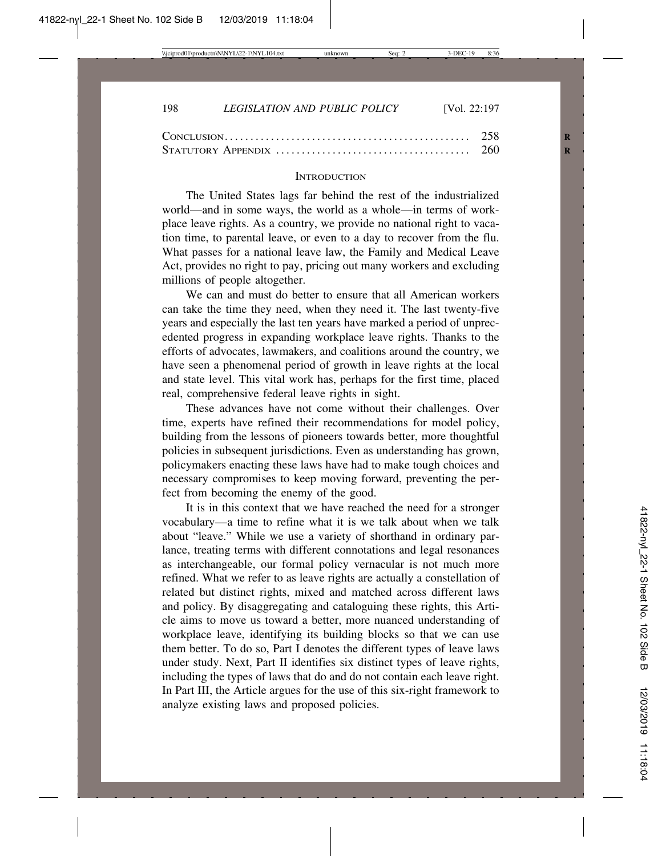#### **INTRODUCTION**

The United States lags far behind the rest of the industrialized world—and in some ways, the world as a whole—in terms of workplace leave rights. As a country, we provide no national right to vacation time, to parental leave, or even to a day to recover from the flu. What passes for a national leave law, the Family and Medical Leave Act, provides no right to pay, pricing out many workers and excluding millions of people altogether.

We can and must do better to ensure that all American workers can take the time they need, when they need it. The last twenty-five years and especially the last ten years have marked a period of unprecedented progress in expanding workplace leave rights. Thanks to the efforts of advocates, lawmakers, and coalitions around the country, we have seen a phenomenal period of growth in leave rights at the local and state level. This vital work has, perhaps for the first time, placed real, comprehensive federal leave rights in sight.

These advances have not come without their challenges. Over time, experts have refined their recommendations for model policy, building from the lessons of pioneers towards better, more thoughtful policies in subsequent jurisdictions. Even as understanding has grown, policymakers enacting these laws have had to make tough choices and necessary compromises to keep moving forward, preventing the perfect from becoming the enemy of the good.

It is in this context that we have reached the need for a stronger vocabulary—a time to refine what it is we talk about when we talk about "leave." While we use a variety of shorthand in ordinary parlance, treating terms with different connotations and legal resonances as interchangeable, our formal policy vernacular is not much more refined. What we refer to as leave rights are actually a constellation of related but distinct rights, mixed and matched across different laws and policy. By disaggregating and cataloguing these rights, this Article aims to move us toward a better, more nuanced understanding of workplace leave, identifying its building blocks so that we can use them better. To do so, Part I denotes the different types of leave laws under study. Next, Part II identifies six distinct types of leave rights, including the types of laws that do and do not contain each leave right. In Part III, the Article argues for the use of this six-right framework to analyze existing laws and proposed policies.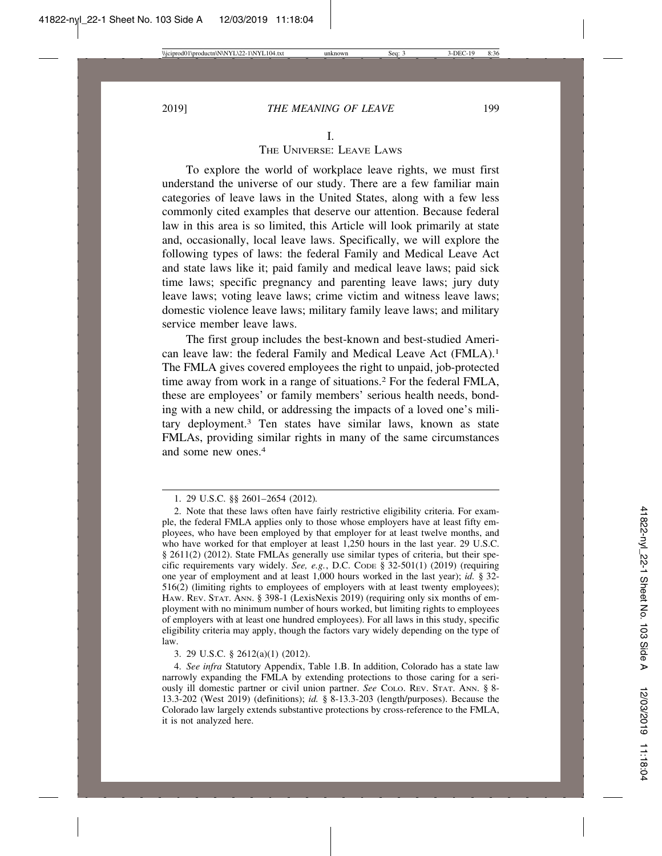### I.

## THE UNIVERSE: LEAVE LAWS

To explore the world of workplace leave rights, we must first understand the universe of our study. There are a few familiar main categories of leave laws in the United States, along with a few less commonly cited examples that deserve our attention. Because federal law in this area is so limited, this Article will look primarily at state and, occasionally, local leave laws. Specifically, we will explore the following types of laws: the federal Family and Medical Leave Act and state laws like it; paid family and medical leave laws; paid sick time laws; specific pregnancy and parenting leave laws; jury duty leave laws; voting leave laws; crime victim and witness leave laws; domestic violence leave laws; military family leave laws; and military service member leave laws.

The first group includes the best-known and best-studied American leave law: the federal Family and Medical Leave Act (FMLA).1 The FMLA gives covered employees the right to unpaid, job-protected time away from work in a range of situations.2 For the federal FMLA, these are employees' or family members' serious health needs, bonding with a new child, or addressing the impacts of a loved one's military deployment.3 Ten states have similar laws, known as state FMLAs, providing similar rights in many of the same circumstances and some new ones.4

3. 29 U.S.C. § 2612(a)(1) (2012).

4. *See infra* Statutory Appendix, Table 1.B. In addition, Colorado has a state law narrowly expanding the FMLA by extending protections to those caring for a seriously ill domestic partner or civil union partner. *See* COLO. REV. STAT. ANN. § 8- 13.3-202 (West 2019) (definitions); *id.* § 8-13.3-203 (length/purposes). Because the Colorado law largely extends substantive protections by cross-reference to the FMLA, it is not analyzed here.

<sup>1. 29</sup> U.S.C. §§ 2601–2654 (2012)*.*

<sup>2.</sup> Note that these laws often have fairly restrictive eligibility criteria. For example, the federal FMLA applies only to those whose employers have at least fifty employees, who have been employed by that employer for at least twelve months, and who have worked for that employer at least 1,250 hours in the last year. 29 U.S.C. § 2611(2) (2012). State FMLAs generally use similar types of criteria, but their specific requirements vary widely. *See, e.g.*, D.C. CODE § 32-501(1) (2019) (requiring one year of employment and at least 1,000 hours worked in the last year); *id.* § 32- 516(2) (limiting rights to employees of employers with at least twenty employees); HAW. REV. STAT. ANN. § 398-1 (LexisNexis 2019) (requiring only six months of employment with no minimum number of hours worked, but limiting rights to employees of employers with at least one hundred employees). For all laws in this study, specific eligibility criteria may apply, though the factors vary widely depending on the type of law.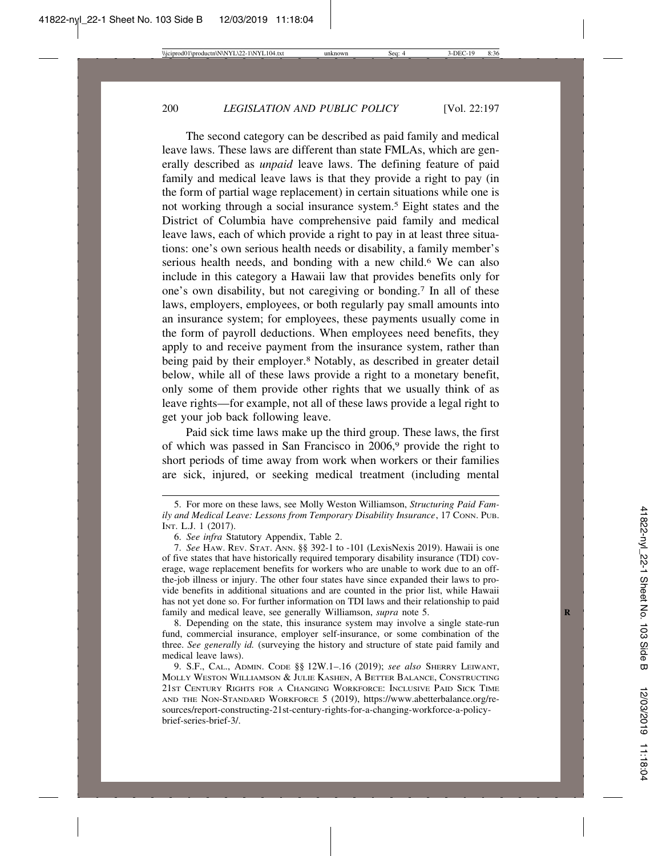The second category can be described as paid family and medical leave laws. These laws are different than state FMLAs, which are generally described as *unpaid* leave laws. The defining feature of paid family and medical leave laws is that they provide a right to pay (in the form of partial wage replacement) in certain situations while one is not working through a social insurance system.5 Eight states and the District of Columbia have comprehensive paid family and medical leave laws, each of which provide a right to pay in at least three situations: one's own serious health needs or disability, a family member's serious health needs, and bonding with a new child.<sup>6</sup> We can also include in this category a Hawaii law that provides benefits only for one's own disability, but not caregiving or bonding.7 In all of these laws, employers, employees, or both regularly pay small amounts into an insurance system; for employees, these payments usually come in the form of payroll deductions. When employees need benefits, they apply to and receive payment from the insurance system, rather than being paid by their employer.<sup>8</sup> Notably, as described in greater detail below, while all of these laws provide a right to a monetary benefit, only some of them provide other rights that we usually think of as leave rights—for example, not all of these laws provide a legal right to get your job back following leave.

Paid sick time laws make up the third group. These laws, the first of which was passed in San Francisco in 2006,9 provide the right to short periods of time away from work when workers or their families are sick, injured, or seeking medical treatment (including mental

8. Depending on the state, this insurance system may involve a single state-run fund, commercial insurance, employer self-insurance, or some combination of the three. *See generally id.* (surveying the history and structure of state paid family and medical leave laws).

<sup>5.</sup> For more on these laws, see Molly Weston Williamson, *Structuring Paid Family and Medical Leave: Lessons from Temporary Disability Insurance*, 17 CONN. PUB. INT. L.J. 1 (2017).

<sup>6.</sup> *See infra* Statutory Appendix, Table 2.

<sup>7.</sup> *See* HAW. REV. STAT. ANN. §§ 392-1 to -101 (LexisNexis 2019). Hawaii is one of five states that have historically required temporary disability insurance (TDI) coverage, wage replacement benefits for workers who are unable to work due to an offthe-job illness or injury. The other four states have since expanded their laws to provide benefits in additional situations and are counted in the prior list, while Hawaii has not yet done so. For further information on TDI laws and their relationship to paid family and medical leave, see generally Williamson, *supra* note 5.

<sup>9.</sup> S.F., CAL., ADMIN. CODE §§ 12W.1–.16 (2019); *see also* SHERRY LEIWANT, MOLLY WESTON WILLIAMSON & JULIE KASHEN, A BETTER BALANCE, CONSTRUCTING 21ST CENTURY RIGHTS FOR A CHANGING WORKFORCE: INCLUSIVE PAID SICK TIME AND THE NON-STANDARD WORKFORCE 5 (2019), https://www.abetterbalance.org/resources/report-constructing-21st-century-rights-for-a-changing-workforce-a-policybrief-series-brief-3/.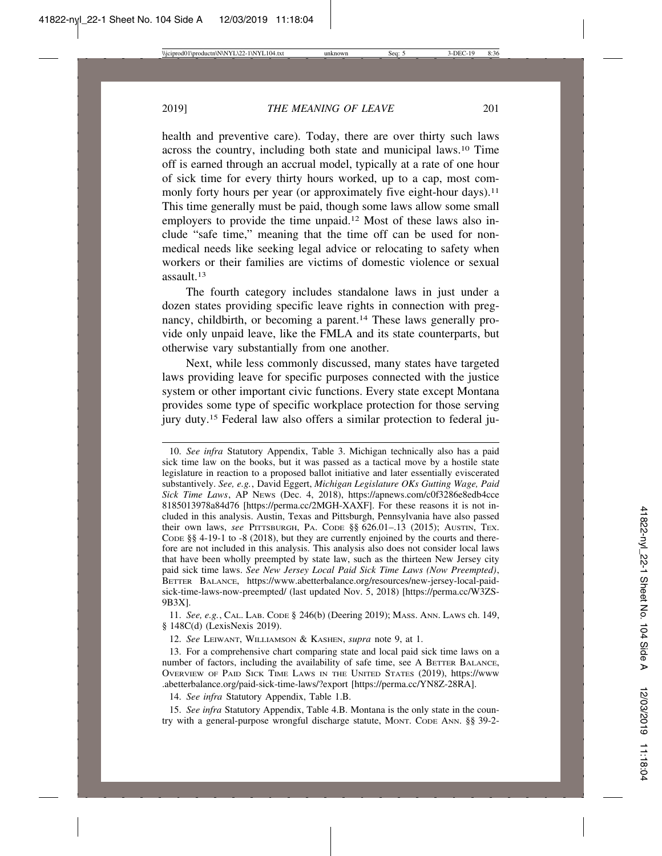health and preventive care). Today, there are over thirty such laws across the country, including both state and municipal laws.10 Time off is earned through an accrual model, typically at a rate of one hour of sick time for every thirty hours worked, up to a cap, most commonly forty hours per year (or approximately five eight-hour days).<sup>11</sup> This time generally must be paid, though some laws allow some small employers to provide the time unpaid.12 Most of these laws also include "safe time," meaning that the time off can be used for nonmedical needs like seeking legal advice or relocating to safety when workers or their families are victims of domestic violence or sexual assault.13

The fourth category includes standalone laws in just under a dozen states providing specific leave rights in connection with pregnancy, childbirth, or becoming a parent.14 These laws generally provide only unpaid leave, like the FMLA and its state counterparts, but otherwise vary substantially from one another.

Next, while less commonly discussed, many states have targeted laws providing leave for specific purposes connected with the justice system or other important civic functions. Every state except Montana provides some type of specific workplace protection for those serving jury duty.15 Federal law also offers a similar protection to federal ju-

11. *See, e.g.*, CAL. LAB. CODE § 246(b) (Deering 2019); MASS. ANN. LAWS ch. 149, § 148C(d) (LexisNexis 2019).

12. *See* LEIWANT, WILLIAMSON & KASHEN, *supra* note 9, at 1.

13. For a comprehensive chart comparing state and local paid sick time laws on a number of factors, including the availability of safe time, see A BETTER BALANCE, OVERVIEW OF PAID SICK TIME LAWS IN THE UNITED STATES (2019), https://www .abetterbalance.org/paid-sick-time-laws/?export [https://perma.cc/YN8Z-28RA].

14. *See infra* Statutory Appendix, Table 1.B.

15. *See infra* Statutory Appendix, Table 4.B. Montana is the only state in the country with a general-purpose wrongful discharge statute, MONT. CODE ANN. §§ 39-2-

<sup>10.</sup> *See infra* Statutory Appendix, Table 3. Michigan technically also has a paid sick time law on the books, but it was passed as a tactical move by a hostile state legislature in reaction to a proposed ballot initiative and later essentially eviscerated substantively. *See, e.g.*, David Eggert, *Michigan Legislature OKs Gutting Wage, Paid Sick Time Laws*, AP NEWS (Dec. 4, 2018), https://apnews.com/c0f3286e8edb4cce 8185013978a84d76 [https://perma.cc/2MGH-XAXF]. For these reasons it is not included in this analysis. Austin, Texas and Pittsburgh, Pennsylvania have also passed their own laws, *see* PITTSBURGH, PA. CODE §§ 626.01-.13 (2015); AUSTIN, TEX. CODE §§ 4-19-1 to -8 (2018), but they are currently enjoined by the courts and therefore are not included in this analysis. This analysis also does not consider local laws that have been wholly preempted by state law, such as the thirteen New Jersey city paid sick time laws. *See New Jersey Local Paid Sick Time Laws (Now Preempted)*, BETTER BALANCE, https://www.abetterbalance.org/resources/new-jersey-local-paidsick-time-laws-now-preempted/ (last updated Nov. 5, 2018) [https://perma.cc/W3ZS-9B3X].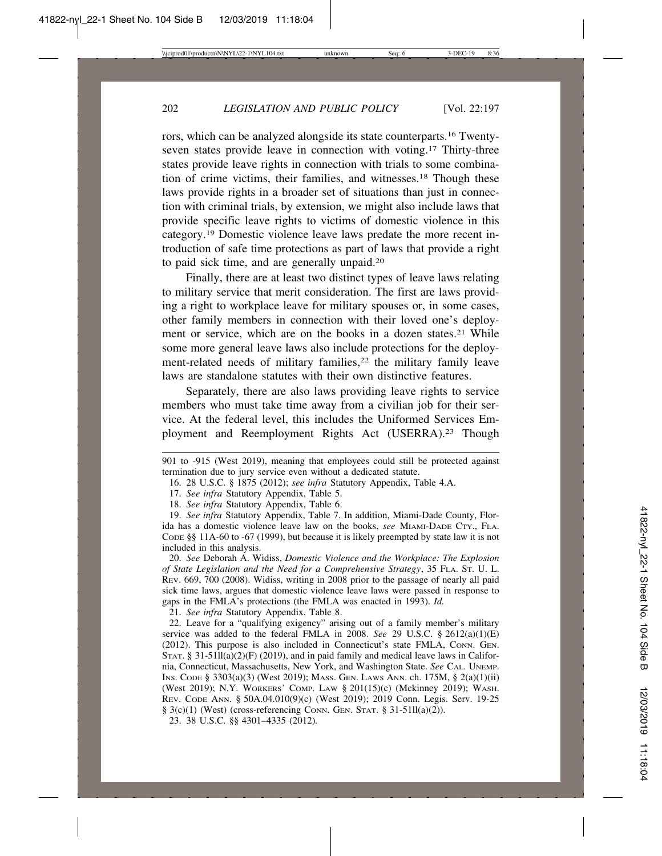rors, which can be analyzed alongside its state counterparts.16 Twentyseven states provide leave in connection with voting.17 Thirty-three states provide leave rights in connection with trials to some combination of crime victims, their families, and witnesses.18 Though these laws provide rights in a broader set of situations than just in connection with criminal trials, by extension, we might also include laws that provide specific leave rights to victims of domestic violence in this category.19 Domestic violence leave laws predate the more recent introduction of safe time protections as part of laws that provide a right to paid sick time, and are generally unpaid.20

Finally, there are at least two distinct types of leave laws relating to military service that merit consideration. The first are laws providing a right to workplace leave for military spouses or, in some cases, other family members in connection with their loved one's deployment or service, which are on the books in a dozen states.<sup>21</sup> While some more general leave laws also include protections for the deployment-related needs of military families,<sup>22</sup> the military family leave laws are standalone statutes with their own distinctive features.

Separately, there are also laws providing leave rights to service members who must take time away from a civilian job for their service. At the federal level, this includes the Uniformed Services Employment and Reemployment Rights Act (USERRA).23 Though

18. *See infra* Statutory Appendix, Table 6.

19. *See infra* Statutory Appendix, Table 7. In addition, Miami-Dade County, Florida has a domestic violence leave law on the books, *see* MIAMI-DADE CTY., FLA. CODE §§ 11A-60 to -67 (1999), but because it is likely preempted by state law it is not included in this analysis.

20. *See* Deborah A. Widiss, *Domestic Violence and the Workplace: The Explosion of State Legislation and the Need for a Comprehensive Strategy*, 35 FLA. ST. U. L. REV. 669, 700 (2008). Widiss, writing in 2008 prior to the passage of nearly all paid sick time laws, argues that domestic violence leave laws were passed in response to gaps in the FMLA's protections (the FMLA was enacted in 1993). *Id.*

21. *See infra* Statutory Appendix, Table 8.

22. Leave for a "qualifying exigency" arising out of a family member's military service was added to the federal FMLA in 2008. *See* 29 U.S.C. § 2612(a)(1)(E) (2012). This purpose is also included in Connecticut's state FMLA, CONN. GEN. STAT. § 31-51 $\overline{I}I(a)(2)(F)$  (2019), and in paid family and medical leave laws in California, Connecticut, Massachusetts, New York, and Washington State. *See* CAL. UNEMP. INS. CODE § 3303(a)(3) (West 2019); MASS. GEN. LAWS ANN. ch. 175M, § 2(a)(1)(ii) (West 2019); N.Y. WORKERS' COMP. LAW § 201(15)(c) (Mckinney 2019); WASH. REV. CODE ANN. § 50A.04.010(9)(c) (West 2019); 2019 Conn. Legis. Serv. 19-25  $\S$  3(c)(1) (West) (cross-referencing CONN. GEN. STAT.  $\S$  31-51ll(a)(2)).

23. 38 U.S.C. §§ 4301–4335 (2012)*.*

<sup>901</sup> to -915 (West 2019), meaning that employees could still be protected against termination due to jury service even without a dedicated statute.

<sup>16. 28</sup> U.S.C. § 1875 (2012); *see infra* Statutory Appendix, Table 4.A.

<sup>17.</sup> *See infra* Statutory Appendix, Table 5.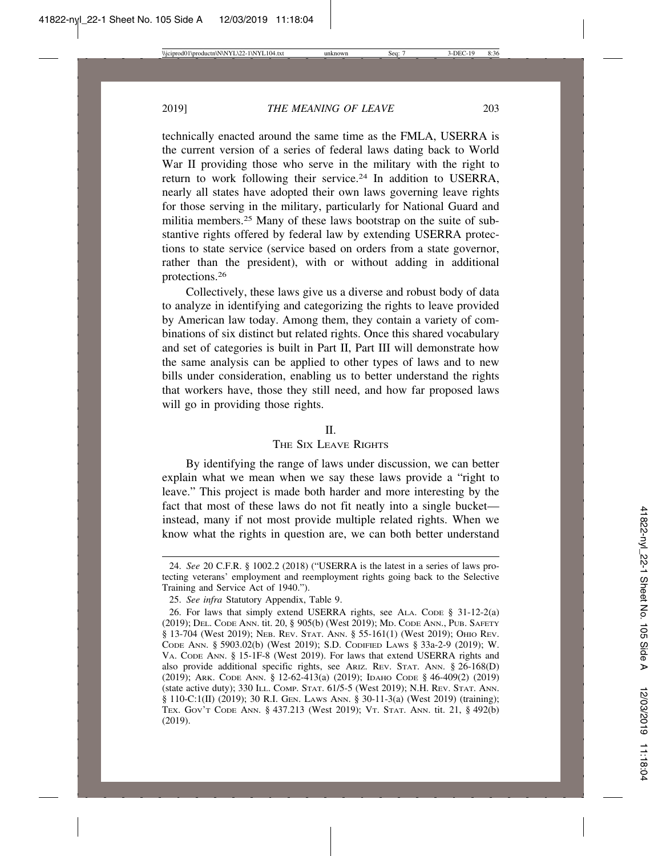technically enacted around the same time as the FMLA, USERRA is the current version of a series of federal laws dating back to World War II providing those who serve in the military with the right to return to work following their service.<sup>24</sup> In addition to USERRA, nearly all states have adopted their own laws governing leave rights for those serving in the military, particularly for National Guard and militia members.25 Many of these laws bootstrap on the suite of substantive rights offered by federal law by extending USERRA protections to state service (service based on orders from a state governor, rather than the president), with or without adding in additional protections.26

Collectively, these laws give us a diverse and robust body of data to analyze in identifying and categorizing the rights to leave provided by American law today. Among them, they contain a variety of combinations of six distinct but related rights. Once this shared vocabulary and set of categories is built in Part II, Part III will demonstrate how the same analysis can be applied to other types of laws and to new bills under consideration, enabling us to better understand the rights that workers have, those they still need, and how far proposed laws will go in providing those rights.

### $\mathbf{I}$

# THE SIX LEAVE RIGHTS

By identifying the range of laws under discussion, we can better explain what we mean when we say these laws provide a "right to leave." This project is made both harder and more interesting by the fact that most of these laws do not fit neatly into a single bucket instead, many if not most provide multiple related rights. When we know what the rights in question are, we can both better understand

<sup>24.</sup> *See* 20 C.F.R. § 1002.2 (2018) ("USERRA is the latest in a series of laws protecting veterans' employment and reemployment rights going back to the Selective Training and Service Act of 1940.").

<sup>25.</sup> *See infra* Statutory Appendix, Table 9.

<sup>26.</sup> For laws that simply extend USERRA rights, see ALA. CODE § 31-12-2(a) (2019); DEL. CODE ANN. tit. 20, § 905(b) (West 2019); MD. CODE ANN., PUB. SAFETY § 13-704 (West 2019); NEB. REV. STAT. ANN. § 55-161(1) (West 2019); OHIO REV. CODE ANN. § 5903.02(b) (West 2019); S.D. CODIFIED LAWS § 33a-2-9 (2019); W. VA. CODE ANN. § 15-1F-8 (West 2019). For laws that extend USERRA rights and also provide additional specific rights, see ARIZ. REV. STAT. ANN. § 26-168(D) (2019); ARK. CODE ANN. § 12-62-413(a) (2019); IDAHO CODE § 46-409(2) (2019) (state active duty); 330 ILL. COMP. STAT. 61/5-5 (West 2019); N.H. REV. STAT. ANN. § 110-C:1(II) (2019); 30 R.I. GEN. LAWS ANN. § 30-11-3(a) (West 2019) (training); TEX. GOV'T CODE ANN. § 437.213 (West 2019); VT. STAT. ANN. tit. 21, § 492(b) (2019).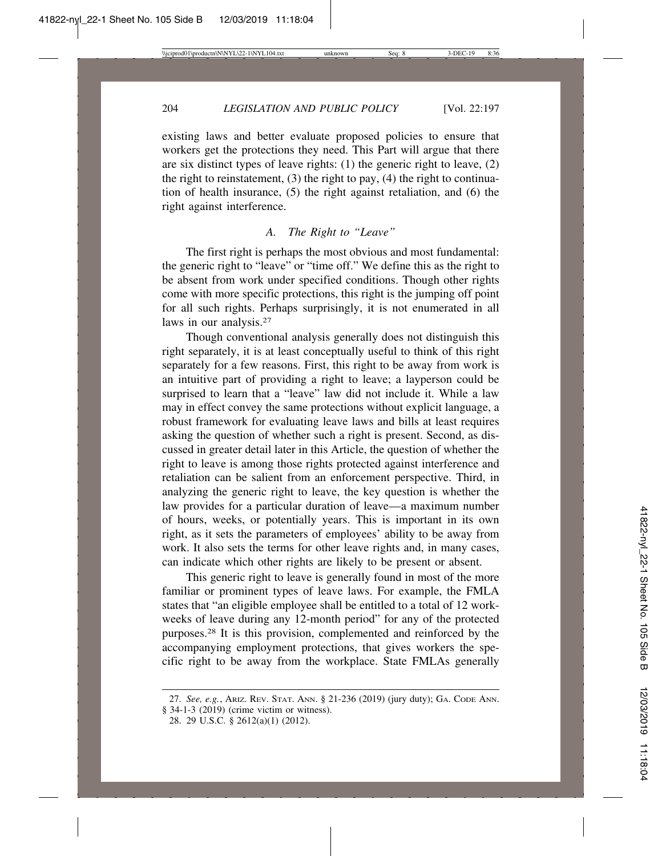existing laws and better evaluate proposed policies to ensure that workers get the protections they need. This Part will argue that there are six distinct types of leave rights: (1) the generic right to leave, (2) the right to reinstatement,  $(3)$  the right to pay,  $(4)$  the right to continuation of health insurance, (5) the right against retaliation, and (6) the right against interference.

# *A. The Right to "Leave"*

The first right is perhaps the most obvious and most fundamental: the generic right to "leave" or "time off." We define this as the right to be absent from work under specified conditions. Though other rights come with more specific protections, this right is the jumping off point for all such rights. Perhaps surprisingly, it is not enumerated in all laws in our analysis.<sup>27</sup>

Though conventional analysis generally does not distinguish this right separately, it is at least conceptually useful to think of this right separately for a few reasons. First, this right to be away from work is an intuitive part of providing a right to leave; a layperson could be surprised to learn that a "leave" law did not include it. While a law may in effect convey the same protections without explicit language, a robust framework for evaluating leave laws and bills at least requires asking the question of whether such a right is present. Second, as discussed in greater detail later in this Article, the question of whether the right to leave is among those rights protected against interference and retaliation can be salient from an enforcement perspective. Third, in analyzing the generic right to leave, the key question is whether the law provides for a particular duration of leave—a maximum number of hours, weeks, or potentially years. This is important in its own right, as it sets the parameters of employees' ability to be away from work. It also sets the terms for other leave rights and, in many cases, can indicate which other rights are likely to be present or absent.

This generic right to leave is generally found in most of the more familiar or prominent types of leave laws. For example, the FMLA states that "an eligible employee shall be entitled to a total of 12 workweeks of leave during any 12-month period" for any of the protected purposes.28 It is this provision, complemented and reinforced by the accompanying employment protections, that gives workers the specific right to be away from the workplace. State FMLAs generally

<sup>27.</sup> *See, e.g.*, ARIZ. REV. STAT. ANN. § 21-236 (2019) (jury duty); GA. CODE ANN. § 34-1-3 (2019) (crime victim or witness).

<sup>28. 29</sup> U.S.C. § 2612(a)(1) (2012).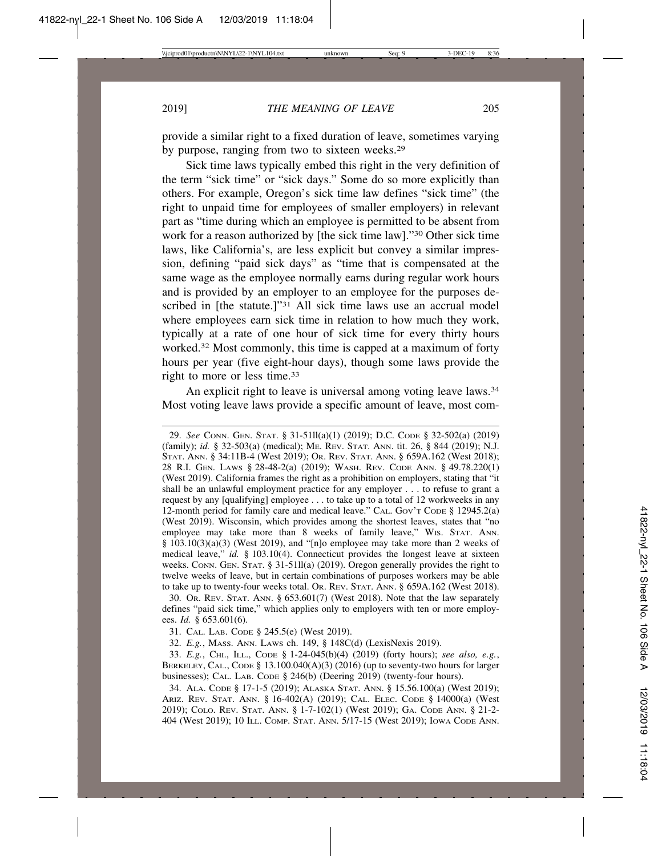provide a similar right to a fixed duration of leave, sometimes varying by purpose, ranging from two to sixteen weeks.29

Sick time laws typically embed this right in the very definition of the term "sick time" or "sick days." Some do so more explicitly than others. For example, Oregon's sick time law defines "sick time" (the right to unpaid time for employees of smaller employers) in relevant part as "time during which an employee is permitted to be absent from work for a reason authorized by [the sick time law]."30 Other sick time laws, like California's, are less explicit but convey a similar impression, defining "paid sick days" as "time that is compensated at the same wage as the employee normally earns during regular work hours and is provided by an employer to an employee for the purposes described in [the statute.]"<sup>31</sup> All sick time laws use an accrual model where employees earn sick time in relation to how much they work, typically at a rate of one hour of sick time for every thirty hours worked.32 Most commonly, this time is capped at a maximum of forty hours per year (five eight-hour days), though some laws provide the right to more or less time.33

An explicit right to leave is universal among voting leave laws.<sup>34</sup> Most voting leave laws provide a specific amount of leave, most com-

29. *See* CONN. GEN. STAT. § 31-51ll(a)(1) (2019); D.C. CODE § 32-502(a) (2019) (family); *id.* § 32-503(a) (medical); ME. REV. STAT. ANN. tit. 26, § 844 (2019); N.J. STAT. ANN. § 34:11B-4 (West 2019); OR. REV. STAT. ANN. § 659A.162 (West 2018); 28 R.I. GEN. LAWS § 28-48-2(a) (2019); WASH. REV. CODE ANN. § 49.78.220(1) (West 2019). California frames the right as a prohibition on employers, stating that "it shall be an unlawful employment practice for any employer . . . to refuse to grant a request by any [qualifying] employee . . . to take up to a total of 12 workweeks in any 12-month period for family care and medical leave." CAL. Gov't Code § 12945.2(a) (West 2019). Wisconsin, which provides among the shortest leaves, states that "no employee may take more than 8 weeks of family leave," WIS. STAT. ANN.  $§$  103.10(3)(a)(3) (West 2019), and "[n]o employee may take more than 2 weeks of medical leave," *id.* § 103.10(4). Connecticut provides the longest leave at sixteen weeks. CONN. GEN. STAT. § 31-51ll(a) (2019). Oregon generally provides the right to twelve weeks of leave, but in certain combinations of purposes workers may be able to take up to twenty-four weeks total. OR. REV. STAT. ANN. § 659A.162 (West 2018).

30. OR. REV. STAT. ANN. § 653.601(7) (West 2018). Note that the law separately defines "paid sick time," which applies only to employers with ten or more employees. *Id.* § 653.601(6)*.*

31. CAL. LAB. CODE § 245.5(e) (West 2019).

32. *E.g.*, MASS. ANN. LAWS ch. 149, § 148C(d) (LexisNexis 2019).

33. *E.g.*, CHI., ILL., CODE § 1-24-045(b)(4) (2019) (forty hours); *see also, e.g.*, BERKELEY, CAL., CODE § 13.100.040(A)(3) (2016) (up to seventy-two hours for larger businesses); CAL. LAB. CODE § 246(b) (Deering 2019) (twenty-four hours).

34. ALA. CODE § 17-1-5 (2019); ALASKA STAT. ANN. § 15.56.100(a) (West 2019); ARIZ. REV. STAT. ANN. § 16-402(A) (2019); CAL. ELEC. CODE § 14000(a) (West 2019); COLO. REV. STAT. ANN. § 1-7-102(1) (West 2019); GA. CODE ANN. § 21-2- 404 (West 2019); 10 ILL. COMP. STAT. ANN. 5/17-15 (West 2019); IOWA CODE ANN.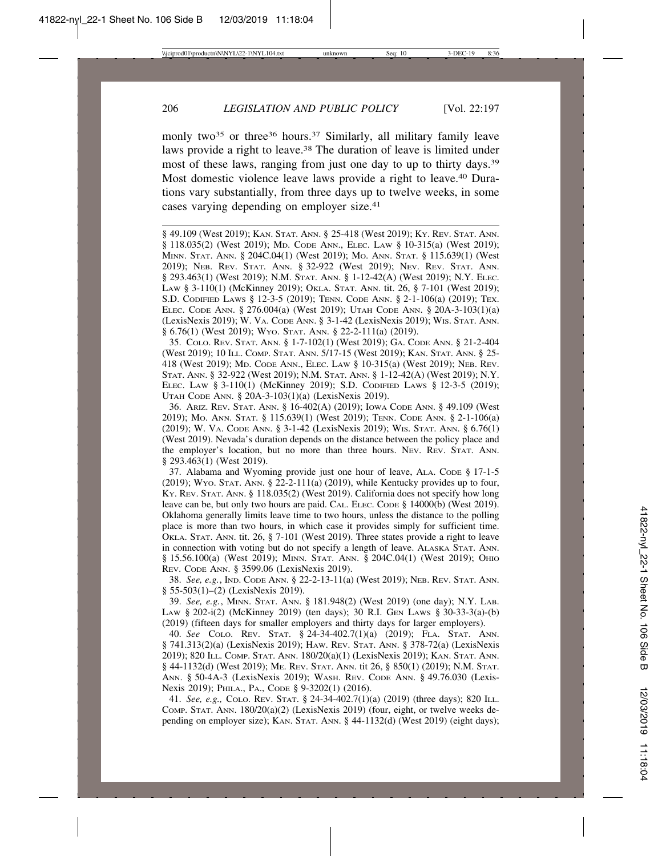monly two<sup>35</sup> or three<sup>36</sup> hours.<sup>37</sup> Similarly, all military family leave laws provide a right to leave.38 The duration of leave is limited under most of these laws, ranging from just one day to up to thirty days.39 Most domestic violence leave laws provide a right to leave.<sup>40</sup> Durations vary substantially, from three days up to twelve weeks, in some cases varying depending on employer size.41

§ 49.109 (West 2019); KAN. STAT. ANN. § 25-418 (West 2019); KY. REV. STAT. ANN. § 118.035(2) (West 2019); MD. CODE ANN., ELEC. LAW § 10-315(a) (West 2019); MINN. STAT. ANN. § 204C.04(1) (West 2019); MO. ANN. STAT. § 115.639(1) (West 2019); NEB. REV. STAT. ANN. § 32-922 (West 2019); NEV. REV. STAT. ANN. § 293.463(1) (West 2019); N.M. STAT. ANN. § 1-12-42(A) (West 2019); N.Y. ELEC. LAW § 3-110(1) (McKinney 2019); OKLA. STAT. ANN. tit. 26, § 7-101 (West 2019); S.D. CODIFIED LAWS § 12-3-5 (2019); TENN. CODE ANN. § 2-1-106(a) (2019); TEX. ELEC. CODE ANN. § 276.004(a) (West 2019); UTAH CODE ANN. § 20A-3-103(1)(a) (LexisNexis 2019); W. VA. CODE ANN. § 3-1-42 (LexisNexis 2019); WIS. STAT. ANN. § 6.76(1) (West 2019); WYO. STAT. ANN. § 22-2-111(a) (2019).

35. COLO. REV. STAT. ANN. § 1-7-102(1) (West 2019); GA. CODE ANN. § 21-2-404 (West 2019); 10 ILL. COMP. STAT. ANN. 5/17-15 (West 2019); KAN. STAT. ANN. § 25- 418 (West 2019); MD. CODE ANN., ELEC. LAW § 10-315(a) (West 2019); NEB. REV. STAT. ANN. § 32-922 (West 2019); N.M. STAT. ANN. § 1-12-42(A) (West 2019); N.Y. ELEC. LAW § 3-110(1) (McKinney 2019); S.D. CODIFIED LAWS § 12-3-5 (2019); UTAH CODE ANN. § 20A-3-103(1)(a) (LexisNexis 2019).

36. ARIZ. REV. STAT. ANN. § 16-402(A) (2019); IOWA CODE ANN. § 49.109 (West 2019); MO. ANN. STAT. § 115.639(1) (West 2019); TENN. CODE ANN. § 2-1-106(a) (2019); W. VA. CODE ANN. § 3-1-42 (LexisNexis 2019); WIS. STAT. ANN. § 6.76(1) (West 2019). Nevada's duration depends on the distance between the policy place and the employer's location, but no more than three hours. NEV. REV. STAT. ANN. § 293.463(1) (West 2019).

37. Alabama and Wyoming provide just one hour of leave, ALA. CODE § 17-1-5 (2019); Wyo. STAT. ANN.  $\S$  22-2-111(a) (2019), while Kentucky provides up to four, KY. REV. STAT. ANN. § 118.035(2) (West 2019). California does not specify how long leave can be, but only two hours are paid. CAL. ELEC. CODE § 14000(b) (West 2019). Oklahoma generally limits leave time to two hours, unless the distance to the polling place is more than two hours, in which case it provides simply for sufficient time. OKLA. STAT. ANN. tit. 26, § 7-101 (West 2019). Three states provide a right to leave in connection with voting but do not specify a length of leave. ALASKA STAT. ANN. § 15.56.100(a) (West 2019); MINN. STAT. ANN. § 204C.04(1) (West 2019); OHIO REV. CODE ANN. § 3599.06 (LexisNexis 2019).

38. *See, e.g.*, IND. CODE ANN. § 22-2-13-11(a) (West 2019); NEB. REV. STAT. ANN. § 55-503(1)–(2) (LexisNexis 2019).

39. *See, e.g.*, MINN. STAT. ANN. § 181.948(2) (West 2019) (one day); N.Y. LAB. LAW § 202-i(2) (McKinney 2019) (ten days); 30 R.I. GEN LAWS § 30-33-3(a)-(b) (2019) (fifteen days for smaller employers and thirty days for larger employers).

40. *See* COLO. REV. STAT. § 24-34-402.7(1)(a) (2019); FLA. STAT. ANN. § 741.313(2)(a) (LexisNexis 2019); HAW. REV. STAT. ANN. § 378-72(a) (LexisNexis 2019); 820 ILL. COMP. STAT. ANN. 180/20(a)(1) (LexisNexis 2019); KAN. STAT. ANN. § 44-1132(d) (West 2019); ME. REV. STAT. ANN. tit 26, § 850(1) (2019); N.M. STAT. ANN. § 50-4A-3 (LexisNexis 2019); WASH. REV. CODE ANN. § 49.76.030 (Lexis-Nexis 2019); PHILA., PA., CODE § 9-3202(1) (2016).

41. *See, e.g.,* COLO. REV. STAT. § 24-34-402.7(1)(a) (2019) (three days); 820 ILL. COMP. STAT. ANN.  $180/20(a)(2)$  (LexisNexis 2019) (four, eight, or twelve weeks depending on employer size); KAN. STAT. ANN. § 44-1132(d) (West 2019) (eight days);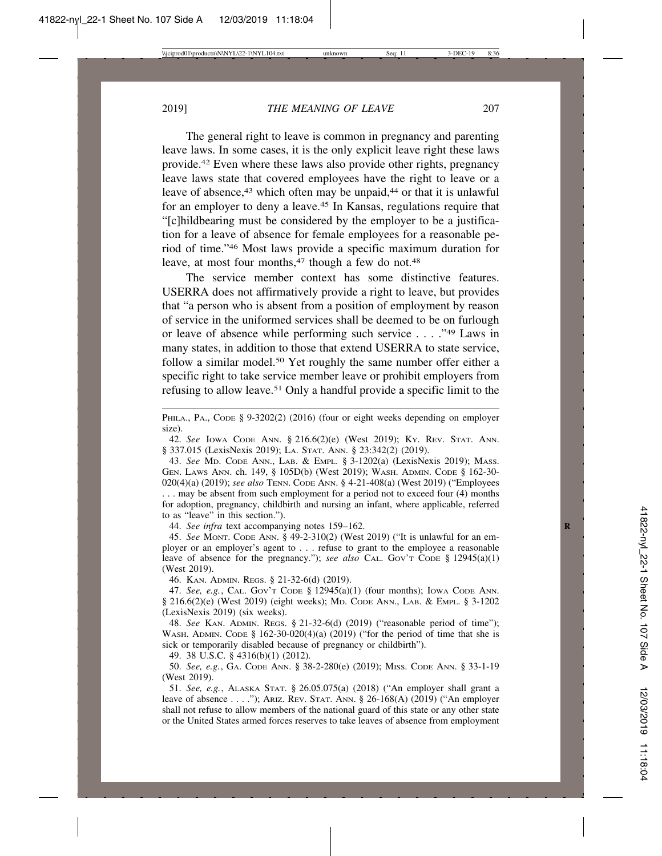The general right to leave is common in pregnancy and parenting leave laws. In some cases, it is the only explicit leave right these laws provide.42 Even where these laws also provide other rights, pregnancy leave laws state that covered employees have the right to leave or a leave of absence,<sup>43</sup> which often may be unpaid,<sup>44</sup> or that it is unlawful for an employer to deny a leave.45 In Kansas, regulations require that "[c]hildbearing must be considered by the employer to be a justification for a leave of absence for female employees for a reasonable period of time."46 Most laws provide a specific maximum duration for leave, at most four months,<sup>47</sup> though a few do not.<sup>48</sup>

The service member context has some distinctive features. USERRA does not affirmatively provide a right to leave, but provides that "a person who is absent from a position of employment by reason of service in the uniformed services shall be deemed to be on furlough or leave of absence while performing such service . . . ."49 Laws in many states, in addition to those that extend USERRA to state service, follow a similar model.<sup>50</sup> Yet roughly the same number offer either a specific right to take service member leave or prohibit employers from refusing to allow leave.51 Only a handful provide a specific limit to the

PHILA., PA., CODE § 9-3202(2) (2016) (four or eight weeks depending on employer size).

42. *See* IOWA CODE ANN. § 216.6(2)(e) (West 2019); KY. REV. STAT. ANN. § 337.015 (LexisNexis 2019); LA. STAT. ANN. § 23:342(2) (2019).

43. *See* MD. CODE ANN., LAB. & EMPL. § 3-1202(a) (LexisNexis 2019); MASS. GEN. LAWS ANN. ch. 149, § 105D(b) (West 2019); WASH. ADMIN. CODE § 162-30- 020(4)(a) (2019); *see also* TENN. CODE ANN. § 4-21-408(a) (West 2019) ("Employees . . . may be absent from such employment for a period not to exceed four (4) months for adoption, pregnancy, childbirth and nursing an infant, where applicable, referred to as "leave" in this section.").

44. *See infra* text accompanying notes 159–162. **R**

45. *See* MONT. CODE ANN. § 49-2-310(2) (West 2019) ("It is unlawful for an employer or an employer's agent to . . . refuse to grant to the employee a reasonable leave of absence for the pregnancy."); *see also* CAL. Gov't CODE § 12945(a)(1) (West 2019).

46. KAN. ADMIN. REGS. § 21-32-6(d) (2019).

47. *See, e.g.*, CAL. GOV'T CODE § 12945(a)(1) (four months); IOWA CODE ANN. § 216.6(2)(e) (West 2019) (eight weeks); MD. CODE ANN., LAB. & EMPL. § 3-1202 (LexisNexis 2019) (six weeks).

48. *See* KAN. ADMIN. REGS. § 21-32-6(d) (2019) ("reasonable period of time"); WASH. ADMIN. CODE  $\S$  162-30-020(4)(a) (2019) ("for the period of time that she is sick or temporarily disabled because of pregnancy or childbirth").

49. 38 U.S.C. § 4316(b)(1) (2012).

50. *See, e.g.*, GA. CODE ANN. § 38-2-280(e) (2019); MISS. CODE ANN. § 33-1-19 (West 2019).

51. *See, e.g.*, ALASKA STAT. § 26.05.075(a) (2018) ("An employer shall grant a leave of absence . . . ."); ARIZ. REV. STAT. ANN. § 26-168(A) (2019) ("An employer shall not refuse to allow members of the national guard of this state or any other state or the United States armed forces reserves to take leaves of absence from employment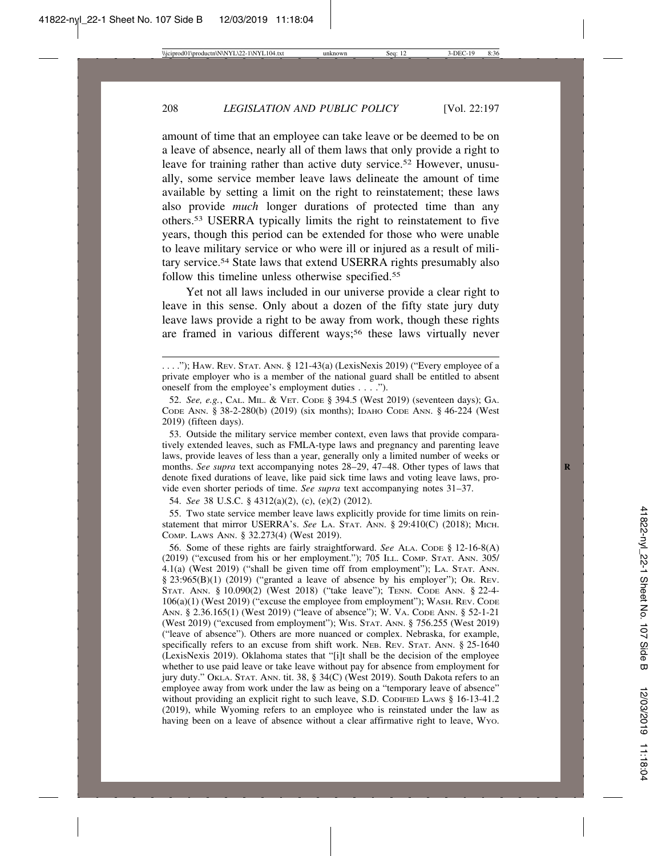amount of time that an employee can take leave or be deemed to be on a leave of absence, nearly all of them laws that only provide a right to leave for training rather than active duty service.<sup>52</sup> However, unusually, some service member leave laws delineate the amount of time available by setting a limit on the right to reinstatement; these laws also provide *much* longer durations of protected time than any others.53 USERRA typically limits the right to reinstatement to five years, though this period can be extended for those who were unable to leave military service or who were ill or injured as a result of military service.54 State laws that extend USERRA rights presumably also follow this timeline unless otherwise specified.<sup>55</sup>

Yet not all laws included in our universe provide a clear right to leave in this sense. Only about a dozen of the fifty state jury duty leave laws provide a right to be away from work, though these rights are framed in various different ways;<sup>56</sup> these laws virtually never

53. Outside the military service member context, even laws that provide comparatively extended leaves, such as FMLA-type laws and pregnancy and parenting leave laws, provide leaves of less than a year, generally only a limited number of weeks or months. *See supra* text accompanying notes 28–29, 47–48. Other types of laws that denote fixed durations of leave, like paid sick time laws and voting leave laws, provide even shorter periods of time. *See supra* text accompanying notes 31–37.

54. *See* 38 U.S.C. § 4312(a)(2), (c), (e)(2) (2012).

55. Two state service member leave laws explicitly provide for time limits on reinstatement that mirror USERRA's. *See* LA. STAT. ANN. § 29:410(C) (2018); MICH. COMP. LAWS ANN. § 32.273(4) (West 2019).

56. Some of these rights are fairly straightforward. *See* ALA. CODE § 12-16-8(A) (2019) ("excused from his or her employment."); 705 ILL. COMP. STAT. ANN. 305/ 4.1(a) (West 2019) ("shall be given time off from employment"); LA. STAT. ANN. § 23:965(B)(1) (2019) ("granted a leave of absence by his employer"); OR. REV. STAT. ANN. § 10.090(2) (West 2018) ("take leave"); TENN. CODE ANN. § 22-4- 106(a)(1) (West 2019) ("excuse the employee from employment"); WASH. REV. CODE ANN. § 2.36.165(1) (West 2019) ("leave of absence"); W. VA. CODE ANN. § 52-1-21 (West 2019) ("excused from employment"); WIS. STAT. ANN. § 756.255 (West 2019) ("leave of absence"). Others are more nuanced or complex. Nebraska, for example, specifically refers to an excuse from shift work. NEB. REV. STAT. ANN. § 25-1640 (LexisNexis 2019). Oklahoma states that "[i]t shall be the decision of the employee whether to use paid leave or take leave without pay for absence from employment for jury duty." OKLA. STAT. ANN. tit. 38, § 34(C) (West 2019). South Dakota refers to an employee away from work under the law as being on a "temporary leave of absence" without providing an explicit right to such leave, S.D. CODIFIED LAWS § 16-13-41.2 (2019), while Wyoming refers to an employee who is reinstated under the law as having been on a leave of absence without a clear affirmative right to leave, WYO.

 $\ldots$ ."); HAW. REV. STAT. ANN. § 121-43(a) (LexisNexis 2019) ("Every employee of a private employer who is a member of the national guard shall be entitled to absent oneself from the employee's employment duties . . . .").

<sup>52.</sup> *See, e.g.*, CAL. MIL. & VET. CODE § 394.5 (West 2019) (seventeen days); GA. CODE ANN. § 38-2-280(b) (2019) (six months); IDAHO CODE ANN. § 46-224 (West 2019) (fifteen days).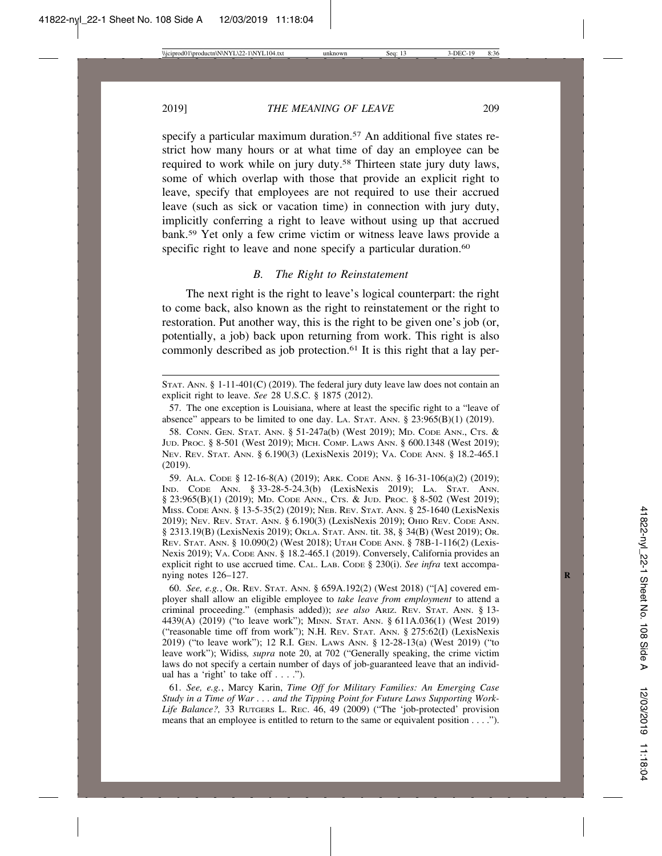specify a particular maximum duration.<sup>57</sup> An additional five states restrict how many hours or at what time of day an employee can be required to work while on jury duty.58 Thirteen state jury duty laws, some of which overlap with those that provide an explicit right to leave, specify that employees are not required to use their accrued leave (such as sick or vacation time) in connection with jury duty, implicitly conferring a right to leave without using up that accrued bank.59 Yet only a few crime victim or witness leave laws provide a specific right to leave and none specify a particular duration.<sup>60</sup>

# *B. The Right to Reinstatement*

The next right is the right to leave's logical counterpart: the right to come back, also known as the right to reinstatement or the right to restoration. Put another way, this is the right to be given one's job (or, potentially, a job) back upon returning from work. This right is also commonly described as job protection.<sup>61</sup> It is this right that a lay per-

59. ALA. CODE § 12-16-8(A) (2019); ARK. CODE ANN. § 16-31-106(a)(2) (2019); IND. CODE ANN. § 33-28-5-24.3(b) (LexisNexis 2019); LA. STAT. ANN. § 23:965(B)(1) (2019); MD. CODE ANN., CTS. & JUD. PROC. § 8-502 (West 2019); MISS. CODE ANN. § 13-5-35(2) (2019); NEB. REV. STAT. ANN. § 25-1640 (LexisNexis 2019); NEV. REV. STAT. ANN. § 6.190(3) (LexisNexis 2019); OHIO REV. CODE ANN. § 2313.19(B) (LexisNexis 2019); OKLA. STAT. ANN. tit. 38, § 34(B) (West 2019); OR. REV. STAT. ANN. § 10.090(2) (West 2018); UTAH CODE ANN. § 78B-1-116(2) (Lexis-Nexis 2019); VA. CODE ANN. § 18.2-465.1 (2019). Conversely, California provides an explicit right to use accrued time. CAL. LAB. CODE § 230(i). *See infra* text accompanying notes 126–127. **R**

60. *See, e.g.*, OR. REV. STAT. ANN. § 659A.192(2) (West 2018) ("[A] covered employer shall allow an eligible employee to *take leave from employment* to attend a criminal proceeding." (emphasis added)); *see also* ARIZ. REV. STAT. ANN. § 13- 4439(A) (2019) ("to leave work"); MINN. STAT. ANN. § 611A.036(1) (West 2019) ("reasonable time off from work"); N.H. REV. STAT. ANN. § 275:62(I) (LexisNexis 2019) ("to leave work"); 12 R.I. GEN. LAWS ANN. § 12-28-13(a) (West 2019) ("to leave work"); Widiss*, supra* note 20, at 702 ("Generally speaking, the crime victim laws do not specify a certain number of days of job-guaranteed leave that an individual has a 'right' to take off  $\dots$ .").

61. *See, e.g.*, Marcy Karin, *Time Off for Military Families: An Emerging Case Study in a Time of War . . . and the Tipping Point for Future Laws Supporting Work-Life Balance?,* 33 RUTGERS L. REC. 46, 49 (2009) ("The 'job-protected' provision means that an employee is entitled to return to the same or equivalent position . . . .").

STAT. ANN. § 1-11-401(C) (2019). The federal jury duty leave law does not contain an explicit right to leave. *See* 28 U.S.C. § 1875 (2012).

<sup>57.</sup> The one exception is Louisiana, where at least the specific right to a "leave of absence" appears to be limited to one day. LA. STAT. ANN.  $\S$  23:965(B)(1) (2019).

<sup>58.</sup> CONN. GEN. STAT. ANN. § 51-247a(b) (West 2019); MD. CODE ANN., CTS. & JUD. PROC. § 8-501 (West 2019); MICH. COMP. LAWS ANN. § 600.1348 (West 2019); NEV. REV. STAT. ANN. § 6.190(3) (LexisNexis 2019); VA. CODE ANN. § 18.2-465.1 (2019).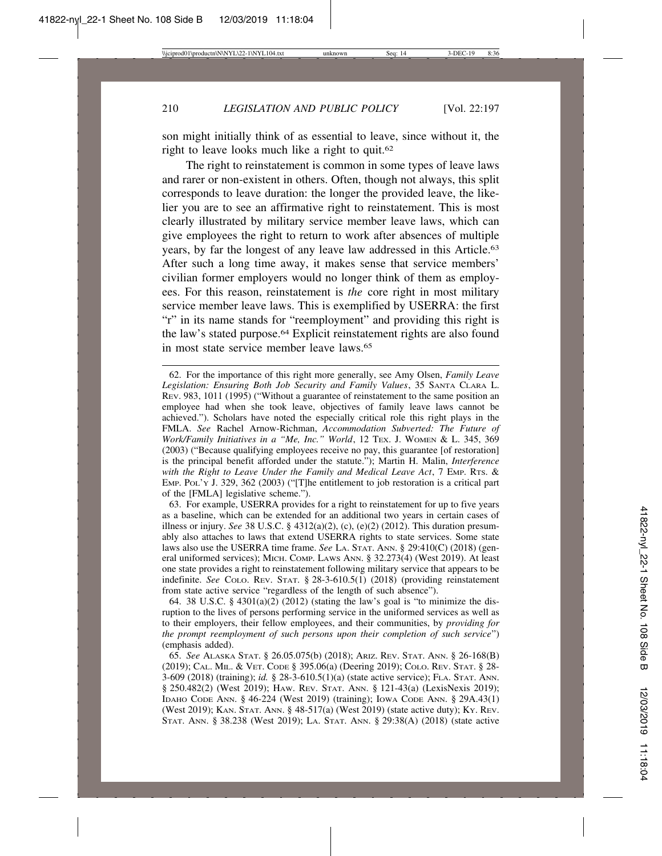son might initially think of as essential to leave, since without it, the right to leave looks much like a right to quit.62

The right to reinstatement is common in some types of leave laws and rarer or non-existent in others. Often, though not always, this split corresponds to leave duration: the longer the provided leave, the likelier you are to see an affirmative right to reinstatement. This is most clearly illustrated by military service member leave laws, which can give employees the right to return to work after absences of multiple years, by far the longest of any leave law addressed in this Article.63 After such a long time away, it makes sense that service members' civilian former employers would no longer think of them as employees. For this reason, reinstatement is *the* core right in most military service member leave laws. This is exemplified by USERRA: the first "r" in its name stands for "reemployment" and providing this right is the law's stated purpose.64 Explicit reinstatement rights are also found in most state service member leave laws.<sup>65</sup>

63. For example, USERRA provides for a right to reinstatement for up to five years as a baseline, which can be extended for an additional two years in certain cases of illness or injury. *See* 38 U.S.C. § 4312(a)(2), (c), (e)(2) (2012). This duration presumably also attaches to laws that extend USERRA rights to state services. Some state laws also use the USERRA time frame. *See* LA. STAT. ANN. § 29:410(C) (2018) (general uniformed services); MICH. COMP. LAWS ANN. § 32.273(4) (West 2019). At least one state provides a right to reinstatement following military service that appears to be indefinite. *See* COLO. REV. STAT. § 28-3-610.5(1) (2018) (providing reinstatement from state active service "regardless of the length of such absence").

64. 38 U.S.C. § 4301(a)(2) (2012) (stating the law's goal is "to minimize the disruption to the lives of persons performing service in the uniformed services as well as to their employers, their fellow employees, and their communities, by *providing for the prompt reemployment of such persons upon their completion of such service*") (emphasis added).

<sup>62.</sup> For the importance of this right more generally, see Amy Olsen, *Family Leave Legislation: Ensuring Both Job Security and Family Values*, 35 SANTA CLARA L. REV. 983, 1011 (1995) ("Without a guarantee of reinstatement to the same position an employee had when she took leave, objectives of family leave laws cannot be achieved."). Scholars have noted the especially critical role this right plays in the FMLA. *See* Rachel Arnow-Richman, *Accommodation Subverted: The Future of Work/Family Initiatives in a "Me, Inc." World*, 12 TEX. J. WOMEN & L. 345, 369 (2003) ("Because qualifying employees receive no pay, this guarantee [of restoration] is the principal benefit afforded under the statute."); Martin H. Malin, *Interference with the Right to Leave Under the Family and Medical Leave Act*, 7 EMP. RTS. & EMP. POL'Y J. 329, 362 (2003) ("[T]he entitlement to job restoration is a critical part of the [FMLA] legislative scheme.").

<sup>65.</sup> *See* ALASKA STAT. § 26.05.075(b) (2018); ARIZ. REV. STAT. ANN. § 26-168(B) (2019); CAL. MIL. & VET. CODE § 395.06(a) (Deering 2019); COLO. REV. STAT. § 28- 3-609 (2018) (training); *id.* § 28-3-610.5(1)(a) (state active service); FLA. STAT. ANN. § 250.482(2) (West 2019); HAW. REV. STAT. ANN. § 121-43(a) (LexisNexis 2019); IDAHO CODE ANN. § 46-224 (West 2019) (training); IOWA CODE ANN. § 29A.43(1) (West 2019); KAN. STAT. ANN. § 48-517(a) (West 2019) (state active duty); KY. REV. STAT. ANN. § 38.238 (West 2019); LA. STAT. ANN. § 29:38(A) (2018) (state active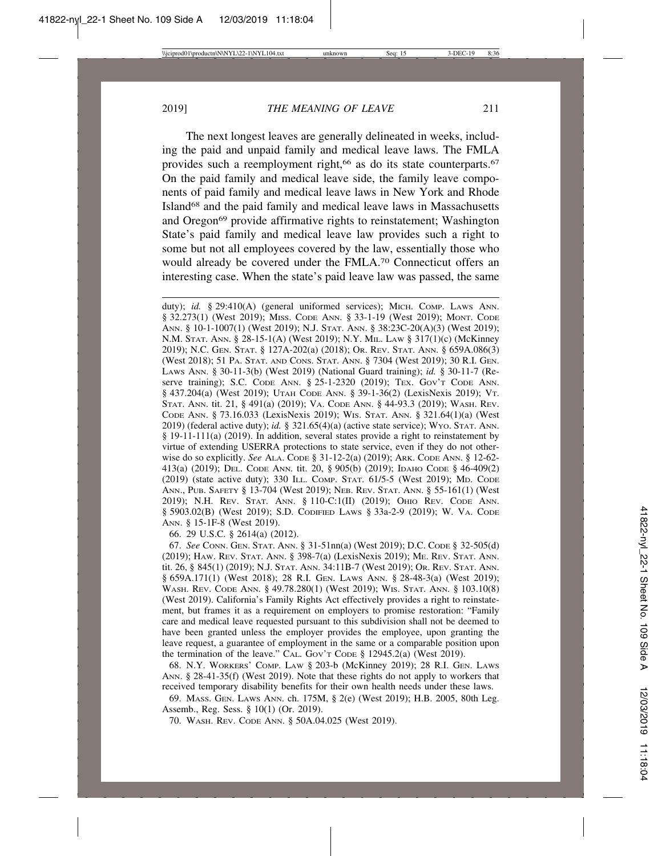The next longest leaves are generally delineated in weeks, including the paid and unpaid family and medical leave laws. The FMLA provides such a reemployment right,<sup>66</sup> as do its state counterparts.<sup>67</sup> On the paid family and medical leave side, the family leave components of paid family and medical leave laws in New York and Rhode Island68 and the paid family and medical leave laws in Massachusetts and Oregon<sup>69</sup> provide affirmative rights to reinstatement; Washington State's paid family and medical leave law provides such a right to some but not all employees covered by the law, essentially those who would already be covered under the FMLA.70 Connecticut offers an interesting case. When the state's paid leave law was passed, the same

duty); *id.* § 29:410(A) (general uniformed services); MICH. COMP. LAWS ANN. § 32.273(1) (West 2019); MISS. CODE ANN. § 33-1-19 (West 2019); MONT. CODE ANN. § 10-1-1007(1) (West 2019); N.J. STAT. ANN. § 38:23C-20(A)(3) (West 2019); N.M. STAT. ANN. § 28-15-1(A) (West 2019); N.Y. MIL. LAW § 317(1)(c) (McKinney 2019); N.C. GEN. STAT. § 127A-202(a) (2018); OR. REV. STAT. ANN. § 659A.086(3) (West 2018); 51 PA. STAT. AND CONS. STAT. ANN. § 7304 (West 2019); 30 R.I. GEN. LAWS ANN. § 30-11-3(b) (West 2019) (National Guard training); *id.* § 30-11-7 (Reserve training); S.C. CODE ANN. § 25-1-2320 (2019); TEX. GOV'T CODE ANN. § 437.204(a) (West 2019); UTAH CODE ANN. § 39-1-36(2) (LexisNexis 2019); VT. STAT. ANN. tit. 21, § 491(a) (2019); VA. CODE ANN. § 44-93.3 (2019); WASH. REV. CODE ANN. § 73.16.033 (LexisNexis 2019); WIS. STAT. ANN. § 321.64(1)(a) (West 2019) (federal active duty); *id.* § 321.65(4)(a) (active state service); WYO. STAT. ANN. § 19-11-111(a) (2019). In addition, several states provide a right to reinstatement by virtue of extending USERRA protections to state service, even if they do not otherwise do so explicitly. *See* ALA. CODE § 31-12-2(a) (2019); ARK. CODE ANN. § 12-62- 413(a) (2019); DEL. CODE ANN. tit. 20, § 905(b) (2019); IDAHO CODE § 46-409(2) (2019) (state active duty); 330 ILL. COMP. STAT. 61/5-5 (West 2019); MD. CODE ANN., PUB. SAFETY § 13-704 (West 2019); NEB. REV. STAT. ANN. § 55-161(1) (West 2019); N.H. REV. STAT. ANN. § 110-C:1(II) (2019); OHIO REV. CODE ANN. § 5903.02(B) (West 2019); S.D. CODIFIED LAWS § 33a-2-9 (2019); W. VA. CODE ANN. § 15-1F-8 (West 2019).

66. 29 U.S.C. § 2614(a) (2012).

67. *See* CONN. GEN. STAT. ANN. § 31-51nn(a) (West 2019); D.C. CODE § 32-505(d) (2019); HAW. REV. STAT. ANN. § 398-7(a) (LexisNexis 2019); ME. REV. STAT. ANN. tit. 26, § 845(1) (2019); N.J. STAT. ANN. 34:11B-7 (West 2019); OR. REV. STAT. ANN. § 659A.171(1) (West 2018); 28 R.I. GEN. LAWS ANN. § 28-48-3(a) (West 2019); WASH. REV. CODE ANN. § 49.78.280(1) (West 2019); WIS. STAT. ANN. § 103.10(8) (West 2019). California's Family Rights Act effectively provides a right to reinstatement, but frames it as a requirement on employers to promise restoration: "Family care and medical leave requested pursuant to this subdivision shall not be deemed to have been granted unless the employer provides the employee, upon granting the leave request, a guarantee of employment in the same or a comparable position upon the termination of the leave."  $CAL$ . Gov't Cope § 12945.2(a) (West 2019).

68. N.Y. WORKERS' COMP. LAW § 203-b (McKinney 2019); 28 R.I. GEN. LAWS ANN. § 28-41-35(f) (West 2019). Note that these rights do not apply to workers that received temporary disability benefits for their own health needs under these laws.

69. MASS. GEN. LAWS ANN. ch. 175M, § 2(e) (West 2019); H.B. 2005, 80th Leg. Assemb., Reg. Sess. § 10(1) (Or. 2019).

70. WASH. REV. CODE ANN. § 50A.04.025 (West 2019).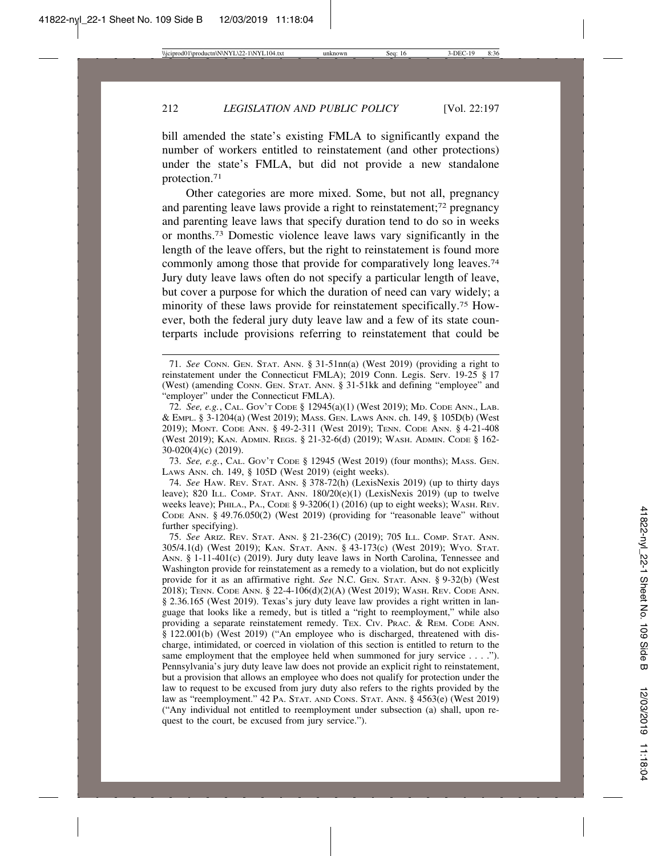bill amended the state's existing FMLA to significantly expand the number of workers entitled to reinstatement (and other protections) under the state's FMLA, but did not provide a new standalone protection.71

Other categories are more mixed. Some, but not all, pregnancy and parenting leave laws provide a right to reinstatement;72 pregnancy and parenting leave laws that specify duration tend to do so in weeks or months.73 Domestic violence leave laws vary significantly in the length of the leave offers, but the right to reinstatement is found more commonly among those that provide for comparatively long leaves.74 Jury duty leave laws often do not specify a particular length of leave, but cover a purpose for which the duration of need can vary widely; a minority of these laws provide for reinstatement specifically.75 However, both the federal jury duty leave law and a few of its state counterparts include provisions referring to reinstatement that could be

73. *See, e.g.*, CAL. GOV'T CODE § 12945 (West 2019) (four months); MASS. GEN. LAWS ANN. ch. 149, § 105D (West 2019) (eight weeks).

74. *See* HAW. REV. STAT. ANN. § 378-72(h) (LexisNexis 2019) (up to thirty days leave); 820 ILL. COMP. STAT. ANN. 180/20(e)(1) (LexisNexis 2019) (up to twelve weeks leave); PHILA., PA., CODE §  $9-3206(1)$  (2016) (up to eight weeks); WASH. REV. CODE ANN. § 49.76.050(2) (West 2019) (providing for "reasonable leave" without further specifying).

75. *See* ARIZ. REV. STAT. ANN. § 21-236(C) (2019); 705 ILL. COMP. STAT. ANN. 305/4.1(d) (West 2019); KAN. STAT. ANN. § 43-173(c) (West 2019); WYO. STAT. ANN. § 1-11-401(c) (2019). Jury duty leave laws in North Carolina, Tennessee and Washington provide for reinstatement as a remedy to a violation, but do not explicitly provide for it as an affirmative right. *See* N.C. GEN. STAT. ANN. § 9-32(b) (West 2018); TENN. CODE ANN. § 22-4-106(d)(2)(A) (West 2019); WASH. REV. CODE ANN. § 2.36.165 (West 2019). Texas's jury duty leave law provides a right written in language that looks like a remedy, but is titled a "right to reemployment," while also providing a separate reinstatement remedy. TEX. CIV. PRAC. & REM. CODE ANN. § 122.001(b) (West 2019) ("An employee who is discharged, threatened with discharge, intimidated, or coerced in violation of this section is entitled to return to the same employment that the employee held when summoned for jury service . . . ."). Pennsylvania's jury duty leave law does not provide an explicit right to reinstatement, but a provision that allows an employee who does not qualify for protection under the law to request to be excused from jury duty also refers to the rights provided by the law as "reemployment." 42 PA. STAT. AND CONS. STAT. ANN. § 4563(e) (West 2019) ("Any individual not entitled to reemployment under subsection (a) shall, upon request to the court, be excused from jury service.").

<sup>71.</sup> *See* CONN. GEN. STAT. ANN. § 31-51nn(a) (West 2019) (providing a right to reinstatement under the Connecticut FMLA); 2019 Conn. Legis. Serv. 19-25 § 17 (West) (amending CONN. GEN. STAT. ANN. § 31-51kk and defining "employee" and "employer" under the Connecticut FMLA).

<sup>72.</sup> *See, e.g.*, CAL. GOV'T CODE § 12945(a)(1) (West 2019); MD. CODE ANN., LAB. & EMPL. § 3-1204(a) (West 2019); MASS. GEN. LAWS ANN. ch. 149, § 105D(b) (West 2019); MONT. CODE ANN. § 49-2-311 (West 2019); TENN. CODE ANN. § 4-21-408 (West 2019); KAN. ADMIN. REGS. § 21-32-6(d) (2019); WASH. ADMIN. CODE § 162- 30-020(4)(c) (2019).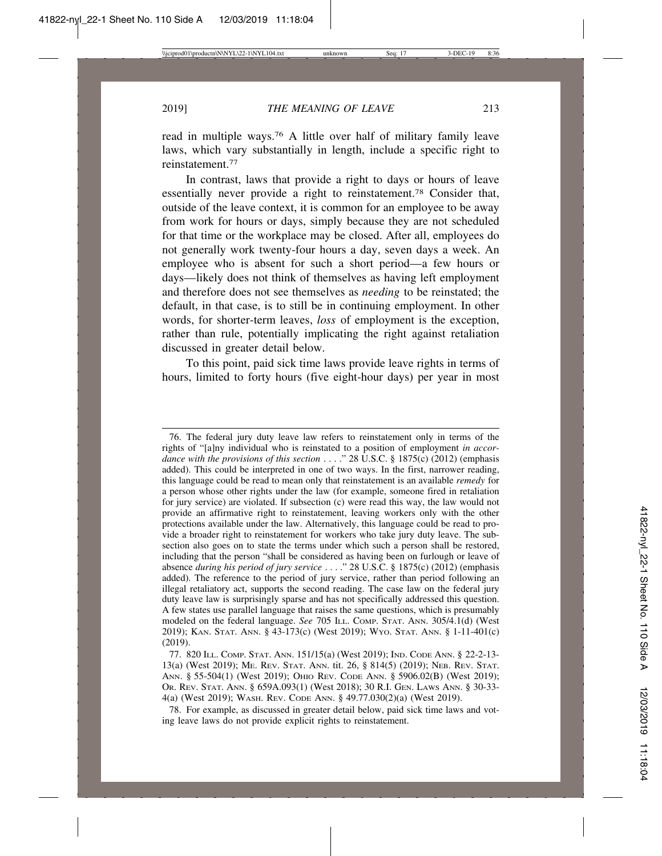read in multiple ways.76 A little over half of military family leave laws, which vary substantially in length, include a specific right to reinstatement.77

In contrast, laws that provide a right to days or hours of leave essentially never provide a right to reinstatement.78 Consider that, outside of the leave context, it is common for an employee to be away from work for hours or days, simply because they are not scheduled for that time or the workplace may be closed. After all, employees do not generally work twenty-four hours a day, seven days a week. An employee who is absent for such a short period—a few hours or days—likely does not think of themselves as having left employment and therefore does not see themselves as *needing* to be reinstated; the default, in that case, is to still be in continuing employment. In other words, for shorter-term leaves, *loss* of employment is the exception, rather than rule, potentially implicating the right against retaliation discussed in greater detail below.

To this point, paid sick time laws provide leave rights in terms of hours, limited to forty hours (five eight-hour days) per year in most

<sup>76.</sup> The federal jury duty leave law refers to reinstatement only in terms of the rights of "[a]ny individual who is reinstated to a position of employment *in accordance with the provisions of this section* . . . ." 28 U.S.C. § 1875(c) (2012) (emphasis added). This could be interpreted in one of two ways. In the first, narrower reading, this language could be read to mean only that reinstatement is an available *remedy* for a person whose other rights under the law (for example, someone fired in retaliation for jury service) are violated. If subsection (c) were read this way, the law would not provide an affirmative right to reinstatement, leaving workers only with the other protections available under the law. Alternatively, this language could be read to provide a broader right to reinstatement for workers who take jury duty leave. The subsection also goes on to state the terms under which such a person shall be restored, including that the person "shall be considered as having been on furlough or leave of absence *during his period of jury service* . . . ." 28 U.S.C. § 1875(c) (2012) (emphasis added). The reference to the period of jury service, rather than period following an illegal retaliatory act, supports the second reading. The case law on the federal jury duty leave law is surprisingly sparse and has not specifically addressed this question. A few states use parallel language that raises the same questions, which is presumably modeled on the federal language. *See* 705 ILL. COMP. STAT. ANN. 305/4.1(d) (West 2019); KAN. STAT. ANN. § 43-173(c) (West 2019); WYO. STAT. ANN. § 1-11-401(c) (2019).

<sup>77. 820</sup> ILL. COMP. STAT. ANN. 151/15(a) (West 2019); IND. CODE ANN. § 22-2-13- 13(a) (West 2019); ME. REV. STAT. ANN. tit. 26, § 814(5) (2019); NEB. REV. STAT. ANN. § 55-504(1) (West 2019); OHIO REV. CODE ANN. § 5906.02(B) (West 2019); OR. REV. STAT. ANN. § 659A.093(1) (West 2018); 30 R.I. GEN. LAWS ANN. § 30-33- 4(a) (West 2019); WASH. REV. CODE ANN. § 49.77.030(2)(a) (West 2019).

<sup>78.</sup> For example, as discussed in greater detail below, paid sick time laws and voting leave laws do not provide explicit rights to reinstatement.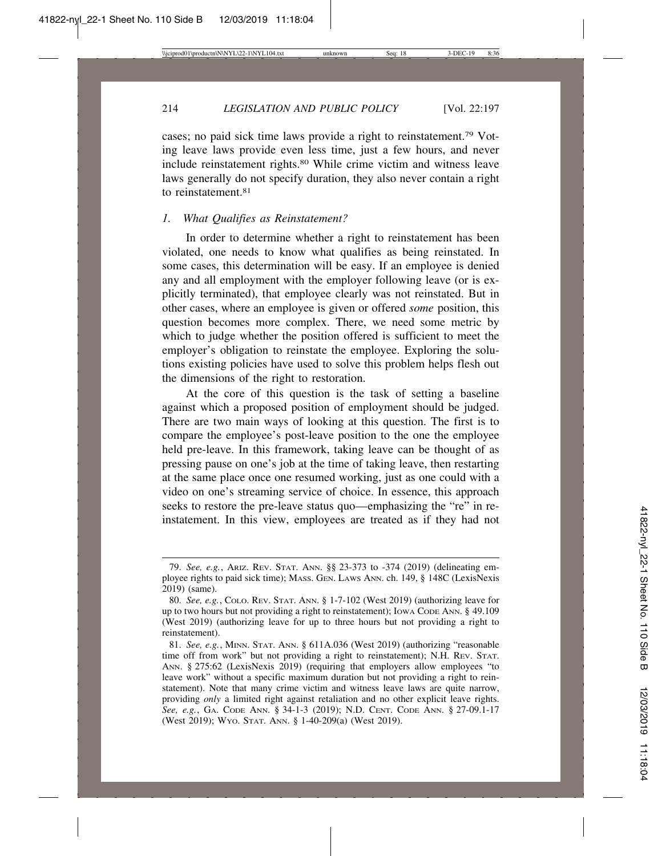214 *LEGISLATION AND PUBLIC POLICY* [Vol. 22:197

cases; no paid sick time laws provide a right to reinstatement.79 Voting leave laws provide even less time, just a few hours, and never include reinstatement rights.80 While crime victim and witness leave laws generally do not specify duration, they also never contain a right to reinstatement.81

## *1. What Qualifies as Reinstatement?*

In order to determine whether a right to reinstatement has been violated, one needs to know what qualifies as being reinstated. In some cases, this determination will be easy. If an employee is denied any and all employment with the employer following leave (or is explicitly terminated), that employee clearly was not reinstated. But in other cases, where an employee is given or offered *some* position, this question becomes more complex. There, we need some metric by which to judge whether the position offered is sufficient to meet the employer's obligation to reinstate the employee. Exploring the solutions existing policies have used to solve this problem helps flesh out the dimensions of the right to restoration.

At the core of this question is the task of setting a baseline against which a proposed position of employment should be judged. There are two main ways of looking at this question. The first is to compare the employee's post-leave position to the one the employee held pre-leave. In this framework, taking leave can be thought of as pressing pause on one's job at the time of taking leave, then restarting at the same place once one resumed working, just as one could with a video on one's streaming service of choice. In essence, this approach seeks to restore the pre-leave status quo—emphasizing the "re" in reinstatement. In this view, employees are treated as if they had not

<sup>79.</sup> *See, e.g.*, ARIZ. REV. STAT. ANN. §§ 23-373 to -374 (2019) (delineating employee rights to paid sick time); MASS. GEN. LAWS ANN. ch. 149, § 148C (LexisNexis 2019) (same).

<sup>80.</sup> *See, e.g.*, COLO. REV. STAT. ANN. § 1-7-102 (West 2019) (authorizing leave for up to two hours but not providing a right to reinstatement); IOWA CODE ANN. § 49.109 (West 2019) (authorizing leave for up to three hours but not providing a right to reinstatement).

<sup>81.</sup> *See, e.g.*, MINN. STAT. ANN. § 611A.036 (West 2019) (authorizing "reasonable time off from work" but not providing a right to reinstatement); N.H. REV. STAT. ANN. § 275:62 (LexisNexis 2019) (requiring that employers allow employees "to leave work" without a specific maximum duration but not providing a right to reinstatement). Note that many crime victim and witness leave laws are quite narrow, providing *only* a limited right against retaliation and no other explicit leave rights. *See, e.g.*, GA. CODE ANN. § 34-1-3 (2019); N.D. CENT. CODE ANN. § 27-09.1-17 (West 2019); WYO. STAT. ANN. § 1-40-209(a) (West 2019).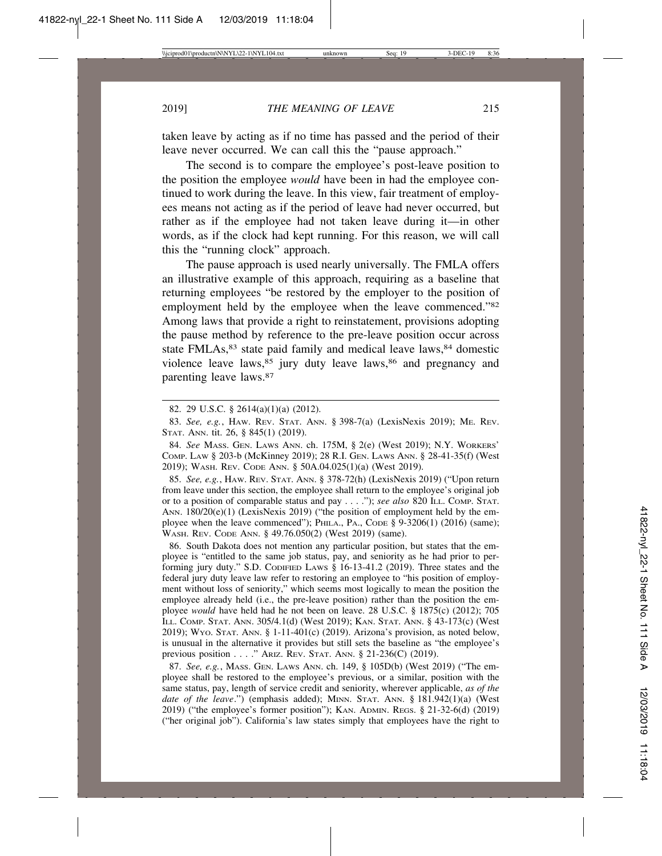taken leave by acting as if no time has passed and the period of their leave never occurred. We can call this the "pause approach."

The second is to compare the employee's post-leave position to the position the employee *would* have been in had the employee continued to work during the leave. In this view, fair treatment of employees means not acting as if the period of leave had never occurred, but rather as if the employee had not taken leave during it—in other words, as if the clock had kept running. For this reason, we will call this the "running clock" approach.

The pause approach is used nearly universally. The FMLA offers an illustrative example of this approach, requiring as a baseline that returning employees "be restored by the employer to the position of employment held by the employee when the leave commenced."<sup>82</sup> Among laws that provide a right to reinstatement, provisions adopting the pause method by reference to the pre-leave position occur across state FMLAs,<sup>83</sup> state paid family and medical leave laws,<sup>84</sup> domestic violence leave laws,<sup>85</sup> jury duty leave laws,<sup>86</sup> and pregnancy and parenting leave laws.87

84. *See* MASS. GEN. LAWS ANN. ch. 175M, § 2(e) (West 2019); N.Y. WORKERS' COMP. LAW § 203-b (McKinney 2019); 28 R.I. GEN. LAWS ANN. § 28-41-35(f) (West 2019); WASH. REV. CODE ANN. § 50A.04.025(1)(a) (West 2019).

85. *See, e.g.*, HAW. REV. STAT. ANN. § 378-72(h) (LexisNexis 2019) ("Upon return from leave under this section, the employee shall return to the employee's original job or to a position of comparable status and pay . . . ."); *see also* 820 ILL. COMP. STAT. ANN.  $180/20(e)(1)$  (LexisNexis 2019) ("the position of employment held by the employee when the leave commenced"); PHILA., PA., CODE  $\S$  9-3206(1) (2016) (same); WASH. REV. CODE ANN. § 49.76.050(2) (West 2019) (same).

86. South Dakota does not mention any particular position, but states that the employee is "entitled to the same job status, pay, and seniority as he had prior to performing jury duty." S.D. CODIFIED LAWS § 16-13-41.2 (2019). Three states and the federal jury duty leave law refer to restoring an employee to "his position of employment without loss of seniority," which seems most logically to mean the position the employee already held (i.e., the pre-leave position) rather than the position the employee *would* have held had he not been on leave. 28 U.S.C. § 1875(c) (2012); 705 ILL. COMP. STAT. ANN. 305/4.1(d) (West 2019); KAN. STAT. ANN. § 43-173(c) (West 2019); WYO. STAT. ANN. § 1-11-401(c) (2019). Arizona's provision, as noted below, is unusual in the alternative it provides but still sets the baseline as "the employee's previous position . . . ." ARIZ. REV. STAT. ANN. § 21-236(C) (2019).

87. *See, e.g.*, MASS. GEN. LAWS ANN. ch. 149, § 105D(b) (West 2019) ("The employee shall be restored to the employee's previous, or a similar, position with the same status, pay, length of service credit and seniority, wherever applicable, *as of the date of the leave*.") (emphasis added); MINN. STAT. ANN. § 181.942(1)(a) (West 2019) ("the employee's former position"); KAN. ADMIN. REGS. § 21-32-6(d) (2019) ("her original job"). California's law states simply that employees have the right to

<sup>82. 29</sup> U.S.C. § 2614(a)(1)(a) (2012).

<sup>83.</sup> *See, e.g.*, HAW. REV. STAT. ANN. § 398-7(a) (LexisNexis 2019); ME. REV. STAT. ANN. tit. 26, § 845(1) (2019).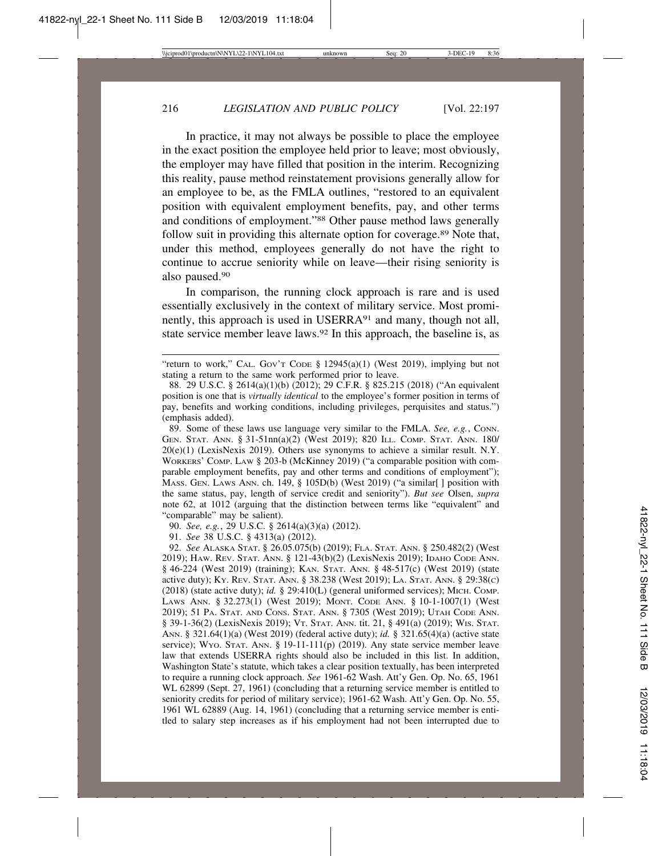In practice, it may not always be possible to place the employee in the exact position the employee held prior to leave; most obviously, the employer may have filled that position in the interim. Recognizing this reality, pause method reinstatement provisions generally allow for an employee to be, as the FMLA outlines, "restored to an equivalent position with equivalent employment benefits, pay, and other terms and conditions of employment."88 Other pause method laws generally follow suit in providing this alternate option for coverage.<sup>89</sup> Note that, under this method, employees generally do not have the right to continue to accrue seniority while on leave—their rising seniority is also paused.90

In comparison, the running clock approach is rare and is used essentially exclusively in the context of military service. Most prominently, this approach is used in USERRA<sup>91</sup> and many, though not all, state service member leave laws.<sup>92</sup> In this approach, the baseline is, as

89. Some of these laws use language very similar to the FMLA. *See, e.g.*, CONN. GEN. STAT. ANN. § 31-51nn(a)(2) (West 2019); 820 ILL. COMP. STAT. ANN. 180/ 20(e)(1) (LexisNexis 2019). Others use synonyms to achieve a similar result. N.Y. WORKERS' COMP. LAW § 203-b (McKinney 2019) ("a comparable position with comparable employment benefits, pay and other terms and conditions of employment"); MASS. GEN. LAWS ANN. ch. 149,  $\S$  105D(b) (West 2019) ("a similar  $\vert$  position with the same status, pay, length of service credit and seniority"). *But see* Olsen, *supra* note 62, at 1012 (arguing that the distinction between terms like "equivalent" and "comparable" may be salient).

90. *See, e.g.*, 29 U.S.C. § 2614(a)(3)(a) (2012).

91. *See* 38 U.S.C. § 4313(a) (2012).

92. *See* ALASKA STAT. § 26.05.075(b) (2019); FLA. STAT. ANN. § 250.482(2) (West 2019); HAW. REV. STAT. ANN. § 121-43(b)(2) (LexisNexis 2019); IDAHO CODE ANN. § 46-224 (West 2019) (training); KAN. STAT. ANN. § 48-517(c) (West 2019) (state active duty); KY. REV. STAT. ANN. § 38.238 (West 2019); LA. STAT. ANN. § 29:38(C) (2018) (state active duty); *id.* § 29:410(L) (general uniformed services); MICH. COMP. LAWS ANN. § 32.273(1) (West 2019); MONT. CODE ANN. § 10-1-1007(1) (West 2019); 51 PA. STAT. AND CONS. STAT. ANN. § 7305 (West 2019); UTAH CODE ANN. § 39-1-36(2) (LexisNexis 2019); VT. STAT. ANN. tit. 21, § 491(a) (2019); WIS. STAT. ANN. § 321.64(1)(a) (West 2019) (federal active duty); *id.* § 321.65(4)(a) (active state service); Wyo. STAT. ANN. § 19-11-111(p) (2019). Any state service member leave law that extends USERRA rights should also be included in this list. In addition, Washington State's statute, which takes a clear position textually, has been interpreted to require a running clock approach. *See* 1961-62 Wash. Att'y Gen. Op. No. 65, 1961 WL 62899 (Sept. 27, 1961) (concluding that a returning service member is entitled to seniority credits for period of military service); 1961-62 Wash. Att'y Gen. Op. No. 55, 1961 WL 62889 (Aug. 14, 1961) (concluding that a returning service member is entitled to salary step increases as if his employment had not been interrupted due to

<sup>&</sup>quot;return to work," CAL. Gov't Cope § 12945(a)(1) (West 2019), implying but not stating a return to the same work performed prior to leave.

<sup>88. 29</sup> U.S.C. § 2614(a)(1)(b) (2012); 29 C.F.R. § 825.215 (2018) ("An equivalent position is one that is *virtually identical* to the employee's former position in terms of pay, benefits and working conditions, including privileges, perquisites and status.") (emphasis added).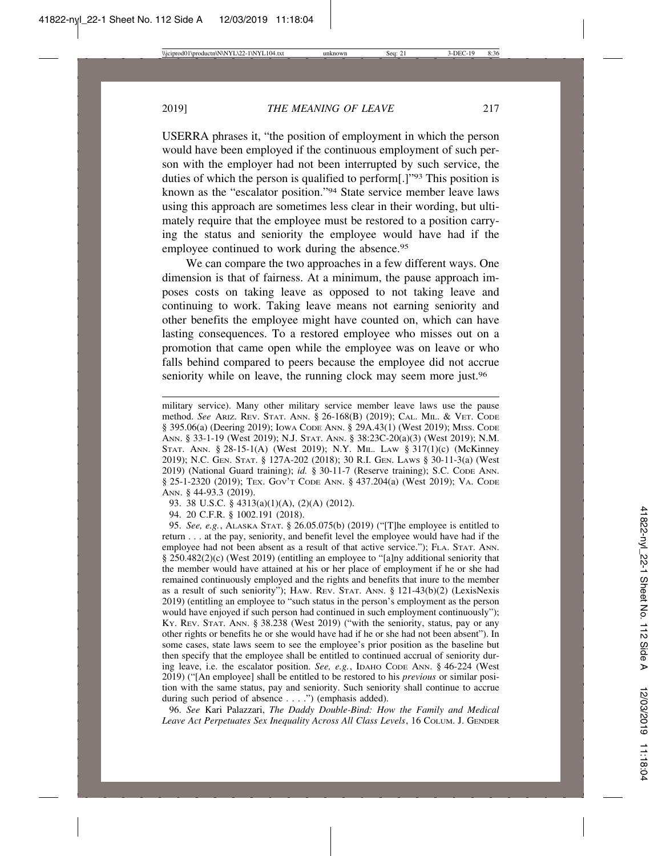USERRA phrases it, "the position of employment in which the person would have been employed if the continuous employment of such person with the employer had not been interrupted by such service, the duties of which the person is qualified to perform[.]"93 This position is known as the "escalator position."94 State service member leave laws using this approach are sometimes less clear in their wording, but ultimately require that the employee must be restored to a position carrying the status and seniority the employee would have had if the employee continued to work during the absence.<sup>95</sup>

We can compare the two approaches in a few different ways. One dimension is that of fairness. At a minimum, the pause approach imposes costs on taking leave as opposed to not taking leave and continuing to work. Taking leave means not earning seniority and other benefits the employee might have counted on, which can have lasting consequences. To a restored employee who misses out on a promotion that came open while the employee was on leave or who falls behind compared to peers because the employee did not accrue seniority while on leave, the running clock may seem more just.<sup>96</sup>

93. 38 U.S.C. § 4313(a)(1)(A), (2)(A) (2012).

94. 20 C.F.R. § 1002.191 (2018).

95. *See, e.g.*, ALASKA STAT. § 26.05.075(b) (2019) ("[T]he employee is entitled to return . . . at the pay, seniority, and benefit level the employee would have had if the employee had not been absent as a result of that active service."); FLA. STAT. ANN. § 250.482(2)(c) (West 2019) (entitling an employee to "[a]ny additional seniority that the member would have attained at his or her place of employment if he or she had remained continuously employed and the rights and benefits that inure to the member as a result of such seniority"); HAW. REV. STAT. ANN. § 121-43(b)(2) (LexisNexis 2019) (entitling an employee to "such status in the person's employment as the person would have enjoyed if such person had continued in such employment continuously"); KY. REV. STAT. ANN. § 38.238 (West 2019) ("with the seniority, status, pay or any other rights or benefits he or she would have had if he or she had not been absent"). In some cases, state laws seem to see the employee's prior position as the baseline but then specify that the employee shall be entitled to continued accrual of seniority during leave, i.e. the escalator position. *See, e.g.*, IDAHO CODE ANN. § 46-224 (West 2019) ("[An employee] shall be entitled to be restored to his *previous* or similar position with the same status, pay and seniority. Such seniority shall continue to accrue during such period of absence . . . .") (emphasis added).

96. *See* Kari Palazzari, *The Daddy Double-Bind: How the Family and Medical Leave Act Perpetuates Sex Inequality Across All Class Levels*, 16 COLUM. J. GENDER

military service). Many other military service member leave laws use the pause method. *See* ARIZ. REV. STAT. ANN. § 26-168(B) (2019); CAL. MIL. & VET. CODE § 395.06(a) (Deering 2019); IOWA CODE ANN. § 29A.43(1) (West 2019); MISS. CODE ANN. § 33-1-19 (West 2019); N.J. STAT. ANN. § 38:23C-20(a)(3) (West 2019); N.M. STAT. ANN. § 28-15-1(A) (West 2019); N.Y. MIL. LAW § 317(1)(c) (McKinney 2019); N.C. GEN. STAT. § 127A-202 (2018); 30 R.I. GEN. LAWS § 30-11-3(a) (West 2019) (National Guard training); *id.* § 30-11-7 (Reserve training); S.C. CODE ANN. § 25-1-2320 (2019); TEX. GOV'T CODE ANN. § 437.204(a) (West 2019); VA. CODE ANN. § 44-93.3 (2019).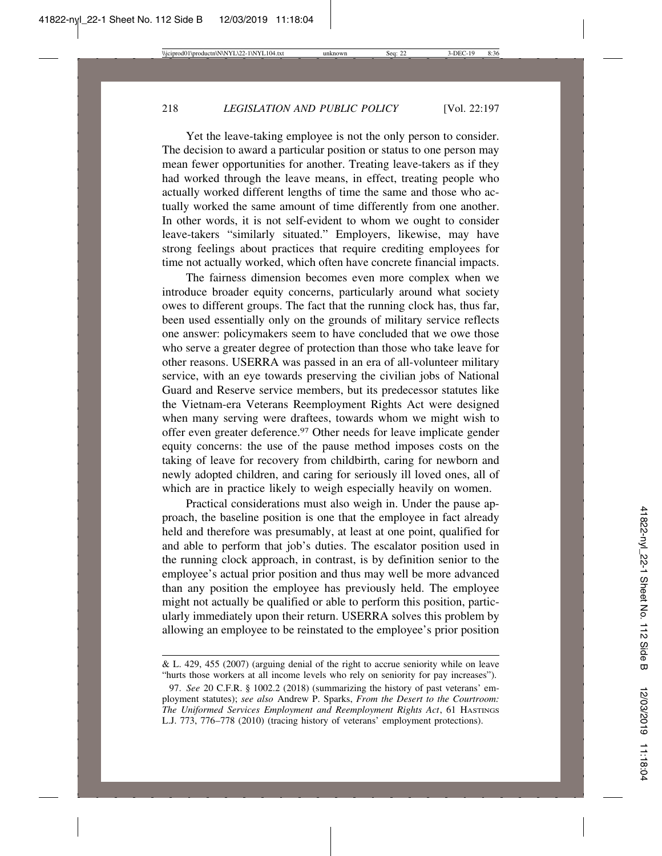Yet the leave-taking employee is not the only person to consider. The decision to award a particular position or status to one person may mean fewer opportunities for another. Treating leave-takers as if they had worked through the leave means, in effect, treating people who actually worked different lengths of time the same and those who actually worked the same amount of time differently from one another. In other words, it is not self-evident to whom we ought to consider leave-takers "similarly situated." Employers, likewise, may have strong feelings about practices that require crediting employees for time not actually worked, which often have concrete financial impacts.

The fairness dimension becomes even more complex when we introduce broader equity concerns, particularly around what society owes to different groups. The fact that the running clock has, thus far, been used essentially only on the grounds of military service reflects one answer: policymakers seem to have concluded that we owe those who serve a greater degree of protection than those who take leave for other reasons. USERRA was passed in an era of all-volunteer military service, with an eye towards preserving the civilian jobs of National Guard and Reserve service members, but its predecessor statutes like the Vietnam-era Veterans Reemployment Rights Act were designed when many serving were draftees, towards whom we might wish to offer even greater deference.97 Other needs for leave implicate gender equity concerns: the use of the pause method imposes costs on the taking of leave for recovery from childbirth, caring for newborn and newly adopted children, and caring for seriously ill loved ones, all of which are in practice likely to weigh especially heavily on women.

Practical considerations must also weigh in. Under the pause approach, the baseline position is one that the employee in fact already held and therefore was presumably, at least at one point, qualified for and able to perform that job's duties. The escalator position used in the running clock approach, in contrast, is by definition senior to the employee's actual prior position and thus may well be more advanced than any position the employee has previously held. The employee might not actually be qualified or able to perform this position, particularly immediately upon their return. USERRA solves this problem by allowing an employee to be reinstated to the employee's prior position

<sup>&</sup>amp; L. 429, 455 (2007) (arguing denial of the right to accrue seniority while on leave "hurts those workers at all income levels who rely on seniority for pay increases").

<sup>97.</sup> *See* 20 C.F.R. § 1002.2 (2018) (summarizing the history of past veterans' employment statutes); *see also* Andrew P. Sparks, *From the Desert to the Courtroom: The Uniformed Services Employment and Reemployment Rights Act*, 61 HASTINGS L.J. 773, 776–778 (2010) (tracing history of veterans' employment protections).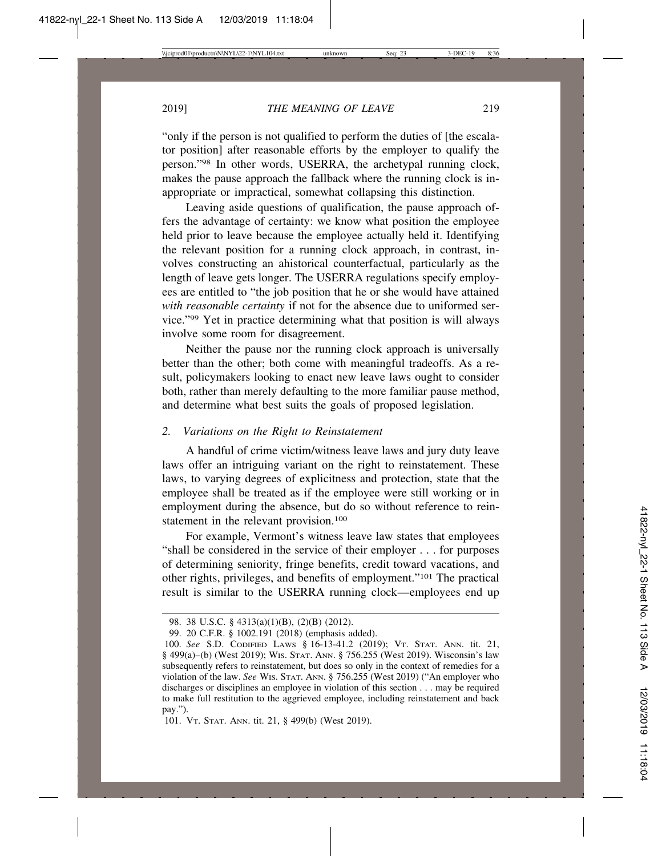"only if the person is not qualified to perform the duties of [the escalator position] after reasonable efforts by the employer to qualify the person."98 In other words, USERRA, the archetypal running clock, makes the pause approach the fallback where the running clock is inappropriate or impractical, somewhat collapsing this distinction.

Leaving aside questions of qualification, the pause approach offers the advantage of certainty: we know what position the employee held prior to leave because the employee actually held it. Identifying the relevant position for a running clock approach, in contrast, involves constructing an ahistorical counterfactual, particularly as the length of leave gets longer. The USERRA regulations specify employees are entitled to "the job position that he or she would have attained *with reasonable certainty* if not for the absence due to uniformed service."99 Yet in practice determining what that position is will always involve some room for disagreement.

Neither the pause nor the running clock approach is universally better than the other; both come with meaningful tradeoffs. As a result, policymakers looking to enact new leave laws ought to consider both, rather than merely defaulting to the more familiar pause method, and determine what best suits the goals of proposed legislation.

# *2. Variations on the Right to Reinstatement*

A handful of crime victim/witness leave laws and jury duty leave laws offer an intriguing variant on the right to reinstatement. These laws, to varying degrees of explicitness and protection, state that the employee shall be treated as if the employee were still working or in employment during the absence, but do so without reference to reinstatement in the relevant provision.<sup>100</sup>

For example, Vermont's witness leave law states that employees "shall be considered in the service of their employer . . . for purposes of determining seniority, fringe benefits, credit toward vacations, and other rights, privileges, and benefits of employment."101 The practical result is similar to the USERRA running clock—employees end up

<sup>98. 38</sup> U.S.C. § 4313(a)(1)(B), (2)(B) (2012).

<sup>99. 20</sup> C.F.R. § 1002.191 (2018) (emphasis added).

<sup>100.</sup> *See* S.D. CODIFIED LAWS § 16-13-41.2 (2019); VT. STAT. ANN. tit. 21, § 499(a)–(b) (West 2019); WIS. STAT. ANN. § 756.255 (West 2019). Wisconsin's law subsequently refers to reinstatement, but does so only in the context of remedies for a violation of the law. *See* WIS. STAT. ANN. § 756.255 (West 2019) ("An employer who discharges or disciplines an employee in violation of this section . . . may be required to make full restitution to the aggrieved employee, including reinstatement and back pay.").

<sup>101.</sup> VT. STAT. ANN. tit. 21, § 499(b) (West 2019).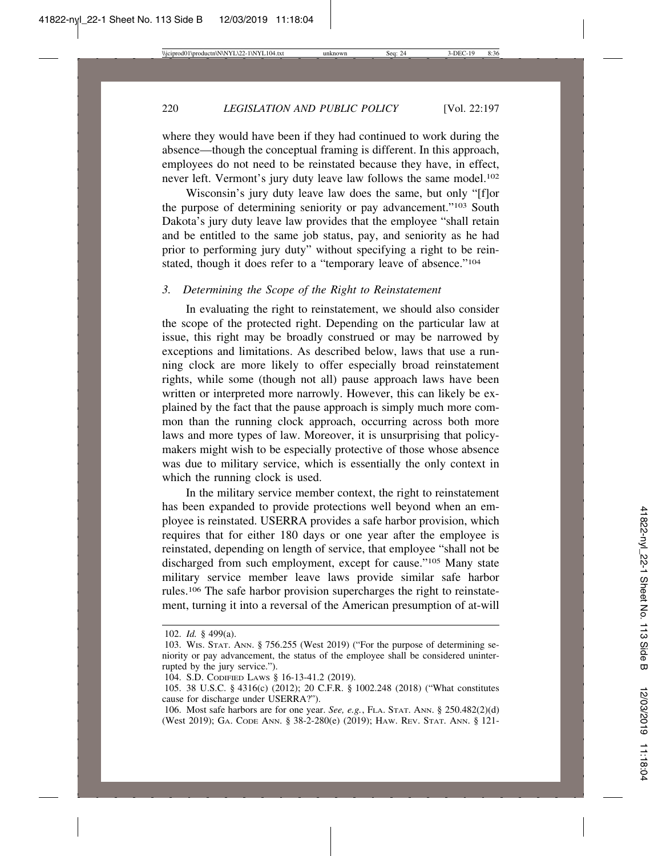where they would have been if they had continued to work during the absence—though the conceptual framing is different. In this approach, employees do not need to be reinstated because they have, in effect, never left. Vermont's jury duty leave law follows the same model.<sup>102</sup>

Wisconsin's jury duty leave law does the same, but only "[f]or the purpose of determining seniority or pay advancement."103 South Dakota's jury duty leave law provides that the employee "shall retain and be entitled to the same job status, pay, and seniority as he had prior to performing jury duty" without specifying a right to be reinstated, though it does refer to a "temporary leave of absence."104

# *3. Determining the Scope of the Right to Reinstatement*

In evaluating the right to reinstatement, we should also consider the scope of the protected right. Depending on the particular law at issue, this right may be broadly construed or may be narrowed by exceptions and limitations. As described below, laws that use a running clock are more likely to offer especially broad reinstatement rights, while some (though not all) pause approach laws have been written or interpreted more narrowly. However, this can likely be explained by the fact that the pause approach is simply much more common than the running clock approach, occurring across both more laws and more types of law. Moreover, it is unsurprising that policymakers might wish to be especially protective of those whose absence was due to military service, which is essentially the only context in which the running clock is used.

In the military service member context, the right to reinstatement has been expanded to provide protections well beyond when an employee is reinstated. USERRA provides a safe harbor provision, which requires that for either 180 days or one year after the employee is reinstated, depending on length of service, that employee "shall not be discharged from such employment, except for cause."105 Many state military service member leave laws provide similar safe harbor rules.106 The safe harbor provision supercharges the right to reinstatement, turning it into a reversal of the American presumption of at-will

<sup>102.</sup> *Id.* § 499(a).

<sup>103.</sup> WIS. STAT. ANN. § 756.255 (West 2019) ("For the purpose of determining seniority or pay advancement, the status of the employee shall be considered uninterrupted by the jury service.").

<sup>104.</sup> S.D. CODIFIED LAWS § 16-13-41.2 (2019).

<sup>105. 38</sup> U.S.C. § 4316(c) (2012); 20 C.F.R. § 1002.248 (2018) ("What constitutes cause for discharge under USERRA?").

<sup>106.</sup> Most safe harbors are for one year. *See, e.g.*, FLA. STAT. ANN. § 250.482(2)(d) (West 2019); GA. CODE ANN. § 38-2-280(e) (2019); HAW. REV. STAT. ANN. § 121-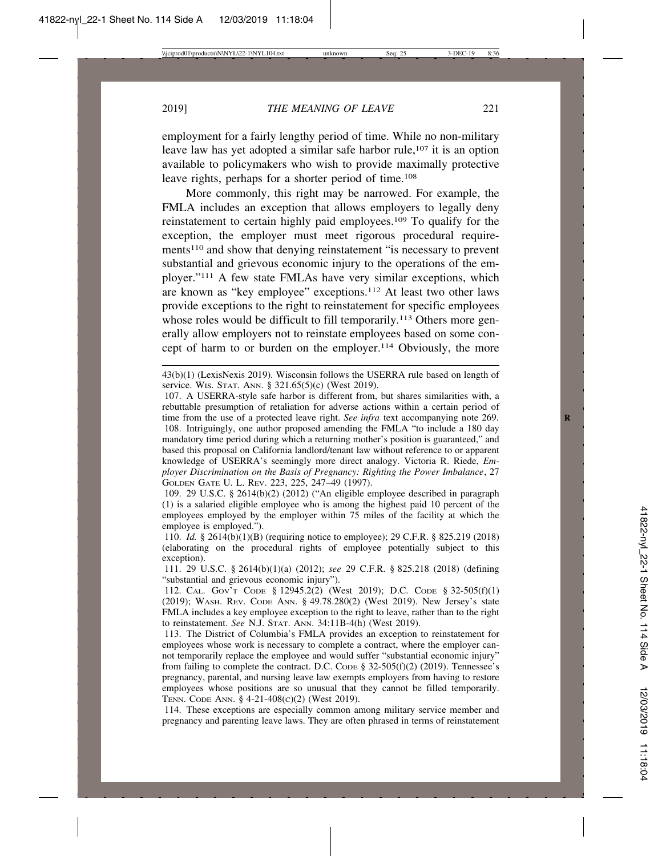employment for a fairly lengthy period of time. While no non-military leave law has yet adopted a similar safe harbor rule,<sup>107</sup> it is an option available to policymakers who wish to provide maximally protective leave rights, perhaps for a shorter period of time.108

More commonly, this right may be narrowed. For example, the FMLA includes an exception that allows employers to legally deny reinstatement to certain highly paid employees.109 To qualify for the exception, the employer must meet rigorous procedural requirements110 and show that denying reinstatement "is necessary to prevent substantial and grievous economic injury to the operations of the employer."111 A few state FMLAs have very similar exceptions, which are known as "key employee" exceptions.112 At least two other laws provide exceptions to the right to reinstatement for specific employees whose roles would be difficult to fill temporarily.<sup>113</sup> Others more generally allow employers not to reinstate employees based on some concept of harm to or burden on the employer.114 Obviously, the more

43(b)(1) (LexisNexis 2019). Wisconsin follows the USERRA rule based on length of service. WIS. STAT. ANN. § 321.65(5)(c) (West 2019).

107. A USERRA-style safe harbor is different from, but shares similarities with, a rebuttable presumption of retaliation for adverse actions within a certain period of time from the use of a protected leave right. *See infra* text accompanying note 269. **R** 108. Intriguingly, one author proposed amending the FMLA "to include a 180 day mandatory time period during which a returning mother's position is guaranteed," and based this proposal on California landlord/tenant law without reference to or apparent knowledge of USERRA's seemingly more direct analogy. Victoria R. Riede, *Employer Discrimination on the Basis of Pregnancy: Righting the Power Imbalance*, 27 GOLDEN GATE U. L. REV. 223, 225, 247–49 (1997).

109. 29 U.S.C. § 2614(b)(2) (2012) ("An eligible employee described in paragraph (1) is a salaried eligible employee who is among the highest paid 10 percent of the employees employed by the employer within 75 miles of the facility at which the employee is employed.").

110. *Id.* § 2614(b)(1)(B) (requiring notice to employee); 29 C.F.R. § 825.219 (2018) (elaborating on the procedural rights of employee potentially subject to this exception).

111. 29 U.S.C. § 2614(b)(1)(a) (2012); *see* 29 C.F.R. § 825.218 (2018) (defining "substantial and grievous economic injury").

112. CAL. GOV'T CODE § 12945.2(2) (West 2019); D.C. CODE § 32-505(f)(1) (2019); WASH. REV. CODE ANN. § 49.78.280(2) (West 2019). New Jersey's state FMLA includes a key employee exception to the right to leave, rather than to the right to reinstatement. *See* N.J. STAT. ANN. 34:11B-4(h) (West 2019).

113. The District of Columbia's FMLA provides an exception to reinstatement for employees whose work is necessary to complete a contract, where the employer cannot temporarily replace the employee and would suffer "substantial economic injury" from failing to complete the contract. D.C. Code  $\S$  32-505(f)(2) (2019). Tennessee's pregnancy, parental, and nursing leave law exempts employers from having to restore employees whose positions are so unusual that they cannot be filled temporarily. TENN. CODE ANN. § 4-21-408(C)(2) (West 2019).

114. These exceptions are especially common among military service member and pregnancy and parenting leave laws. They are often phrased in terms of reinstatement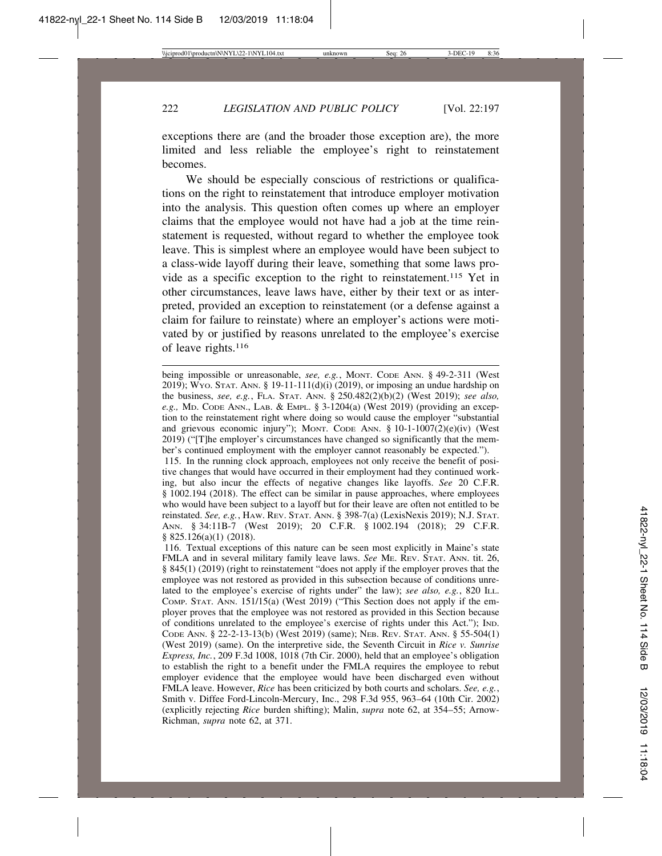exceptions there are (and the broader those exception are), the more limited and less reliable the employee's right to reinstatement becomes.

We should be especially conscious of restrictions or qualifications on the right to reinstatement that introduce employer motivation into the analysis. This question often comes up where an employer claims that the employee would not have had a job at the time reinstatement is requested, without regard to whether the employee took leave. This is simplest where an employee would have been subject to a class-wide layoff during their leave, something that some laws provide as a specific exception to the right to reinstatement.115 Yet in other circumstances, leave laws have, either by their text or as interpreted, provided an exception to reinstatement (or a defense against a claim for failure to reinstate) where an employer's actions were motivated by or justified by reasons unrelated to the employee's exercise of leave rights.116

115. In the running clock approach, employees not only receive the benefit of positive changes that would have occurred in their employment had they continued working, but also incur the effects of negative changes like layoffs. *See* 20 C.F.R. § 1002.194 (2018). The effect can be similar in pause approaches, where employees who would have been subject to a layoff but for their leave are often not entitled to be reinstated. *See, e.g.*, HAW. REV. STAT. ANN. § 398-7(a) (LexisNexis 2019); N.J. STAT. ANN. § 34:11B-7 (West 2019); 20 C.F.R. § 1002.194 (2018); 29 C.F.R. § 825.126(a)(1) (2018).

116. Textual exceptions of this nature can be seen most explicitly in Maine's state FMLA and in several military family leave laws. *See* ME. REV. STAT. ANN. tit. 26, § 845(1) (2019) (right to reinstatement "does not apply if the employer proves that the employee was not restored as provided in this subsection because of conditions unrelated to the employee's exercise of rights under" the law); see also, e.g., 820 ILL. COMP. STAT. ANN. 151/15(a) (West 2019) ("This Section does not apply if the employer proves that the employee was not restored as provided in this Section because of conditions unrelated to the employee's exercise of rights under this Act."); IND. CODE ANN. § 22-2-13-13(b) (West 2019) (same); NEB. REV. STAT. ANN. § 55-504(1) (West 2019) (same). On the interpretive side, the Seventh Circuit in *Rice v. Sunrise Express, Inc.*, 209 F.3d 1008, 1018 (7th Cir. 2000), held that an employee's obligation to establish the right to a benefit under the FMLA requires the employee to rebut employer evidence that the employee would have been discharged even without FMLA leave. However, *Rice* has been criticized by both courts and scholars. *See, e.g.*, Smith v. Diffee Ford-Lincoln-Mercury, Inc., 298 F.3d 955, 963–64 (10th Cir. 2002) (explicitly rejecting *Rice* burden shifting); Malin, *supra* note 62, at 354–55; Arnow-Richman, *supra* note 62, at 371.

being impossible or unreasonable, *see*, *e.g.*, MONT. CODE ANN. § 49-2-311 (West 2019); WYO. STAT. ANN. § 19-11-111(d)(i) (2019), or imposing an undue hardship on the business, *see, e.g.*, FLA. STAT. ANN. § 250.482(2)(b)(2) (West 2019); *see also, e.g.,* MD. CODE ANN., LAB. & EMPL. § 3-1204(a) (West 2019) (providing an exception to the reinstatement right where doing so would cause the employer "substantial and grievous economic injury"); MONT. CODE ANN. § 10-1-1007(2)(e)(iv) (West 2019) ("[T]he employer's circumstances have changed so significantly that the member's continued employment with the employer cannot reasonably be expected.").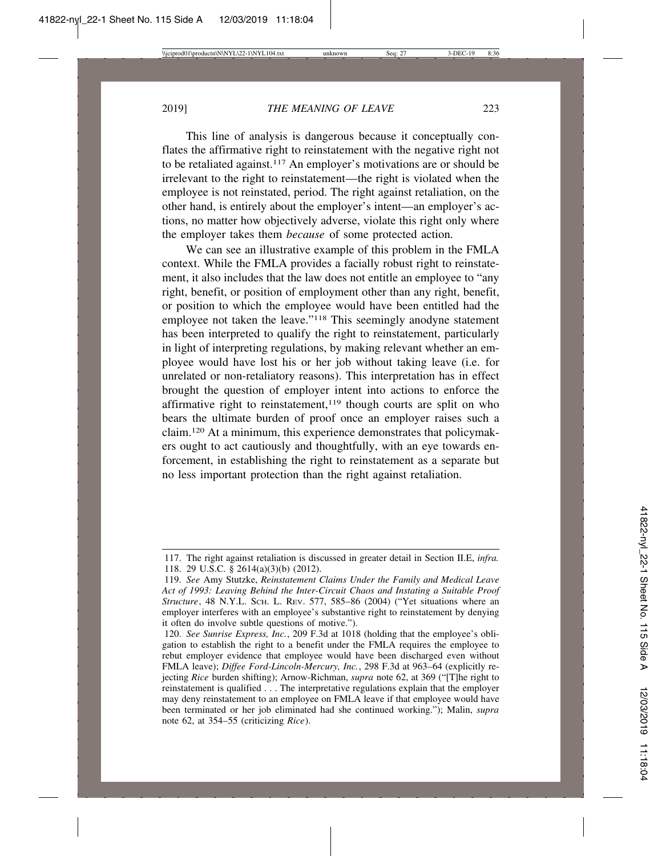This line of analysis is dangerous because it conceptually conflates the affirmative right to reinstatement with the negative right not to be retaliated against.117 An employer's motivations are or should be irrelevant to the right to reinstatement—the right is violated when the employee is not reinstated, period. The right against retaliation, on the other hand, is entirely about the employer's intent—an employer's actions, no matter how objectively adverse, violate this right only where the employer takes them *because* of some protected action.

We can see an illustrative example of this problem in the FMLA context. While the FMLA provides a facially robust right to reinstatement, it also includes that the law does not entitle an employee to "any right, benefit, or position of employment other than any right, benefit, or position to which the employee would have been entitled had the employee not taken the leave."118 This seemingly anodyne statement has been interpreted to qualify the right to reinstatement, particularly in light of interpreting regulations, by making relevant whether an employee would have lost his or her job without taking leave (i.e. for unrelated or non-retaliatory reasons). This interpretation has in effect brought the question of employer intent into actions to enforce the affirmative right to reinstatement, $119$  though courts are split on who bears the ultimate burden of proof once an employer raises such a claim.120 At a minimum, this experience demonstrates that policymakers ought to act cautiously and thoughtfully, with an eye towards enforcement, in establishing the right to reinstatement as a separate but no less important protection than the right against retaliation.

<sup>117.</sup> The right against retaliation is discussed in greater detail in Section II.E, *infra.* 118. 29 U.S.C. § 2614(a)(3)(b) (2012).

<sup>119.</sup> *See* Amy Stutzke, *Reinstatement Claims Under the Family and Medical Leave Act of 1993: Leaving Behind the Inter-Circuit Chaos and Instating a Suitable Proof Structure*, 48 N.Y.L. SCH. L. REV. 577, 585–86 (2004) ("Yet situations where an employer interferes with an employee's substantive right to reinstatement by denying it often do involve subtle questions of motive.").

<sup>120.</sup> *See Sunrise Express, Inc.*, 209 F.3d at 1018 (holding that the employee's obligation to establish the right to a benefit under the FMLA requires the employee to rebut employer evidence that employee would have been discharged even without FMLA leave); *Diffee Ford-Lincoln-Mercury, Inc.*, 298 F.3d at 963–64 (explicitly rejecting *Rice* burden shifting); Arnow-Richman, *supra* note 62, at 369 ("[T]he right to reinstatement is qualified . . . The interpretative regulations explain that the employer may deny reinstatement to an employee on FMLA leave if that employee would have been terminated or her job eliminated had she continued working."); Malin, *supra* note 62, at 354–55 (criticizing *Rice*).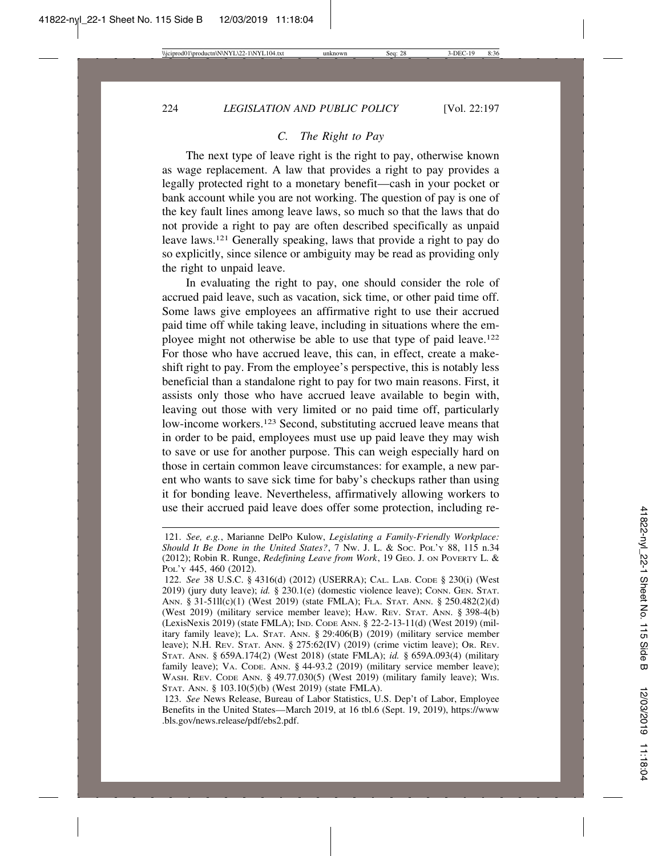# *C. The Right to Pay*

The next type of leave right is the right to pay, otherwise known as wage replacement. A law that provides a right to pay provides a legally protected right to a monetary benefit—cash in your pocket or bank account while you are not working. The question of pay is one of the key fault lines among leave laws, so much so that the laws that do not provide a right to pay are often described specifically as unpaid leave laws.121 Generally speaking, laws that provide a right to pay do so explicitly, since silence or ambiguity may be read as providing only the right to unpaid leave.

In evaluating the right to pay, one should consider the role of accrued paid leave, such as vacation, sick time, or other paid time off. Some laws give employees an affirmative right to use their accrued paid time off while taking leave, including in situations where the employee might not otherwise be able to use that type of paid leave.<sup>122</sup> For those who have accrued leave, this can, in effect, create a makeshift right to pay. From the employee's perspective, this is notably less beneficial than a standalone right to pay for two main reasons. First, it assists only those who have accrued leave available to begin with, leaving out those with very limited or no paid time off, particularly low-income workers.<sup>123</sup> Second, substituting accrued leave means that in order to be paid, employees must use up paid leave they may wish to save or use for another purpose. This can weigh especially hard on those in certain common leave circumstances: for example, a new parent who wants to save sick time for baby's checkups rather than using it for bonding leave. Nevertheless, affirmatively allowing workers to use their accrued paid leave does offer some protection, including re-

<sup>121.</sup> *See, e.g.*, Marianne DelPo Kulow, *Legislating a Family-Friendly Workplace: Should It Be Done in the United States?*, 7 NW. J. L. & SOC. POL'Y 88, 115 n.34 (2012); Robin R. Runge, *Redefining Leave from Work*, 19 GEO. J. ON POVERTY L. & POL'Y 445, 460 (2012).

<sup>122.</sup> *See* 38 U.S.C. § 4316(d) (2012) (USERRA); CAL. LAB. CODE § 230(i) (West 2019) (jury duty leave); *id.* § 230.1(e) (domestic violence leave); CONN. GEN. STAT. ANN. § 31-51ll(c)(1) (West 2019) (state FMLA); FLA. STAT. ANN. § 250.482(2)(d) (West 2019) (military service member leave); HAW. REV. STAT. ANN. § 398-4(b) (LexisNexis 2019) (state FMLA); IND. CODE ANN. § 22-2-13-11(d) (West 2019) (military family leave); LA. STAT. ANN. § 29:406(B) (2019) (military service member leave); N.H. REV. STAT. ANN. § 275:62(IV) (2019) (crime victim leave); OR. REV. STAT. ANN. § 659A.174(2) (West 2018) (state FMLA); *id.* § 659A.093(4) (military family leave); VA. CODE. ANN. § 44-93.2 (2019) (military service member leave); WASH. REV. CODE ANN. § 49.77.030(5) (West 2019) (military family leave); WIS. STAT. ANN. § 103.10(5)(b) (West 2019) (state FMLA).

<sup>123.</sup> *See* News Release, Bureau of Labor Statistics, U.S. Dep't of Labor, Employee Benefits in the United States—March 2019, at 16 tbl.6 (Sept. 19, 2019), https://www .bls.gov/news.release/pdf/ebs2.pdf.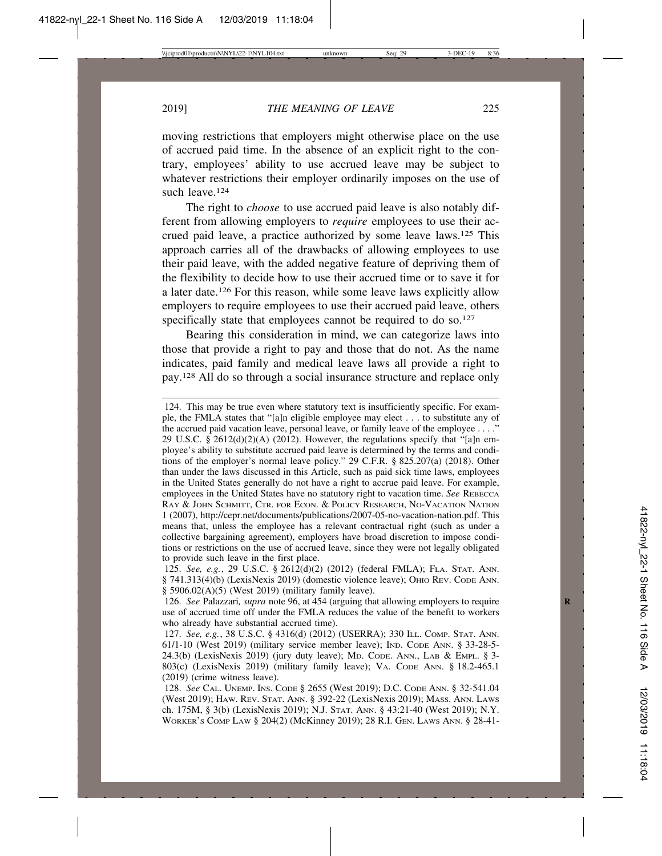moving restrictions that employers might otherwise place on the use of accrued paid time. In the absence of an explicit right to the contrary, employees' ability to use accrued leave may be subject to whatever restrictions their employer ordinarily imposes on the use of such leave.<sup>124</sup>

The right to *choose* to use accrued paid leave is also notably different from allowing employers to *require* employees to use their accrued paid leave, a practice authorized by some leave laws.125 This approach carries all of the drawbacks of allowing employees to use their paid leave, with the added negative feature of depriving them of the flexibility to decide how to use their accrued time or to save it for a later date.126 For this reason, while some leave laws explicitly allow employers to require employees to use their accrued paid leave, others specifically state that employees cannot be required to do so.<sup>127</sup>

Bearing this consideration in mind, we can categorize laws into those that provide a right to pay and those that do not. As the name indicates, paid family and medical leave laws all provide a right to pay.128 All do so through a social insurance structure and replace only

<sup>124.</sup> This may be true even where statutory text is insufficiently specific. For example, the FMLA states that "[a]n eligible employee may elect . . . to substitute any of the accrued paid vacation leave, personal leave, or family leave of the employee . . . ." 29 U.S.C. § 2612(d)(2)(A) (2012). However, the regulations specify that "[a]n employee's ability to substitute accrued paid leave is determined by the terms and conditions of the employer's normal leave policy." 29 C.F.R. § 825.207(a) (2018). Other than under the laws discussed in this Article, such as paid sick time laws, employees in the United States generally do not have a right to accrue paid leave. For example, employees in the United States have no statutory right to vacation time. *See* REBECCA RAY & JOHN SCHMITT, CTR. FOR ECON. & POLICY RESEARCH, NO-VACATION NATION 1 (2007), http://cepr.net/documents/publications/2007-05-no-vacation-nation.pdf. This means that, unless the employee has a relevant contractual right (such as under a collective bargaining agreement), employers have broad discretion to impose conditions or restrictions on the use of accrued leave, since they were not legally obligated to provide such leave in the first place.

<sup>125.</sup> *See, e.g.*, 29 U.S.C. § 2612(d)(2) (2012) (federal FMLA); FLA. STAT. ANN. § 741.313(4)(b) (LexisNexis 2019) (domestic violence leave); OHIO REV. CODE ANN. § 5906.02(A)(5) (West 2019) (military family leave).

<sup>126.</sup> *See* Palazzari, *supra* note 96, at 454 (arguing that allowing employers to require use of accrued time off under the FMLA reduces the value of the benefit to workers who already have substantial accrued time).

<sup>127.</sup> *See, e.g.*, 38 U.S.C. § 4316(d) (2012) (USERRA); 330 ILL. COMP. STAT. ANN. 61/1-10 (West 2019) (military service member leave); IND. CODE ANN. § 33-28-5- 24.3(b) (LexisNexis 2019) (jury duty leave); MD. CODE. ANN., LAB & EMPL. § 3- 803(c) (LexisNexis 2019) (military family leave); VA. CODE ANN. § 18.2-465.1 (2019) (crime witness leave).

<sup>128.</sup> *See* CAL. UNEMP. INS. CODE § 2655 (West 2019); D.C. CODE ANN. § 32-541.04 (West 2019); HAW. REV. STAT. ANN. § 392-22 (LexisNexis 2019); MASS. ANN. LAWS ch. 175M, § 3(b) (LexisNexis 2019); N.J. STAT. ANN. § 43:21-40 (West 2019); N.Y. WORKER'S COMP LAW § 204(2) (McKinney 2019); 28 R.I. GEN. LAWS ANN. § 28-41-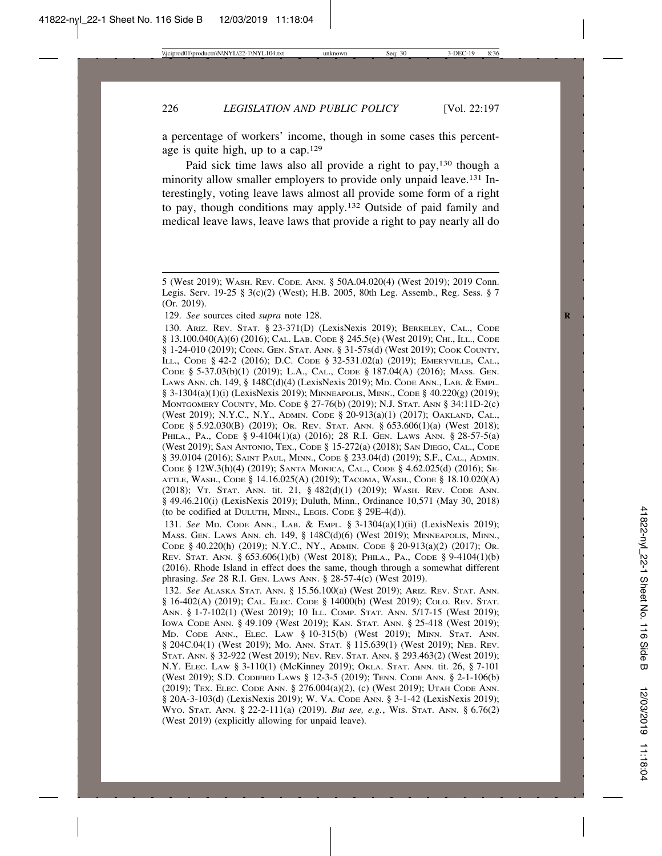a percentage of workers' income, though in some cases this percentage is quite high, up to a cap.129

Paid sick time laws also all provide a right to pay,<sup>130</sup> though a minority allow smaller employers to provide only unpaid leave.131 Interestingly, voting leave laws almost all provide some form of a right to pay, though conditions may apply.132 Outside of paid family and medical leave laws, leave laws that provide a right to pay nearly all do

129. *See* sources cited *supra* note 128.

130. ARIZ. REV. STAT. § 23-371(D) (LexisNexis 2019); BERKELEY, CAL., CODE § 13.100.040(A)(6) (2016); CAL. LAB. CODE § 245.5(e) (West 2019); CHI., ILL., CODE § 1-24-010 (2019); CONN. GEN. STAT. ANN. § 31-57s(d) (West 2019); COOK COUNTY, ILL., CODE § 42-2 (2016); D.C. CODE § 32-531.02(a) (2019); EMERYVILLE, CAL., CODE § 5-37.03(b)(1) (2019); L.A., CAL., CODE § 187.04(A) (2016); MASS. GEN. LAWS ANN. ch. 149, § 148C(d)(4) (LexisNexis 2019); MD. CODE ANN., LAB. & EMPL. § 3-1304(a)(1)(i) (LexisNexis 2019); MINNEAPOLIS, MINN., CODE § 40.220(g) (2019); MONTGOMERY COUNTY, MD. CODE § 27-76(b) (2019); N.J. STAT. ANN § 34:11D-2(c) (West 2019); N.Y.C., N.Y., ADMIN. CODE § 20-913(a)(1) (2017); OAKLAND, CAL., CODE § 5.92.030(B) (2019); OR. REV. STAT. ANN. § 653.606(1)(a) (West 2018); PHILA., PA., CODE § 9-4104(1)(a) (2016); 28 R.I. GEN. LAWS ANN. § 28-57-5(a) (West 2019); SAN ANTONIO, TEX., CODE § 15-272(a) (2018); SAN DIEGO, CAL., CODE § 39.0104 (2016); SAINT PAUL, MINN., CODE § 233.04(d) (2019); S.F., CAL., ADMIN. CODE § 12W.3(h)(4) (2019); SANTA MONICA, CAL., CODE § 4.62.025(d) (2016); SE-ATTLE, WASH., CODE § 14.16.025(A) (2019); TACOMA, WASH., CODE § 18.10.020(A) (2018); VT. STAT. ANN. tit. 21, § 482(d)(1) (2019); WASH. REV. CODE ANN. § 49.46.210(i) (LexisNexis 2019); Duluth, Minn., Ordinance 10,571 (May 30, 2018) (to be codified at DULUTH, MINN., LEGIS. CODE § 29E-4(d)).

131. *See* MD. CODE ANN., LAB. & EMPL. § 3-1304(a)(1)(ii) (LexisNexis 2019); MASS. GEN. LAWS ANN. ch. 149, § 148C(d)(6) (West 2019); MINNEAPOLIS, MINN., CODE § 40.220(h) (2019); N.Y.C., NY., ADMIN. CODE § 20-913(a)(2) (2017); OR. REV. STAT. ANN. § 653.606(1)(b) (West 2018); PHILA., PA., CODE § 9-4104(1)(b) (2016). Rhode Island in effect does the same, though through a somewhat different phrasing. *See* 28 R.I. GEN. LAWS ANN. § 28-57-4(c) (West 2019).

132. *See* ALASKA STAT. ANN. § 15.56.100(a) (West 2019); ARIZ. REV. STAT. ANN. § 16-402(A) (2019); CAL. ELEC. CODE § 14000(b) (West 2019); COLO. REV. STAT. ANN. § 1-7-102(1) (West 2019); 10 ILL. COMP. STAT. ANN. 5/17-15 (West 2019); IOWA CODE ANN. § 49.109 (West 2019); KAN. STAT. ANN. § 25-418 (West 2019); MD. CODE ANN., ELEC. LAW § 10-315(b) (West 2019); MINN. STAT. ANN. § 204C.04(1) (West 2019); MO. ANN. STAT. § 115.639(1) (West 2019); NEB. REV. STAT. ANN. § 32-922 (West 2019); NEV. REV. STAT. ANN. § 293.463(2) (West 2019); N.Y. ELEC. LAW § 3-110(1) (McKinney 2019); OKLA. STAT. ANN. tit. 26, § 7-101 (West 2019); S.D. CODIFIED LAWS § 12-3-5 (2019); TENN. CODE ANN. § 2-1-106(b) (2019); TEX. ELEC. CODE ANN. § 276.004(a)(2), (c) (West 2019); UTAH CODE ANN. § 20A-3-103(d) (LexisNexis 2019); W. VA. CODE ANN. § 3-1-42 (LexisNexis 2019); WYO. STAT. ANN. § 22-2-111(a) (2019). *But see, e.g.*, WIS. STAT. ANN. § 6.76(2) (West 2019) (explicitly allowing for unpaid leave).

<sup>5 (</sup>West 2019); WASH. REV. CODE. ANN. § 50A.04.020(4) (West 2019); 2019 Conn. Legis. Serv. 19-25 § 3(c)(2) (West); H.B. 2005, 80th Leg. Assemb., Reg. Sess. § 7 (Or. 2019).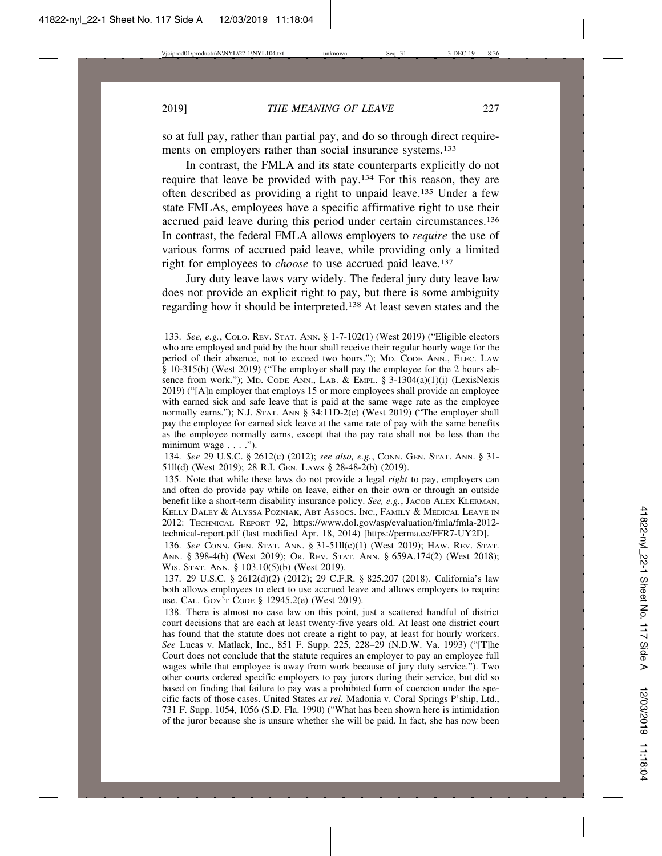so at full pay, rather than partial pay, and do so through direct requirements on employers rather than social insurance systems.<sup>133</sup>

In contrast, the FMLA and its state counterparts explicitly do not require that leave be provided with pay.134 For this reason, they are often described as providing a right to unpaid leave.135 Under a few state FMLAs, employees have a specific affirmative right to use their accrued paid leave during this period under certain circumstances.136 In contrast, the federal FMLA allows employers to *require* the use of various forms of accrued paid leave, while providing only a limited right for employees to *choose* to use accrued paid leave.137

Jury duty leave laws vary widely. The federal jury duty leave law does not provide an explicit right to pay, but there is some ambiguity regarding how it should be interpreted.138 At least seven states and the

134. *See* 29 U.S.C. § 2612(c) (2012); *see also, e.g.*, CONN. GEN. STAT. ANN. § 31- 51ll(d) (West 2019); 28 R.I. GEN. LAWS § 28-48-2(b) (2019).

135. Note that while these laws do not provide a legal *right* to pay, employers can and often do provide pay while on leave, either on their own or through an outside benefit like a short-term disability insurance policy. *See, e.g.*, JACOB ALEX KLERMAN, KELLY DALEY & ALYSSA POZNIAK, ABT ASSOCS. INC., FAMILY & MEDICAL LEAVE IN 2012: TECHNICAL REPORT 92, https://www.dol.gov/asp/evaluation/fmla/fmla-2012 technical-report.pdf (last modified Apr. 18, 2014) [https://perma.cc/FFR7-UY2D].

136. *See* CONN. GEN. STAT. ANN. § 31-51ll(c)(1) (West 2019); HAW. REV. STAT. ANN. § 398-4(b) (West 2019); OR. REV. STAT. ANN. § 659A.174(2) (West 2018); WIS. STAT. ANN. § 103.10(5)(b) (West 2019).

137. 29 U.S.C. § 2612(d)(2) (2012); 29 C.F.R. § 825.207 (2018)*.* California's law both allows employees to elect to use accrued leave and allows employers to require use. CAL. GOV'T CODE § 12945.2(e) (West 2019).

138. There is almost no case law on this point, just a scattered handful of district court decisions that are each at least twenty-five years old. At least one district court has found that the statute does not create a right to pay, at least for hourly workers. *See* Lucas v. Matlack, Inc., 851 F. Supp. 225, 228–29 (N.D.W. Va. 1993) ("[T]he Court does not conclude that the statute requires an employer to pay an employee full wages while that employee is away from work because of jury duty service."). Two other courts ordered specific employers to pay jurors during their service, but did so based on finding that failure to pay was a prohibited form of coercion under the specific facts of those cases. United States *ex rel.* Madonia v. Coral Springs P'ship, Ltd., 731 F. Supp. 1054, 1056 (S.D. Fla. 1990) ("What has been shown here is intimidation of the juror because she is unsure whether she will be paid. In fact, she has now been

<sup>133.</sup> *See, e.g.*, COLO. REV. STAT. ANN. § 1-7-102(1) (West 2019) ("Eligible electors who are employed and paid by the hour shall receive their regular hourly wage for the period of their absence, not to exceed two hours."); MD. CODE ANN., ELEC. LAW § 10-315(b) (West 2019) ("The employer shall pay the employee for the 2 hours absence from work."); MD. CODE ANN., LAB. & EMPL. § 3-1304(a)(1)(i) (LexisNexis 2019) ("[A]n employer that employs 15 or more employees shall provide an employee with earned sick and safe leave that is paid at the same wage rate as the employee normally earns."); N.J. STAT. ANN § 34:11D-2(c) (West 2019) ("The employer shall pay the employee for earned sick leave at the same rate of pay with the same benefits as the employee normally earns, except that the pay rate shall not be less than the minimum wage  $\dots$ .").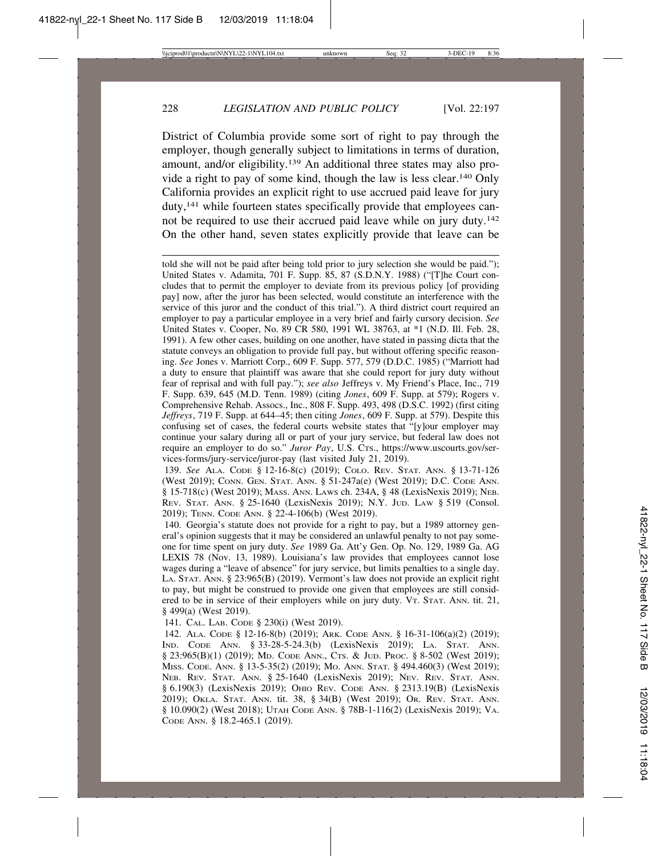District of Columbia provide some sort of right to pay through the employer, though generally subject to limitations in terms of duration, amount, and/or eligibility.139 An additional three states may also provide a right to pay of some kind, though the law is less clear.140 Only California provides an explicit right to use accrued paid leave for jury duty,141 while fourteen states specifically provide that employees cannot be required to use their accrued paid leave while on jury duty.142 On the other hand, seven states explicitly provide that leave can be

told she will not be paid after being told prior to jury selection she would be paid."); United States v. Adamita, 701 F. Supp. 85, 87 (S.D.N.Y. 1988) ("[T]he Court concludes that to permit the employer to deviate from its previous policy [of providing pay] now, after the juror has been selected, would constitute an interference with the service of this juror and the conduct of this trial."). A third district court required an employer to pay a particular employee in a very brief and fairly cursory decision. *See* United States v. Cooper, No. 89 CR 580, 1991 WL 38763, at \*1 (N.D. Ill. Feb. 28, 1991). A few other cases, building on one another, have stated in passing dicta that the statute conveys an obligation to provide full pay, but without offering specific reasoning. *See* Jones v. Marriott Corp., 609 F. Supp. 577, 579 (D.D.C. 1985) ("Marriott had a duty to ensure that plaintiff was aware that she could report for jury duty without fear of reprisal and with full pay."); *see also* Jeffreys v. My Friend's Place, Inc., 719 F. Supp. 639, 645 (M.D. Tenn. 1989) (citing *Jones*, 609 F. Supp. at 579); Rogers v. Comprehensive Rehab. Assocs., Inc., 808 F. Supp. 493, 498 (D.S.C. 1992) (first citing *Jeffreys*, 719 F. Supp. at 644–45; then citing *Jones*, 609 F. Supp. at 579). Despite this confusing set of cases, the federal courts website states that "[y]our employer may continue your salary during all or part of your jury service, but federal law does not require an employer to do so." *Juror Pay*, U.S. CTS., https://www.uscourts.gov/services-forms/jury-service/juror-pay (last visited July 21, 2019).

139. *See* ALA. CODE § 12-16-8(c) (2019); COLO. REV. STAT. ANN. § 13-71-126 (West 2019); CONN. GEN. STAT. ANN. § 51-247a(e) (West 2019); D.C. CODE ANN. § 15-718(c) (West 2019); MASS. ANN. LAWS ch. 234A, § 48 (LexisNexis 2019); NEB. REV. STAT. ANN. § 25-1640 (LexisNexis 2019); N.Y. JUD. LAW § 519 (Consol. 2019); TENN. CODE ANN. § 22-4-106(b) (West 2019).

140. Georgia's statute does not provide for a right to pay, but a 1989 attorney general's opinion suggests that it may be considered an unlawful penalty to not pay someone for time spent on jury duty. *See* 1989 Ga. Att'y Gen. Op. No. 129, 1989 Ga. AG LEXIS 78 (Nov. 13, 1989). Louisiana's law provides that employees cannot lose wages during a "leave of absence" for jury service, but limits penalties to a single day. LA. STAT. ANN. § 23:965(B) (2019). Vermont's law does not provide an explicit right to pay, but might be construed to provide one given that employees are still considered to be in service of their employers while on jury duty. VT. STAT. ANN. tit. 21, § 499(a) (West 2019).

141. CAL. LAB. CODE § 230(i) (West 2019).

142. ALA. CODE § 12-16-8(b) (2019); ARK. CODE ANN. § 16-31-106(a)(2) (2019); IND. CODE ANN. § 33-28-5-24.3(b) (LexisNexis 2019); LA. STAT. ANN. § 23:965(B)(1) (2019); MD. CODE ANN., CTS. & JUD. PROC. § 8-502 (West 2019); MISS. CODE. ANN. § 13-5-35(2) (2019); MO. ANN. STAT. § 494.460(3) (West 2019); NEB. REV. STAT. ANN. § 25-1640 (LexisNexis 2019); NEV. REV. STAT. ANN. § 6.190(3) (LexisNexis 2019); OHIO REV. CODE ANN. § 2313.19(B) (LexisNexis 2019); OKLA. STAT. ANN. tit. 38, § 34(B) (West 2019); OR. REV. STAT. ANN. § 10.090(2) (West 2018); UTAH CODE ANN. § 78B-1-116(2) (LexisNexis 2019); VA. CODE ANN. § 18.2-465.1 (2019).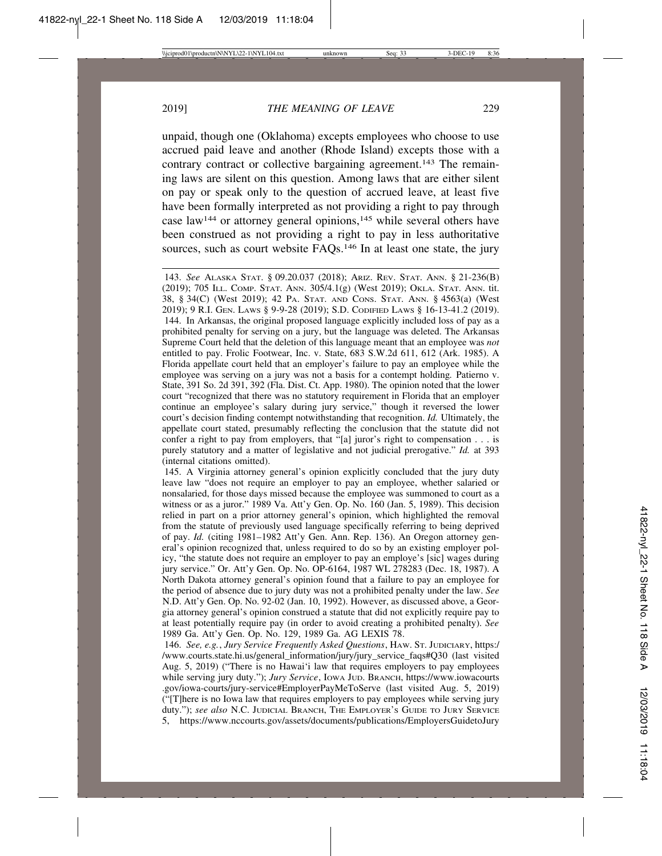unpaid, though one (Oklahoma) excepts employees who choose to use accrued paid leave and another (Rhode Island) excepts those with a contrary contract or collective bargaining agreement.<sup>143</sup> The remaining laws are silent on this question. Among laws that are either silent on pay or speak only to the question of accrued leave, at least five have been formally interpreted as not providing a right to pay through case law144 or attorney general opinions,145 while several others have been construed as not providing a right to pay in less authoritative sources, such as court website FAQs.<sup>146</sup> In at least one state, the jury

143. *See* ALASKA STAT. § 09.20.037 (2018); ARIZ. REV. STAT. ANN. § 21-236(B) (2019); 705 ILL. COMP. STAT. ANN. 305/4.1(g) (West 2019); OKLA. STAT. ANN. tit. 38, § 34(C) (West 2019); 42 PA. STAT. AND CONS. STAT. ANN. § 4563(a) (West 2019); 9 R.I. GEN. LAWS § 9-9-28 (2019); S.D. CODIFIED LAWS § 16-13-41.2 (2019). 144. In Arkansas, the original proposed language explicitly included loss of pay as a prohibited penalty for serving on a jury, but the language was deleted. The Arkansas Supreme Court held that the deletion of this language meant that an employee was *not* entitled to pay. Frolic Footwear, Inc. v. State, 683 S.W.2d 611, 612 (Ark. 1985). A Florida appellate court held that an employer's failure to pay an employee while the employee was serving on a jury was not a basis for a contempt holding*.* Patierno v. State, 391 So. 2d 391, 392 (Fla. Dist. Ct. App. 1980). The opinion noted that the lower court "recognized that there was no statutory requirement in Florida that an employer continue an employee's salary during jury service," though it reversed the lower court's decision finding contempt notwithstanding that recognition. *Id.* Ultimately, the appellate court stated, presumably reflecting the conclusion that the statute did not confer a right to pay from employers, that "[a] juror's right to compensation . . . is purely statutory and a matter of legislative and not judicial prerogative." *Id.* at 393 (internal citations omitted).

145. A Virginia attorney general's opinion explicitly concluded that the jury duty leave law "does not require an employer to pay an employee, whether salaried or nonsalaried, for those days missed because the employee was summoned to court as a witness or as a juror." 1989 Va. Att'y Gen. Op. No. 160 (Jan. 5, 1989). This decision relied in part on a prior attorney general's opinion, which highlighted the removal from the statute of previously used language specifically referring to being deprived of pay. *Id.* (citing 1981–1982 Att'y Gen. Ann. Rep. 136). An Oregon attorney general's opinion recognized that, unless required to do so by an existing employer policy, "the statute does not require an employer to pay an employe's [sic] wages during jury service." Or. Att'y Gen. Op. No. OP-6164, 1987 WL 278283 (Dec. 18, 1987). A North Dakota attorney general's opinion found that a failure to pay an employee for the period of absence due to jury duty was not a prohibited penalty under the law. *See* N.D. Att'y Gen. Op. No. 92-02 (Jan. 10, 1992). However, as discussed above, a Georgia attorney general's opinion construed a statute that did not explicitly require pay to at least potentially require pay (in order to avoid creating a prohibited penalty). *See* 1989 Ga. Att'y Gen. Op. No. 129, 1989 Ga. AG LEXIS 78.

146. *See, e.g.*, *Jury Service Frequently Asked Questions*, HAW. ST. JUDICIARY, https:/ /www.courts.state.hi.us/general\_information/jury/jury\_service\_faqs#Q30 (last visited Aug. 5, 2019) ("There is no Hawai'i law that requires employers to pay employees while serving jury duty."); *Jury Service*, IOWA JUD. BRANCH, https://www.iowacourts .gov/iowa-courts/jury-service#EmployerPayMeToServe (last visited Aug. 5, 2019) ("[T]here is no Iowa law that requires employers to pay employees while serving jury duty."); *see also* N.C. JUDICIAL BRANCH, THE EMPLOYER'S GUIDE TO JURY SERVICE 5, https://www.nccourts.gov/assets/documents/publications/EmployersGuidetoJury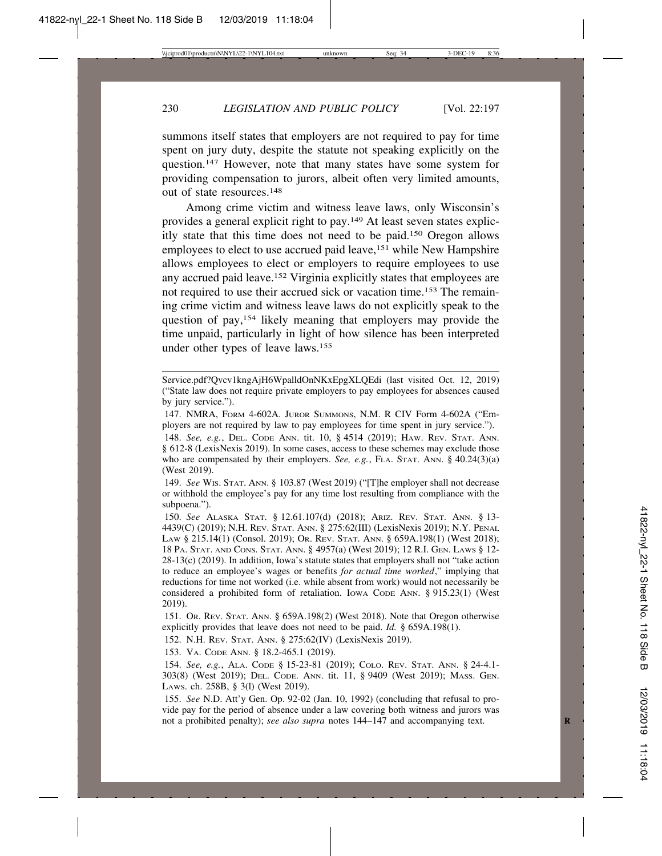summons itself states that employers are not required to pay for time spent on jury duty, despite the statute not speaking explicitly on the question.147 However, note that many states have some system for providing compensation to jurors, albeit often very limited amounts, out of state resources.148

Among crime victim and witness leave laws, only Wisconsin's provides a general explicit right to pay.149 At least seven states explicitly state that this time does not need to be paid.150 Oregon allows employees to elect to use accrued paid leave,<sup>151</sup> while New Hampshire allows employees to elect or employers to require employees to use any accrued paid leave.152 Virginia explicitly states that employees are not required to use their accrued sick or vacation time.153 The remaining crime victim and witness leave laws do not explicitly speak to the question of pay,154 likely meaning that employers may provide the time unpaid, particularly in light of how silence has been interpreted under other types of leave laws.155

Service.pdf?Qvcv1kngAjH6WpalldOnNKxEpgXLQEdi (last visited Oct. 12, 2019) ("State law does not require private employers to pay employees for absences caused by jury service.").

147. NMRA, FORM 4-602A. JUROR SUMMONS, N.M. R CIV Form 4-602A ("Employers are not required by law to pay employees for time spent in jury service.").

148. *See, e.g.*, DEL. CODE ANN. tit. 10, § 4514 (2019); HAW. REV. STAT. ANN. § 612-8 (LexisNexis 2019). In some cases, access to these schemes may exclude those who are compensated by their employers. *See, e.g.*, FLA. STAT. ANN. § 40.24(3)(a) (West 2019).

149. *See* WIS. STAT. ANN. § 103.87 (West 2019) ("[T]he employer shall not decrease or withhold the employee's pay for any time lost resulting from compliance with the subpoena.").

150. *See* ALASKA STAT. § 12.61.107(d) (2018); ARIZ. REV. STAT. ANN. § 13- 4439(C) (2019); N.H. REV. STAT. ANN. § 275:62(III) (LexisNexis 2019); N.Y. PENAL LAW § 215.14(1) (Consol. 2019); OR. REV. STAT. ANN. § 659A.198(1) (West 2018); 18 PA. STAT. AND CONS. STAT. ANN. § 4957(a) (West 2019); 12 R.I. GEN. LAWS § 12- 28-13(c) (2019). In addition, Iowa's statute states that employers shall not "take action to reduce an employee's wages or benefits *for actual time worked*," implying that reductions for time not worked (i.e. while absent from work) would not necessarily be considered a prohibited form of retaliation. IOWA CODE ANN. § 915.23(1) (West 2019).

151. OR. REV. STAT. ANN. § 659A.198(2) (West 2018). Note that Oregon otherwise explicitly provides that leave does not need to be paid. *Id.* § 659A.198(1).

152. N.H. REV. STAT. ANN. § 275:62(IV) (LexisNexis 2019).

153. VA. CODE ANN. § 18.2-465.1 (2019).

154. *See, e.g.*, ALA. CODE § 15-23-81 (2019); COLO. REV. STAT. ANN. § 24-4.1- 303(8) (West 2019); DEL. CODE. ANN. tit. 11, § 9409 (West 2019); MASS. GEN. LAWS. ch. 258B, § 3(l) (West 2019).

155. *See* N.D. Att'y Gen. Op. 92-02 (Jan. 10, 1992) (concluding that refusal to provide pay for the period of absence under a law covering both witness and jurors was not a prohibited penalty); *see also supra* notes 144–147 and accompanying text. **R**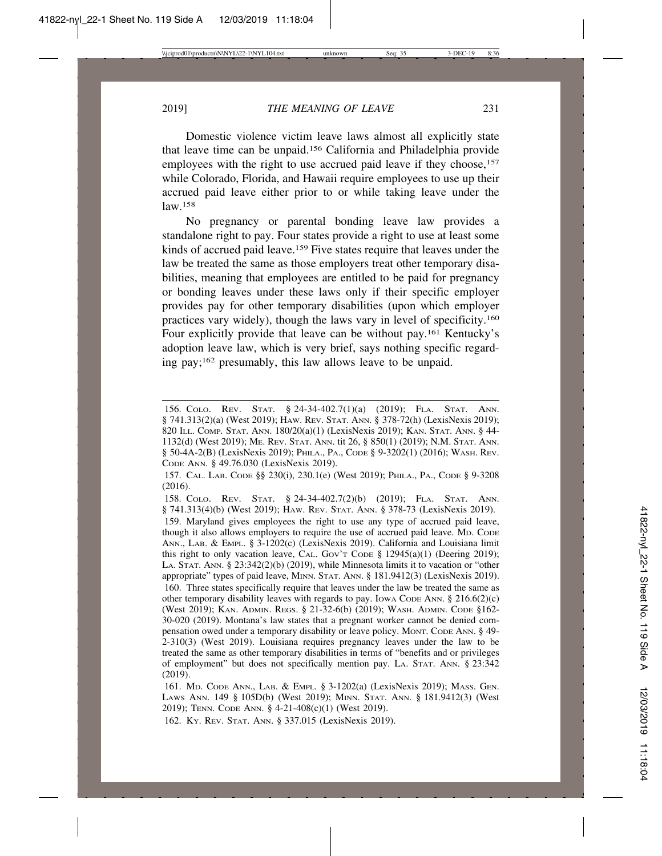Domestic violence victim leave laws almost all explicitly state that leave time can be unpaid.156 California and Philadelphia provide employees with the right to use accrued paid leave if they choose,<sup>157</sup> while Colorado, Florida, and Hawaii require employees to use up their accrued paid leave either prior to or while taking leave under the law.158

No pregnancy or parental bonding leave law provides a standalone right to pay. Four states provide a right to use at least some kinds of accrued paid leave.159 Five states require that leaves under the law be treated the same as those employers treat other temporary disabilities, meaning that employees are entitled to be paid for pregnancy or bonding leaves under these laws only if their specific employer provides pay for other temporary disabilities (upon which employer practices vary widely), though the laws vary in level of specificity.160 Four explicitly provide that leave can be without pay.161 Kentucky's adoption leave law, which is very brief, says nothing specific regarding pay;162 presumably, this law allows leave to be unpaid.

162. KY. REV. STAT. ANN. § 337.015 (LexisNexis 2019).

<sup>156.</sup> COLO. REV. STAT. § 24-34-402.7(1)(a) (2019); FLA. STAT. ANN. § 741.313(2)(a) (West 2019); HAW. REV. STAT. ANN. § 378-72(h) (LexisNexis 2019); 820 ILL. COMP. STAT. ANN. 180/20(a)(1) (LexisNexis 2019); KAN. STAT. ANN. § 44- 1132(d) (West 2019); ME. REV. STAT. ANN. tit 26, § 850(1) (2019); N.M. STAT. ANN. § 50-4А-2(B) (LexisNexis 2019); PHILA., PA., Соре § 9-3202(1) (2016); WASH. REV. CODE ANN. § 49.76.030 (LexisNexis 2019).

<sup>157.</sup> CAL. LAB. CODE §§ 230(i), 230.1(e) (West 2019); PHILA., PA., CODE § 9-3208 (2016).

<sup>158.</sup> COLO. REV. STAT. § 24-34-402.7(2)(b) (2019); FLA. STAT. ANN. § 741.313(4)(b) (West 2019); HAW. REV. STAT. ANN. § 378-73 (LexisNexis 2019).

<sup>159.</sup> Maryland gives employees the right to use any type of accrued paid leave, though it also allows employers to require the use of accrued paid leave. MD. CODE ANN., LAB. & EMPL. § 3-1202(c) (LexisNexis 2019). California and Louisiana limit this right to only vacation leave, CAL. Gov't Code § 12945(a)(1) (Deering 2019); LA. STAT. ANN. § 23:342(2)(b) (2019), while Minnesota limits it to vacation or "other appropriate" types of paid leave, MINN. STAT. ANN. § 181.9412(3) (LexisNexis 2019). 160. Three states specifically require that leaves under the law be treated the same as other temporary disability leaves with regards to pay. Iowa Code Ann.  $\S 216.6(2)(c)$ (West 2019); KAN. ADMIN. REGS. § 21-32-6(b) (2019); WASH. ADMIN. CODE §162- 30-020 (2019). Montana's law states that a pregnant worker cannot be denied compensation owed under a temporary disability or leave policy. MONT. CODE ANN. § 49- 2-310(3) (West 2019). Louisiana requires pregnancy leaves under the law to be treated the same as other temporary disabilities in terms of "benefits and or privileges of employment" but does not specifically mention pay. LA. STAT. ANN. § 23:342 (2019).

<sup>161.</sup> MD. CODE ANN., LAB. & EMPL. § 3-1202(a) (LexisNexis 2019); MASS. GEN. LAWS ANN. 149 § 105D(b) (West 2019); MINN. STAT. ANN. § 181.9412(3) (West 2019); TENN. CODE ANN. § 4-21-408(c)(1) (West 2019).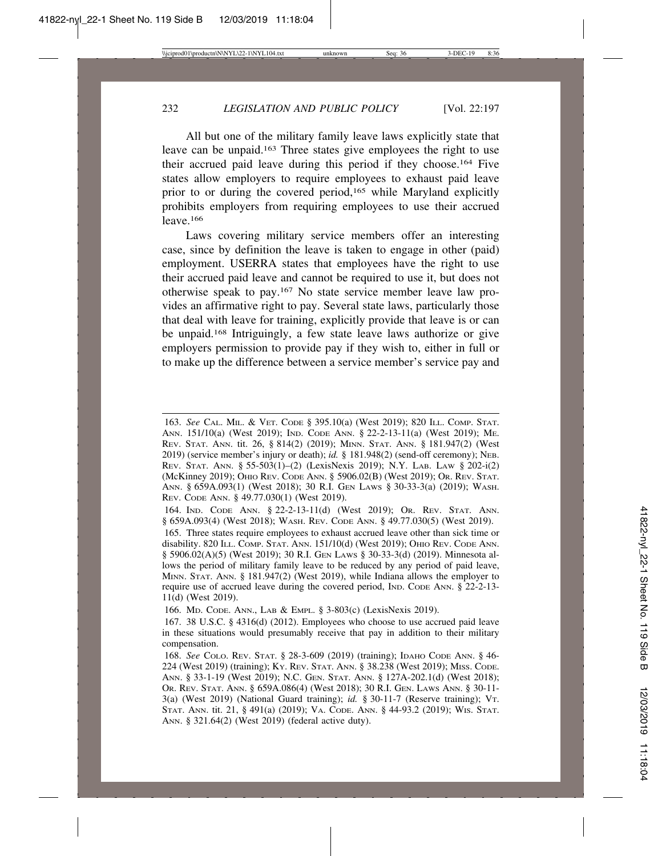All but one of the military family leave laws explicitly state that leave can be unpaid.163 Three states give employees the right to use their accrued paid leave during this period if they choose.164 Five states allow employers to require employees to exhaust paid leave prior to or during the covered period,165 while Maryland explicitly prohibits employers from requiring employees to use their accrued leave.166

Laws covering military service members offer an interesting case, since by definition the leave is taken to engage in other (paid) employment. USERRA states that employees have the right to use their accrued paid leave and cannot be required to use it, but does not otherwise speak to pay.167 No state service member leave law provides an affirmative right to pay. Several state laws, particularly those that deal with leave for training, explicitly provide that leave is or can be unpaid.168 Intriguingly, a few state leave laws authorize or give employers permission to provide pay if they wish to, either in full or to make up the difference between a service member's service pay and

<sup>163.</sup> *See* CAL. MIL. & VET. CODE § 395.10(a) (West 2019); 820 ILL. COMP. STAT. ANN. 151/10(a) (West 2019); IND. CODE ANN. § 22-2-13-11(a) (West 2019); ME. REV. STAT. ANN. tit. 26, § 814(2) (2019); MINN. STAT. ANN. § 181.947(2) (West 2019) (service member's injury or death); *id.* § 181.948(2) (send-off ceremony); NEB. REV. STAT. ANN. § 55-503(1)–(2) (LexisNexis 2019); N.Y. LAB. LAW § 202-i(2) (McKinney 2019); OHIO REV. CODE ANN. § 5906.02(B) (West 2019); OR. REV. STAT. ANN. § 659A.093(1) (West 2018); 30 R.I. GEN LAWS § 30-33-3(a) (2019); WASH. REV. CODE ANN. § 49.77.030(1) (West 2019).

<sup>164.</sup> IND. CODE ANN. § 22-2-13-11(d) (West 2019); OR. REV. STAT. ANN. § 659A.093(4) (West 2018); WASH. REV. CODE ANN. § 49.77.030(5) (West 2019).

<sup>165.</sup> Three states require employees to exhaust accrued leave other than sick time or disability. 820 ILL. COMP. STAT. ANN. 151/10(d) (West 2019); OHIO REV. CODE ANN. § 5906.02(A)(5) (West 2019); 30 R.I. GEN LAWS § 30-33-3(d) (2019). Minnesota allows the period of military family leave to be reduced by any period of paid leave, MINN. STAT. ANN. § 181.947(2) (West 2019), while Indiana allows the employer to require use of accrued leave during the covered period, IND. CODE ANN. § 22-2-13- 11(d) (West 2019).

<sup>166.</sup> MD. CODE. ANN., LAB & EMPL. § 3-803(c) (LexisNexis 2019).

<sup>167. 38</sup> U.S.C. § 4316(d) (2012). Employees who choose to use accrued paid leave in these situations would presumably receive that pay in addition to their military compensation.

<sup>168.</sup> *See* COLO. REV. STAT. § 28-3-609 (2019) (training); IDAHO CODE ANN. § 46- 224 (West 2019) (training); KY. REV. STAT. ANN. § 38.238 (West 2019); MISS. CODE. ANN. § 33-1-19 (West 2019); N.C. GEN. STAT. ANN. § 127A-202.1(d) (West 2018); OR. REV. STAT. ANN. § 659A.086(4) (West 2018); 30 R.I. GEN. LAWS ANN. § 30-11- 3(a) (West 2019) (National Guard training); *id.* § 30-11-7 (Reserve training); VT. STAT. ANN. tit. 21, § 491(a) (2019); VA. CODE. ANN. § 44-93.2 (2019); WIS. STAT. ANN. § 321.64(2) (West 2019) (federal active duty).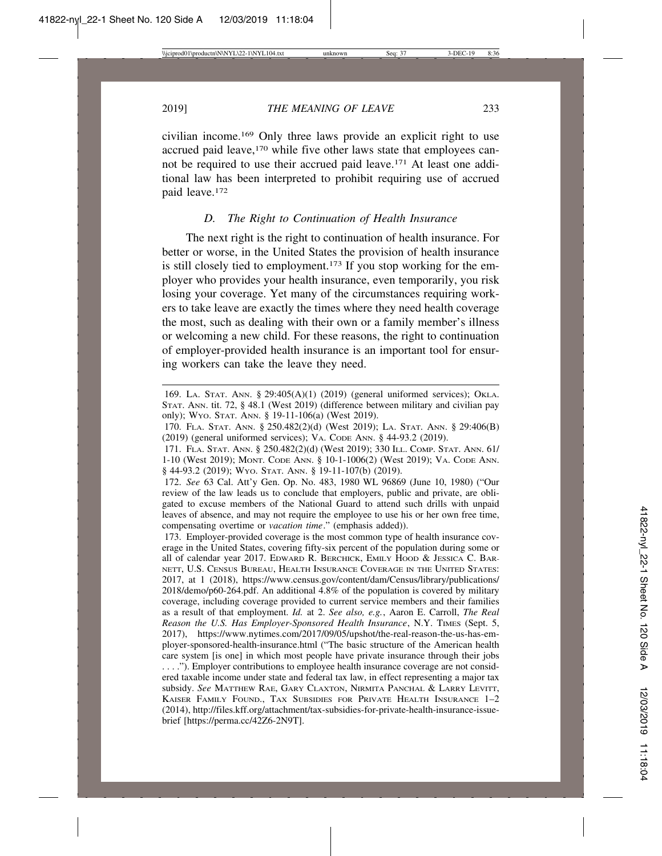civilian income.169 Only three laws provide an explicit right to use accrued paid leave,<sup>170</sup> while five other laws state that employees cannot be required to use their accrued paid leave.171 At least one additional law has been interpreted to prohibit requiring use of accrued paid leave.172

#### *D. The Right to Continuation of Health Insurance*

The next right is the right to continuation of health insurance. For better or worse, in the United States the provision of health insurance is still closely tied to employment.<sup>173</sup> If you stop working for the employer who provides your health insurance, even temporarily, you risk losing your coverage. Yet many of the circumstances requiring workers to take leave are exactly the times where they need health coverage the most, such as dealing with their own or a family member's illness or welcoming a new child. For these reasons, the right to continuation of employer-provided health insurance is an important tool for ensuring workers can take the leave they need.

<sup>169.</sup> LA. STAT. ANN. § 29:405(A)(1) (2019) (general uniformed services); OKLA. STAT. ANN. tit. 72, § 48.1 (West 2019) (difference between military and civilian pay only); WYO. STAT. ANN. § 19-11-106(a) (West 2019).

<sup>170.</sup> FLA. STAT. ANN. § 250.482(2)(d) (West 2019); LA. STAT. ANN. § 29:406(B) (2019) (general uniformed services); VA. CODE ANN. § 44-93.2 (2019).

<sup>171.</sup> FLA. STAT. ANN. § 250.482(2)(d) (West 2019); 330 ILL. COMP. STAT. ANN. 61/ 1-10 (West 2019); MONT. CODE ANN. § 10-1-1006(2) (West 2019); VA. CODE ANN. § 44-93.2 (2019); WYO. STAT. ANN. § 19-11-107(b) (2019).

<sup>172.</sup> *See* 63 Cal. Att'y Gen. Op. No. 483, 1980 WL 96869 (June 10, 1980) ("Our review of the law leads us to conclude that employers, public and private, are obligated to excuse members of the National Guard to attend such drills with unpaid leaves of absence, and may not require the employee to use his or her own free time, compensating overtime or *vacation time*." (emphasis added)).

<sup>173.</sup> Employer-provided coverage is the most common type of health insurance coverage in the United States, covering fifty-six percent of the population during some or all of calendar year 2017. EDWARD R. BERCHICK, EMILY HOOD & JESSICA C. BAR-NETT, U.S. CENSUS BUREAU, HEALTH INSURANCE COVERAGE IN THE UNITED STATES: 2017, at 1 (2018), https://www.census.gov/content/dam/Census/library/publications/ 2018/demo/p60-264.pdf. An additional 4.8% of the population is covered by military coverage, including coverage provided to current service members and their families as a result of that employment. *Id.* at 2. *See also, e.g.*, Aaron E. Carroll, *The Real Reason the U.S. Has Employer-Sponsored Health Insurance*, N.Y. TIMES (Sept. 5, 2017), https://www.nytimes.com/2017/09/05/upshot/the-real-reason-the-us-has-employer-sponsored-health-insurance.html ("The basic structure of the American health care system [is one] in which most people have private insurance through their jobs . . . ."). Employer contributions to employee health insurance coverage are not considered taxable income under state and federal tax law, in effect representing a major tax subsidy. *See* MATTHEW RAE, GARY CLAXTON, NIRMITA PANCHAL & LARRY LEVITT, KAISER FAMILY FOUND., TAX SUBSIDIES FOR PRIVATE HEALTH INSURANCE 1–2 (2014), http://files.kff.org/attachment/tax-subsidies-for-private-health-insurance-issuebrief [https://perma.cc/42Z6-2N9T].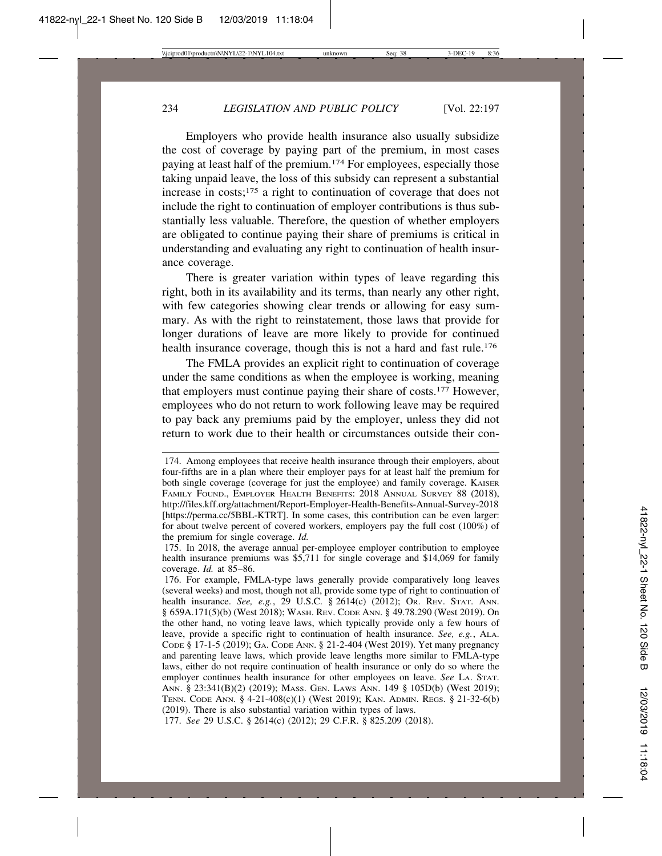Employers who provide health insurance also usually subsidize the cost of coverage by paying part of the premium, in most cases paying at least half of the premium.174 For employees, especially those taking unpaid leave, the loss of this subsidy can represent a substantial increase in costs;175 a right to continuation of coverage that does not include the right to continuation of employer contributions is thus substantially less valuable. Therefore, the question of whether employers are obligated to continue paying their share of premiums is critical in understanding and evaluating any right to continuation of health insurance coverage.

There is greater variation within types of leave regarding this right, both in its availability and its terms, than nearly any other right, with few categories showing clear trends or allowing for easy summary. As with the right to reinstatement, those laws that provide for longer durations of leave are more likely to provide for continued health insurance coverage, though this is not a hard and fast rule.<sup>176</sup>

The FMLA provides an explicit right to continuation of coverage under the same conditions as when the employee is working, meaning that employers must continue paying their share of costs.177 However, employees who do not return to work following leave may be required to pay back any premiums paid by the employer, unless they did not return to work due to their health or circumstances outside their con-

177. *See* 29 U.S.C. § 2614(c) (2012); 29 C.F.R. § 825.209 (2018).

<sup>174.</sup> Among employees that receive health insurance through their employers, about four-fifths are in a plan where their employer pays for at least half the premium for both single coverage (coverage for just the employee) and family coverage. KAISER FAMILY FOUND., EMPLOYER HEALTH BENEFITS: 2018 ANNUAL SURVEY 88 (2018), http://files.kff.org/attachment/Report-Employer-Health-Benefits-Annual-Survey-2018 [https://perma.cc/5BBL-KTRT]. In some cases, this contribution can be even larger: for about twelve percent of covered workers, employers pay the full cost (100%) of the premium for single coverage. *Id.*

<sup>175.</sup> In 2018, the average annual per-employee employer contribution to employee health insurance premiums was \$5,711 for single coverage and \$14,069 for family coverage. *Id.* at 85–86.

<sup>176.</sup> For example, FMLA-type laws generally provide comparatively long leaves (several weeks) and most, though not all, provide some type of right to continuation of health insurance. *See, e.g.*, 29 U.S.C. § 2614(c) (2012); OR. REV. STAT. ANN. § 659A.171(5)(b) (West 2018); WASH. REV. CODE ANN. § 49.78.290 (West 2019). On the other hand, no voting leave laws, which typically provide only a few hours of leave, provide a specific right to continuation of health insurance. *See, e.g.*, ALA. CODE § 17-1-5 (2019); GA. CODE ANN. § 21-2-404 (West 2019). Yet many pregnancy and parenting leave laws, which provide leave lengths more similar to FMLA-type laws, either do not require continuation of health insurance or only do so where the employer continues health insurance for other employees on leave. *See* LA. STAT. ANN. § 23:341(B)(2) (2019); MASS. GEN. LAWS ANN. 149 § 105D(b) (West 2019); TENN. CODE ANN. § 4-21-408(c)(1) (West 2019); KAN. ADMIN. REGS. § 21-32-6(b) (2019). There is also substantial variation within types of laws.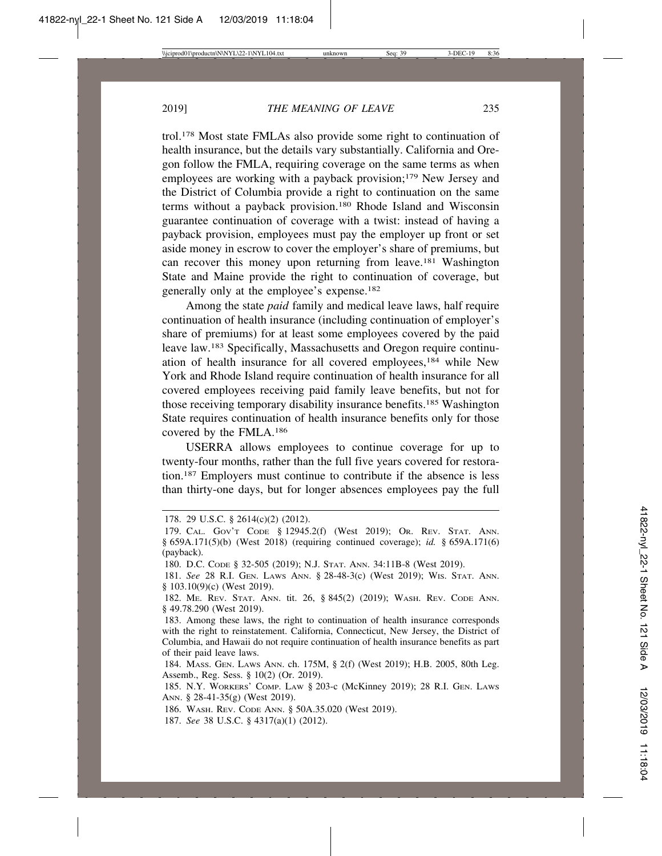trol.178 Most state FMLAs also provide some right to continuation of health insurance, but the details vary substantially. California and Oregon follow the FMLA, requiring coverage on the same terms as when employees are working with a payback provision;<sup>179</sup> New Jersey and the District of Columbia provide a right to continuation on the same terms without a payback provision.180 Rhode Island and Wisconsin guarantee continuation of coverage with a twist: instead of having a payback provision, employees must pay the employer up front or set aside money in escrow to cover the employer's share of premiums, but can recover this money upon returning from leave.181 Washington State and Maine provide the right to continuation of coverage, but generally only at the employee's expense.182

Among the state *paid* family and medical leave laws, half require continuation of health insurance (including continuation of employer's share of premiums) for at least some employees covered by the paid leave law.183 Specifically, Massachusetts and Oregon require continuation of health insurance for all covered employees,184 while New York and Rhode Island require continuation of health insurance for all covered employees receiving paid family leave benefits, but not for those receiving temporary disability insurance benefits.185 Washington State requires continuation of health insurance benefits only for those covered by the FMLA.186

USERRA allows employees to continue coverage for up to twenty-four months, rather than the full five years covered for restoration.187 Employers must continue to contribute if the absence is less than thirty-one days, but for longer absences employees pay the full

<sup>178. 29</sup> U.S.C. § 2614(c)(2) (2012).

<sup>179.</sup> CAL. GOV'T CODE § 12945.2(f) (West 2019); OR. REV. STAT. ANN. § 659A.171(5)(b) (West 2018) (requiring continued coverage); *id.* § 659A.171(6) (payback).

<sup>180.</sup> D.C. CODE § 32-505 (2019); N.J. STAT. ANN. 34:11B-8 (West 2019).

<sup>181.</sup> *See* 28 R.I. GEN. LAWS ANN. § 28-48-3(c) (West 2019); WIS. STAT. ANN. § 103.10(9)(c) (West 2019).

<sup>182.</sup> ME. REV. STAT. ANN. tit. 26, § 845(2) (2019); WASH. REV. CODE ANN. § 49.78.290 (West 2019).

<sup>183.</sup> Among these laws, the right to continuation of health insurance corresponds with the right to reinstatement. California, Connecticut, New Jersey, the District of Columbia, and Hawaii do not require continuation of health insurance benefits as part of their paid leave laws.

<sup>184.</sup> MASS. GEN. LAWS ANN. ch. 175M, § 2(f) (West 2019); H.B. 2005, 80th Leg. Assemb., Reg. Sess. § 10(2) (Or. 2019).

<sup>185.</sup> N.Y. WORKERS' COMP. LAW § 203-c (McKinney 2019); 28 R.I. GEN. LAWS ANN. § 28-41-35(g) (West 2019).

<sup>186.</sup> WASH. REV. CODE ANN. § 50A.35.020 (West 2019).

<sup>187.</sup> *See* 38 U.S.C. § 4317(a)(1) (2012).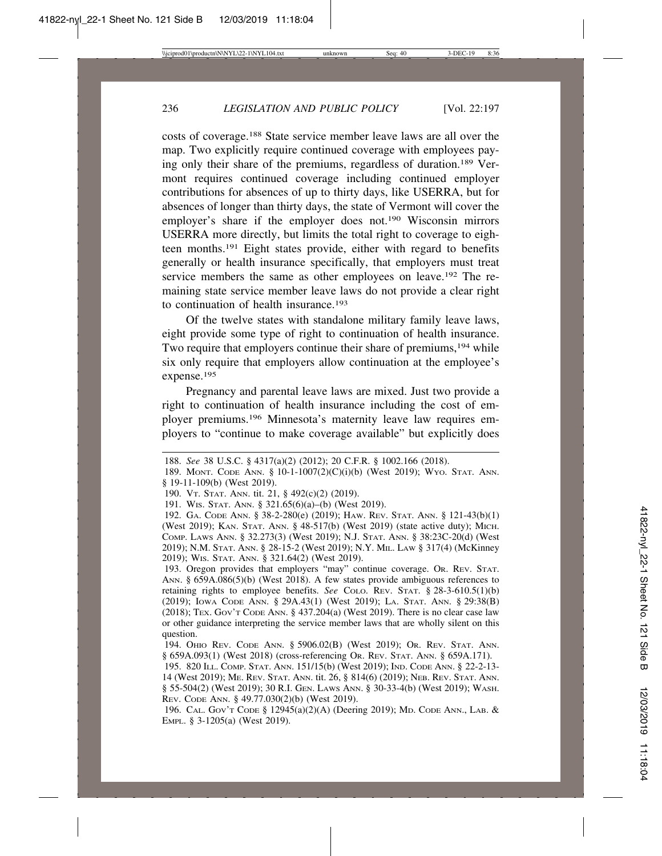costs of coverage.188 State service member leave laws are all over the map. Two explicitly require continued coverage with employees paying only their share of the premiums, regardless of duration.189 Vermont requires continued coverage including continued employer contributions for absences of up to thirty days, like USERRA, but for absences of longer than thirty days, the state of Vermont will cover the employer's share if the employer does not.190 Wisconsin mirrors USERRA more directly, but limits the total right to coverage to eighteen months.191 Eight states provide, either with regard to benefits generally or health insurance specifically, that employers must treat service members the same as other employees on leave.192 The remaining state service member leave laws do not provide a clear right to continuation of health insurance.193

Of the twelve states with standalone military family leave laws, eight provide some type of right to continuation of health insurance. Two require that employers continue their share of premiums,<sup>194</sup> while six only require that employers allow continuation at the employee's expense.195

Pregnancy and parental leave laws are mixed. Just two provide a right to continuation of health insurance including the cost of employer premiums.196 Minnesota's maternity leave law requires employers to "continue to make coverage available" but explicitly does

<sup>188.</sup> *See* 38 U.S.C. § 4317(a)(2) (2012); 20 C.F.R. § 1002.166 (2018).

<sup>189.</sup> MONT. CODE ANN. § 10-1-1007(2)(C)(i)(b) (West 2019); WYO. STAT. ANN. § 19-11-109(b) (West 2019).

<sup>190.</sup> VT. STAT. ANN. tit. 21, § 492(c)(2) (2019).

<sup>191.</sup> WIS. STAT. ANN. § 321.65(6)(a)–(b) (West 2019).

<sup>192.</sup> GA. CODE ANN. § 38-2-280(e) (2019); HAW. REV. STAT. ANN. § 121-43(b)(1) (West 2019); KAN. STAT. ANN. § 48-517(b) (West 2019) (state active duty); MICH. COMP. LAWS ANN. § 32.273(3) (West 2019); N.J. STAT. ANN. § 38:23C-20(d) (West 2019); N.M. STAT. ANN. § 28-15-2 (West 2019); N.Y. MIL. LAW § 317(4) (McKinney 2019); WIS. STAT. ANN. § 321.64(2) (West 2019).

<sup>193.</sup> Oregon provides that employers "may" continue coverage. OR. REV. STAT. ANN. § 659A.086(5)(b) (West 2018). A few states provide ambiguous references to retaining rights to employee benefits. *See* COLO. REV. STAT. § 28-3-610.5(1)(b) (2019); IOWA CODE ANN. § 29A.43(1) (West 2019); LA. STAT. ANN. § 29:38(B) (2018); TEX. GOV'T CODE ANN. § 437.204(a) (West 2019). There is no clear case law or other guidance interpreting the service member laws that are wholly silent on this question.

<sup>194.</sup> OHIO REV. CODE ANN. § 5906.02(B) (West 2019); OR. REV. STAT. ANN. § 659A.093(1) (West 2018) (cross-referencing OR. REV. STAT. ANN. § 659A.171).

<sup>195. 820</sup> ILL. COMP. STAT. ANN. 151/15(b) (West 2019); IND. CODE ANN. § 22-2-13- 14 (West 2019); ME. REV. STAT. ANN. tit. 26, § 814(6) (2019); NEB. REV. STAT. ANN. § 55-504(2) (West 2019); 30 R.I. GEN. LAWS ANN. § 30-33-4(b) (West 2019); WASH. REV. CODE ANN. § 49.77.030(2)(b) (West 2019).

<sup>196.</sup> CAL. GOV'T CODE § 12945(a)(2)(A) (Deering 2019); MD. CODE ANN., LAB. & EMPL. § 3-1205(a) (West 2019).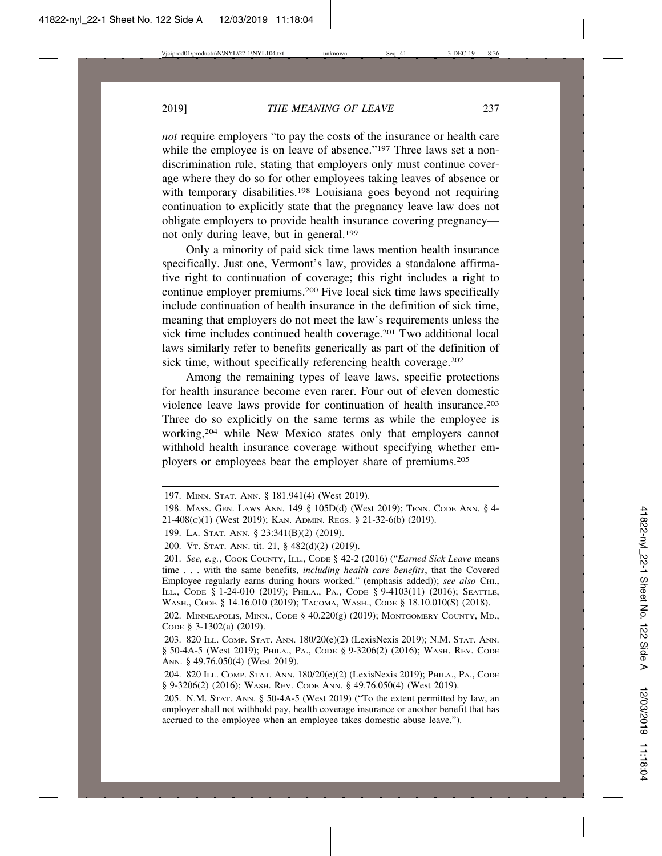*not* require employers "to pay the costs of the insurance or health care while the employee is on leave of absence."<sup>197</sup> Three laws set a nondiscrimination rule, stating that employers only must continue coverage where they do so for other employees taking leaves of absence or with temporary disabilities.<sup>198</sup> Louisiana goes beyond not requiring continuation to explicitly state that the pregnancy leave law does not obligate employers to provide health insurance covering pregnancy not only during leave, but in general.199

Only a minority of paid sick time laws mention health insurance specifically. Just one, Vermont's law, provides a standalone affirmative right to continuation of coverage; this right includes a right to continue employer premiums.200 Five local sick time laws specifically include continuation of health insurance in the definition of sick time, meaning that employers do not meet the law's requirements unless the sick time includes continued health coverage.<sup>201</sup> Two additional local laws similarly refer to benefits generically as part of the definition of sick time, without specifically referencing health coverage.<sup>202</sup>

Among the remaining types of leave laws, specific protections for health insurance become even rarer. Four out of eleven domestic violence leave laws provide for continuation of health insurance.203 Three do so explicitly on the same terms as while the employee is working,204 while New Mexico states only that employers cannot withhold health insurance coverage without specifying whether employers or employees bear the employer share of premiums.205

199. LA. STAT. ANN. § 23:341(B)(2) (2019).

200. VT. STAT. ANN. tit. 21, § 482(d)(2) (2019).

201. *See, e.g.*, COOK COUNTY, ILL., CODE § 42-2 (2016) ("*Earned Sick Leave* means time . . . with the same benefits, *including health care benefits*, that the Covered Employee regularly earns during hours worked." (emphasis added)); *see also* C<sub>HI</sub>., ILL., CODE § 1-24-010 (2019); PHILA., PA., CODE § 9-4103(11) (2016); SEATTLE, WASH., CODE § 14.16.010 (2019); TACOMA, WASH., CODE § 18.10.010(S) (2018).

202. MINNEAPOLIS, MINN., CODE § 40.220(g) (2019); MONTGOMERY COUNTY, MD., CODE §3-1302(a) (2019).

203. 820 ILL. COMP. STAT. ANN. 180/20(e)(2) (LexisNexis 2019); N.M. STAT. ANN. § 50-4A-5 (West 2019); PHILA., PA., CODE § 9-3206(2) (2016); WASH. REV. CODE ANN. § 49.76.050(4) (West 2019).

<sup>197.</sup> MINN. STAT. ANN. § 181.941(4) (West 2019).

<sup>198.</sup> MASS. GEN. LAWS ANN. 149 § 105D(d) (West 2019); TENN. CODE ANN. § 4- 21-408(C)(1) (West 2019); KAN. ADMIN. REGS. § 21-32-6(b) (2019).

<sup>204.</sup> 820 ILL. COMP. STAT. ANN. 180/20(e)(2) (LexisNexis 2019); PHILA., PA., CODE § 9-3206(2) (2016); WASH. REV. CODE ANN. § 49.76.050(4) (West 2019).

<sup>205.</sup> N.M. STAT. ANN. § 50-4A-5 (West 2019) ("To the extent permitted by law, an employer shall not withhold pay, health coverage insurance or another benefit that has accrued to the employee when an employee takes domestic abuse leave.").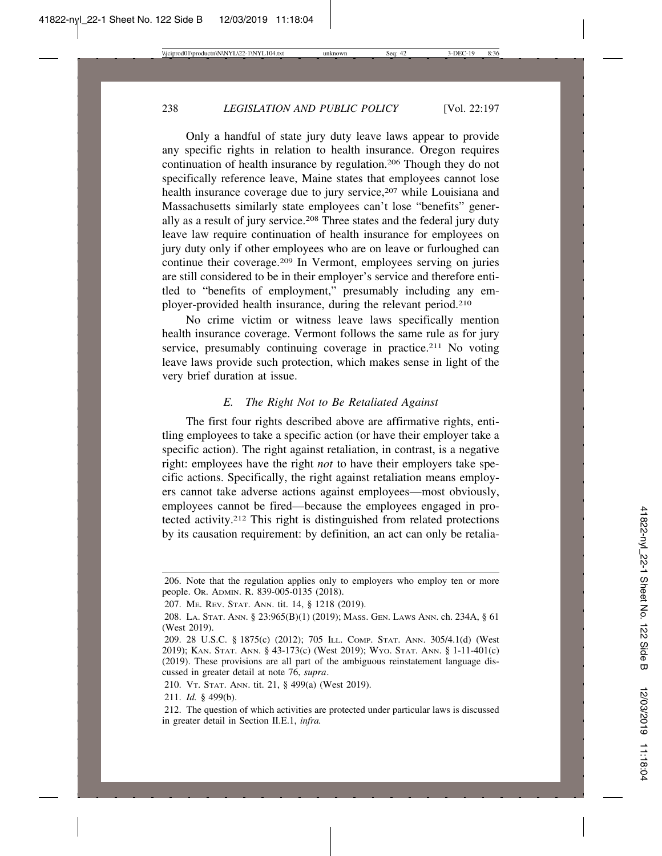Only a handful of state jury duty leave laws appear to provide any specific rights in relation to health insurance. Oregon requires continuation of health insurance by regulation.206 Though they do not specifically reference leave, Maine states that employees cannot lose health insurance coverage due to jury service,<sup>207</sup> while Louisiana and Massachusetts similarly state employees can't lose "benefits" generally as a result of jury service.<sup>208</sup> Three states and the federal jury duty leave law require continuation of health insurance for employees on jury duty only if other employees who are on leave or furloughed can continue their coverage.209 In Vermont, employees serving on juries are still considered to be in their employer's service and therefore entitled to "benefits of employment," presumably including any employer-provided health insurance, during the relevant period.210

No crime victim or witness leave laws specifically mention health insurance coverage. Vermont follows the same rule as for jury service, presumably continuing coverage in practice.<sup>211</sup> No voting leave laws provide such protection, which makes sense in light of the very brief duration at issue.

#### *E. The Right Not to Be Retaliated Against*

The first four rights described above are affirmative rights, entitling employees to take a specific action (or have their employer take a specific action). The right against retaliation, in contrast, is a negative right: employees have the right *not* to have their employers take specific actions. Specifically, the right against retaliation means employers cannot take adverse actions against employees—most obviously, employees cannot be fired—because the employees engaged in protected activity.212 This right is distinguished from related protections by its causation requirement: by definition, an act can only be retalia-

<sup>206.</sup> Note that the regulation applies only to employers who employ ten or more people. OR. ADMIN. R. 839-005-0135 (2018).

<sup>207.</sup> ME. REV. STAT. ANN. tit. 14, § 1218 (2019).

<sup>208.</sup> LA. STAT. ANN. § 23:965(B)(1) (2019); MASS. GEN. LAWS ANN. ch. 234A, § 61 (West 2019).

<sup>209. 28</sup> U.S.C. § 1875(c) (2012); 705 ILL. COMP. STAT. ANN. 305/4.1(d) (West 2019); KAN. STAT. ANN. § 43-173(c) (West 2019); WYO. STAT. ANN. § 1-11-401(c) (2019). These provisions are all part of the ambiguous reinstatement language discussed in greater detail at note 76, *supra*.

<sup>210.</sup> VT. STAT. ANN. tit. 21, § 499(a) (West 2019).

<sup>211.</sup> *Id.* § 499(b).

<sup>212.</sup> The question of which activities are protected under particular laws is discussed in greater detail in Section II.E.1, *infra.*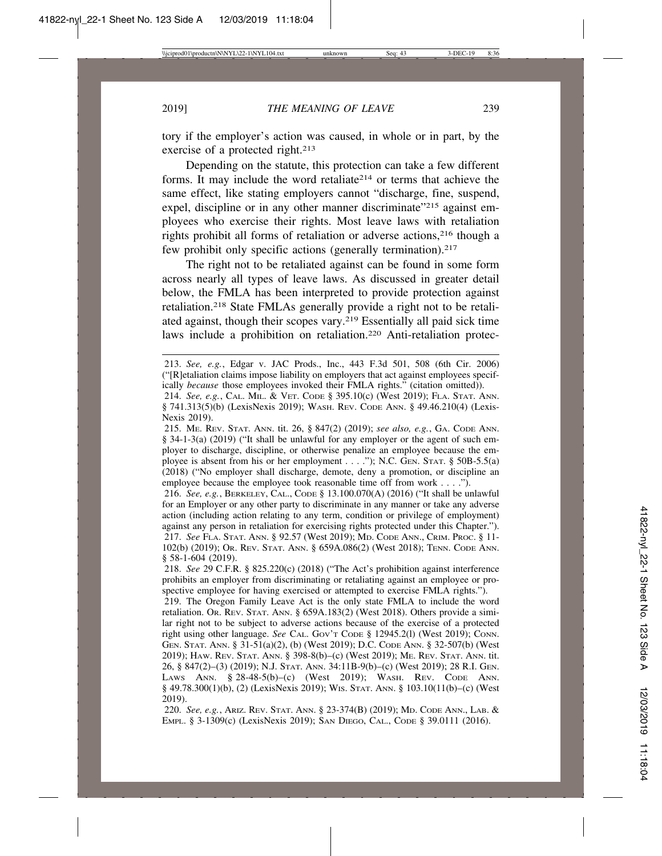tory if the employer's action was caused, in whole or in part, by the exercise of a protected right.<sup>213</sup>

Depending on the statute, this protection can take a few different forms. It may include the word retaliate<sup>214</sup> or terms that achieve the same effect, like stating employers cannot "discharge, fine, suspend, expel, discipline or in any other manner discriminate"<sup>215</sup> against employees who exercise their rights. Most leave laws with retaliation rights prohibit all forms of retaliation or adverse actions,216 though a few prohibit only specific actions (generally termination).<sup>217</sup>

The right not to be retaliated against can be found in some form across nearly all types of leave laws. As discussed in greater detail below, the FMLA has been interpreted to provide protection against retaliation.218 State FMLAs generally provide a right not to be retaliated against, though their scopes vary.219 Essentially all paid sick time laws include a prohibition on retaliation.<sup>220</sup> Anti-retaliation protec-

216. *See, e.g.*, BERKELEY, CAL., CODE § 13.100.070(A) (2016) ("It shall be unlawful for an Employer or any other party to discriminate in any manner or take any adverse action (including action relating to any term, condition or privilege of employment) against any person in retaliation for exercising rights protected under this Chapter."). 217. *See* FLA. STAT. ANN. § 92.57 (West 2019); MD. CODE ANN., CRIM. PROC. § 11- 102(b) (2019); OR. REV. STAT. ANN. § 659A.086(2) (West 2018); TENN. CODE ANN. § 58-1-604 (2019).

218. *See* 29 C.F.R. § 825.220(c) (2018) ("The Act's prohibition against interference prohibits an employer from discriminating or retaliating against an employee or prospective employee for having exercised or attempted to exercise FMLA rights.").

219. The Oregon Family Leave Act is the only state FMLA to include the word retaliation. OR. REV. STAT. ANN. § 659A.183(2) (West 2018). Others provide a similar right not to be subject to adverse actions because of the exercise of a protected right using other language. *See* CAL. GOV'T CODE § 12945.2(l) (West 2019); CONN. GEN. STAT. ANN. § 31-51(a)(2), (b) (West 2019); D.C. CODE ANN. § 32-507(b) (West 2019); HAW. REV. STAT. ANN. § 398-8(b)–(c) (West 2019); ME. REV. STAT. ANN. tit. 26, § 847(2)–(3) (2019); N.J. STAT. ANN. 34:11B-9(b)–(c) (West 2019); 28 R.I. GEN. LAWS ANN. § 28-48-5(b)–(c) (West 2019); WASH. REV. CODE ANN. § 49.78.300(1)(b), (2) (LexisNexis 2019); WIS. STAT. ANN. § 103.10(11(b)–(c) (West 2019).

220. *See, e.g.*, ARIZ. REV. STAT. ANN. § 23-374(B) (2019); MD. CODE ANN., LAB. & EMPL. § 3-1309(c) (LexisNexis 2019); SAN DIEGO, CAL., CODE § 39.0111 (2016).

<sup>213.</sup> *See, e.g.*, Edgar v. JAC Prods., Inc., 443 F.3d 501, 508 (6th Cir. 2006) ("[R]etaliation claims impose liability on employers that act against employees specifically *because* those employees invoked their FMLA rights." (citation omitted)).

<sup>214.</sup> *See, e.g.*, CAL. MIL. & VET. CODE § 395.10(c) (West 2019); FLA. STAT. ANN. § 741.313(5)(b) (LexisNexis 2019); WASH. REV. CODE ANN. § 49.46.210(4) (Lexis-Nexis 2019).

<sup>215.</sup> ME. REV. STAT. ANN. tit. 26, § 847(2) (2019); *see also, e.g.*, GA. CODE ANN. § 34-1-3(a) (2019) ("It shall be unlawful for any employer or the agent of such employer to discharge, discipline, or otherwise penalize an employee because the employee is absent from his or her employment . . . ."); N.C. GEN. STAT. § 50B-5.5(a) (2018) ("No employer shall discharge, demote, deny a promotion, or discipline an employee because the employee took reasonable time off from work . . . .").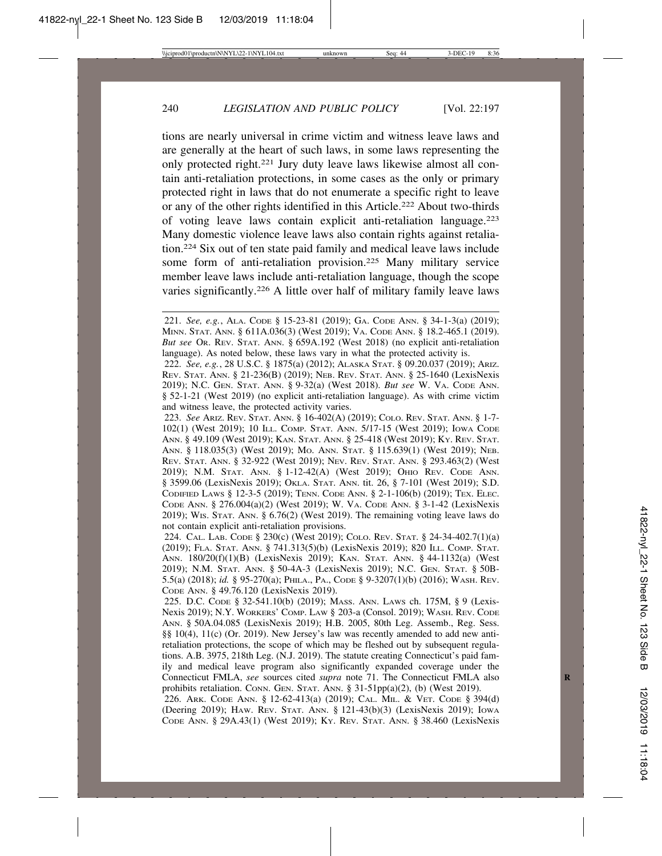tions are nearly universal in crime victim and witness leave laws and are generally at the heart of such laws, in some laws representing the only protected right.221 Jury duty leave laws likewise almost all contain anti-retaliation protections, in some cases as the only or primary protected right in laws that do not enumerate a specific right to leave or any of the other rights identified in this Article.222 About two-thirds of voting leave laws contain explicit anti-retaliation language.223 Many domestic violence leave laws also contain rights against retaliation.224 Six out of ten state paid family and medical leave laws include some form of anti-retaliation provision.225 Many military service member leave laws include anti-retaliation language, though the scope varies significantly.226 A little over half of military family leave laws

223. *See* ARIZ. REV. STAT. ANN. § 16-402(A) (2019); COLO. REV. STAT. ANN. § 1-7- 102(1) (West 2019); 10 ILL. COMP. STAT. ANN. 5/17-15 (West 2019); IOWA CODE ANN. § 49.109 (West 2019); KAN. STAT. ANN. § 25-418 (West 2019); KY. REV. STAT. ANN. § 118.035(3) (West 2019); MO. ANN. STAT. § 115.639(1) (West 2019); NEB. REV. STAT. ANN. § 32-922 (West 2019); NEV. REV. STAT. ANN. § 293.463(2) (West 2019); N.M. STAT. ANN. § 1-12-42(A) (West 2019); OHIO REV. CODE ANN. § 3599.06 (LexisNexis 2019); OKLA. STAT. ANN. tit. 26, § 7-101 (West 2019); S.D. CODIFIED LAWS § 12-3-5 (2019); TENN. CODE ANN. § 2-1-106(b) (2019); TEX. ELEC. CODE ANN. § 276.004(a)(2) (West 2019); W. VA. CODE ANN. § 3-1-42 (LexisNexis 2019); WIS. STAT. ANN. § 6.76(2) (West 2019). The remaining voting leave laws do not contain explicit anti-retaliation provisions.

224. CAL. LAB. CODE § 230(c) (West 2019); COLO. REV. STAT. § 24-34-402.7(1)(a) (2019); FLA. STAT. ANN. § 741.313(5)(b) (LexisNexis 2019); 820 ILL. COMP. STAT. ANN. 180/20(f)(1)(B) (LexisNexis 2019); KAN. STAT. ANN. § 44-1132(a) (West 2019); N.M. STAT. ANN. § 50-4A-3 (LexisNexis 2019); N.C. GEN. STAT. § 50B-5.5(a) (2018); *id.* § 95-270(a); PHILA., PA., CODE § 9-3207(1)(b) (2016); WASH. REV. CODE ANN. § 49.76.120 (LexisNexis 2019).

225. D.C. CODE § 32-541.10(b) (2019); MASS. ANN. LAWS ch. 175M, § 9 (Lexis-Nexis 2019); N.Y. WORKERS' COMP. LAW § 203-a (Consol. 2019); WASH. REV. CODE ANN. § 50A.04.085 (LexisNexis 2019); H.B. 2005, 80th Leg. Assemb., Reg. Sess. §§ 10(4), 11(c) (Or. 2019). New Jersey's law was recently amended to add new antiretaliation protections, the scope of which may be fleshed out by subsequent regulations. A.B. 3975, 218th Leg. (N.J. 2019). The statute creating Connecticut's paid family and medical leave program also significantly expanded coverage under the Connecticut FMLA, *see* sources cited *supra* note 71. The Connecticut FMLA also prohibits retaliation. CONN. GEN. STAT. ANN.  $\S 31-51pp(a)(2)$ , (b) (West 2019).

226. ARK. CODE ANN. § 12-62-413(a) (2019); CAL. MIL. & VET. CODE § 394(d) (Deering 2019); HAW. REV. STAT. ANN. § 121-43(b)(3) (LexisNexis 2019); IOWA CODE ANN. § 29A.43(1) (West 2019); KY. REV. STAT. ANN. § 38.460 (LexisNexis

<sup>221.</sup> *See, e.g.*, ALA. CODE § 15-23-81 (2019); GA. CODE ANN. § 34-1-3(a) (2019); MINN. STAT. ANN. § 611A.036(3) (West 2019); VA. CODE ANN. § 18.2-465.1 (2019). *But see* OR. REV. STAT. ANN. § 659A.192 (West 2018) (no explicit anti-retaliation language). As noted below, these laws vary in what the protected activity is.

<sup>222.</sup> *See, e.g.*, 28 U.S.C. § 1875(a) (2012); ALASKA STAT. § 09.20.037 (2019); ARIZ. REV. STAT. ANN. § 21-236(B) (2019); NEB. REV. STAT. ANN. § 25-1640 (LexisNexis 2019); N.C. GEN. STAT. ANN. § 9-32(a) (West 2018). *But see* W. VA. CODE ANN. § 52-1-21 (West 2019) (no explicit anti-retaliation language). As with crime victim and witness leave, the protected activity varies.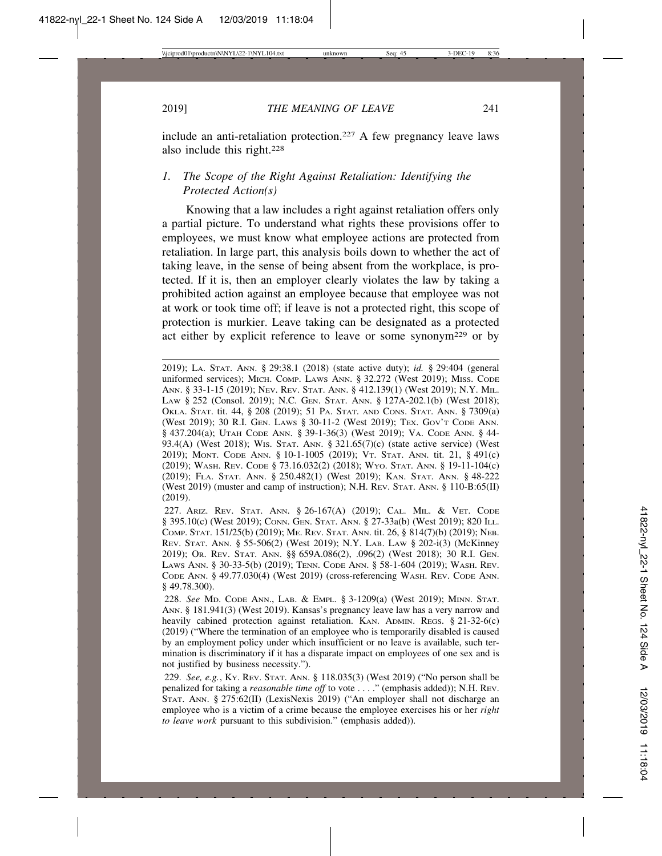include an anti-retaliation protection.227 A few pregnancy leave laws also include this right.228

### *1. The Scope of the Right Against Retaliation: Identifying the Protected Action(s)*

Knowing that a law includes a right against retaliation offers only a partial picture. To understand what rights these provisions offer to employees, we must know what employee actions are protected from retaliation. In large part, this analysis boils down to whether the act of taking leave, in the sense of being absent from the workplace, is protected. If it is, then an employer clearly violates the law by taking a prohibited action against an employee because that employee was not at work or took time off; if leave is not a protected right, this scope of protection is murkier. Leave taking can be designated as a protected act either by explicit reference to leave or some synonym229 or by

<sup>2019);</sup> LA. STAT. ANN. § 29:38.1 (2018) (state active duty); *id.* § 29:404 (general uniformed services); MICH. COMP. LAWS ANN. § 32.272 (West 2019); MISS. CODE ANN. § 33-1-15 (2019); NEV. REV. STAT. ANN. § 412.139(1) (West 2019); N.Y. MIL. LAW § 252 (Consol. 2019); N.C. GEN. STAT. ANN. § 127A-202.1(b) (West 2018); OKLA. STAT. tit. 44, § 208 (2019); 51 PA. STAT. AND CONS. STAT. ANN. § 7309(a) (West 2019); 30 R.I. GEN. LAWS § 30-11-2 (West 2019); TEX. GOV'T CODE ANN. § 437.204(a); UTAH CODE ANN. § 39-1-36(3) (West 2019); VA. CODE ANN. § 44- 93.4(A) (West 2018); WIS. STAT. ANN. § 321.65(7)(c) (state active service) (West 2019); MONT. CODE ANN. § 10-1-1005 (2019); VT. STAT. ANN. tit. 21, § 491(c) (2019); WASH. REV. CODE § 73.16.032(2) (2018); WYO. STAT. ANN. § 19-11-104(c) (2019); FLA. STAT. ANN. § 250.482(1) (West 2019); KAN. STAT. ANN. § 48-222 (West 2019) (muster and camp of instruction); N.H. REV. STAT. ANN. § 110-B:65(II) (2019).

<sup>227.</sup> ARIZ. REV. STAT. ANN. § 26-167(A) (2019); CAL. MIL. & VET. CODE § 395.10(c) (West 2019); CONN. GEN. STAT. ANN. § 27-33a(b) (West 2019); 820 ILL. COMP. STAT. 151/25(b) (2019); ME. REV. STAT. ANN. tit. 26, § 814(7)(b) (2019); NEB. REV. STAT. ANN. § 55-506(2) (West 2019); N.Y. LAB. LAW § 202-i(3) (McKinney 2019); OR. REV. STAT. ANN. §§ 659A.086(2), .096(2) (West 2018); 30 R.I. GEN. LAWS ANN. § 30-33-5(b) (2019); TENN. CODE ANN. § 58-1-604 (2019); WASH. REV. CODE ANN. § 49.77.030(4) (West 2019) (cross-referencing WASH. REV. CODE ANN. § 49.78.300).

<sup>228.</sup> *See* MD. CODE ANN., LAB. & EMPL. § 3-1209(a) (West 2019); MINN. STAT. ANN. § 181.941(3) (West 2019). Kansas's pregnancy leave law has a very narrow and heavily cabined protection against retaliation. KAN. ADMIN. REGS. § 21-32-6(c) (2019) ("Where the termination of an employee who is temporarily disabled is caused by an employment policy under which insufficient or no leave is available, such termination is discriminatory if it has a disparate impact on employees of one sex and is not justified by business necessity.").

<sup>229.</sup> *See, e.g.*, KY. REV. STAT. ANN. § 118.035(3) (West 2019) ("No person shall be penalized for taking a *reasonable time off* to vote . . . ." (emphasis added)); N.H. REV. STAT. ANN. § 275:62(II) (LexisNexis 2019) ("An employer shall not discharge an employee who is a victim of a crime because the employee exercises his or her *right to leave work* pursuant to this subdivision." (emphasis added)).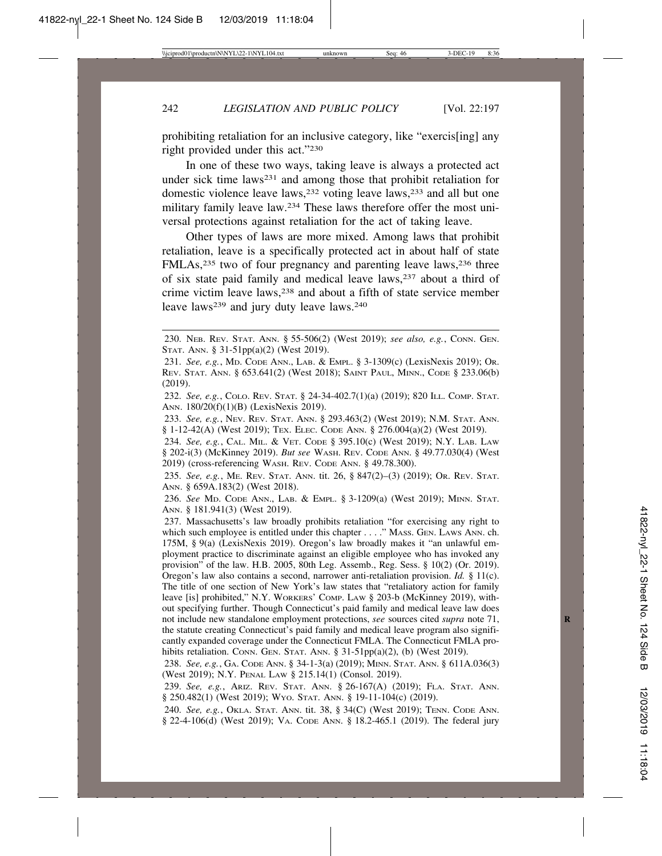prohibiting retaliation for an inclusive category, like "exercis[ing] any right provided under this act."230

In one of these two ways, taking leave is always a protected act under sick time laws<sup>231</sup> and among those that prohibit retaliation for domestic violence leave laws,232 voting leave laws,233 and all but one military family leave law.234 These laws therefore offer the most universal protections against retaliation for the act of taking leave.

Other types of laws are more mixed. Among laws that prohibit retaliation, leave is a specifically protected act in about half of state FMLAs,<sup>235</sup> two of four pregnancy and parenting leave laws,<sup>236</sup> three of six state paid family and medical leave laws,237 about a third of crime victim leave laws,238 and about a fifth of state service member leave laws<sup>239</sup> and jury duty leave laws.<sup>240</sup>

232. *See, e.g.*, COLO. REV. STAT. § 24-34-402.7(1)(a) (2019); 820 ILL. COMP. STAT. ANN. 180/20(f)(1)(B) (LexisNexis 2019).

233. *See, e.g.*, NEV. REV. STAT. ANN. § 293.463(2) (West 2019); N.M. STAT. ANN.  $§$  1-12-42(A) (West 2019); TEX. ELEC. CODE ANN.  $§$  276.004(a)(2) (West 2019).

234. *See, e.g.*, CAL. MIL. & VET. CODE § 395.10(c) (West 2019); N.Y. LAB. LAW § 202-i(3) (McKinney 2019). *But see* WASH. REV. CODE ANN. § 49.77.030(4) (West 2019) (cross-referencing WASH. REV. CODE ANN. § 49.78.300).

235. *See, e.g.*, ME. REV. STAT. ANN. tit. 26, § 847(2)–(3) (2019); OR. REV. STAT. ANN. § 659A.183(2) (West 2018).

236. *See* MD. CODE ANN., LAB. & EMPL. § 3-1209(a) (West 2019); MINN. STAT. ANN. § 181.941(3) (West 2019).

237. Massachusetts's law broadly prohibits retaliation "for exercising any right to which such employee is entitled under this chapter . . . ." MASS. GEN. LAWS ANN. ch. 175M, § 9(a) (LexisNexis 2019). Oregon's law broadly makes it "an unlawful employment practice to discriminate against an eligible employee who has invoked any provision" of the law. H.B. 2005, 80th Leg. Assemb., Reg. Sess. § 10(2) (Or. 2019). Oregon's law also contains a second, narrower anti-retaliation provision. *Id.* § 11(c). The title of one section of New York's law states that "retaliatory action for family leave [is] prohibited," N.Y. WORKERS' COMP. LAW § 203-b (McKinney 2019), without specifying further. Though Connecticut's paid family and medical leave law does not include new standalone employment protections, *see* sources cited *supra* note 71, **R** the statute creating Connecticut's paid family and medical leave program also significantly expanded coverage under the Connecticut FMLA. The Connecticut FMLA prohibits retaliation. CONN. GEN. STAT. ANN. § 31-51pp(a)(2), (b) (West 2019).

238. *See, e.g.*, GA. CODE ANN. § 34-1-3(a) (2019); MINN. STAT. ANN. § 611A.036(3) (West 2019); N.Y. PENAL LAW § 215.14(1) (Consol. 2019).

239. *See, e.g.*, ARIZ. REV. STAT. ANN. § 26-167(A) (2019); FLA. STAT. ANN. § 250.482(1) (West 2019); Wyo. Stat. Ann. § 19-11-104(c) (2019).

240. *See, e.g.*, OKLA. STAT. ANN. tit. 38, § 34(C) (West 2019); TENN. CODE ANN. § 22-4-106(d) (West 2019); VA. CODE ANN. § 18.2-465.1 (2019). The federal jury

<sup>230.</sup> NEB. REV. STAT. ANN. § 55-506(2) (West 2019); *see also, e.g.*, CONN. GEN. STAT. ANN. § 31-51pp(a)(2) (West 2019).

<sup>231.</sup> *See, e.g.*, MD. CODE ANN., LAB. & EMPL. § 3-1309(c) (LexisNexis 2019); OR. REV. STAT. ANN. § 653.641(2) (West 2018); SAINT PAUL, MINN., CODE § 233.06(b) (2019).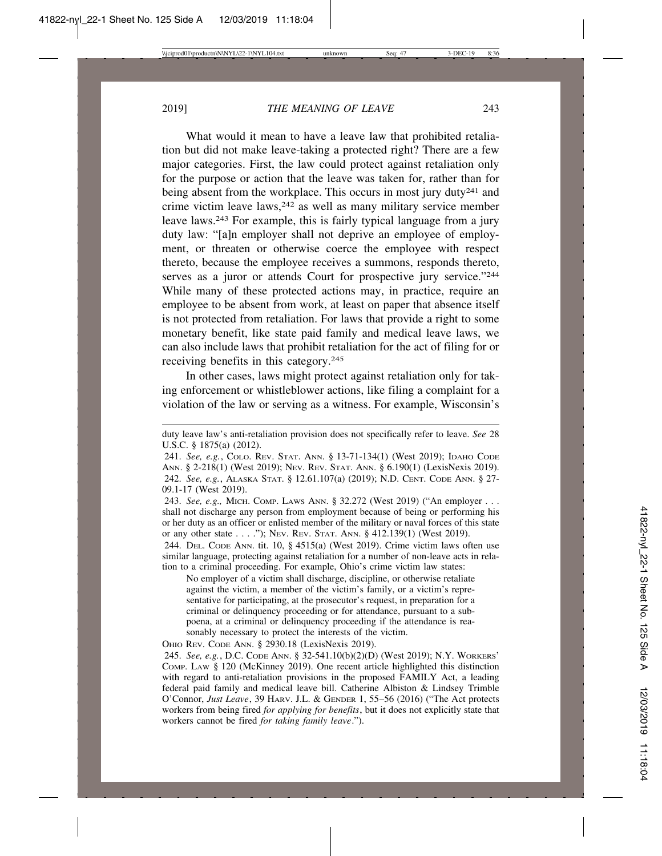What would it mean to have a leave law that prohibited retaliation but did not make leave-taking a protected right? There are a few major categories. First, the law could protect against retaliation only for the purpose or action that the leave was taken for, rather than for being absent from the workplace. This occurs in most jury duty<sup>241</sup> and crime victim leave laws, $242$  as well as many military service member leave laws.243 For example, this is fairly typical language from a jury duty law: "[a]n employer shall not deprive an employee of employment, or threaten or otherwise coerce the employee with respect thereto, because the employee receives a summons, responds thereto, serves as a juror or attends Court for prospective jury service."<sup>244</sup> While many of these protected actions may, in practice, require an employee to be absent from work, at least on paper that absence itself is not protected from retaliation. For laws that provide a right to some monetary benefit, like state paid family and medical leave laws, we can also include laws that prohibit retaliation for the act of filing for or receiving benefits in this category.245

In other cases, laws might protect against retaliation only for taking enforcement or whistleblower actions, like filing a complaint for a violation of the law or serving as a witness. For example, Wisconsin's

243. *See, e.g.,* MICH. COMP. LAWS ANN. § 32.272 (West 2019) ("An employer . . . shall not discharge any person from employment because of being or performing his or her duty as an officer or enlisted member of the military or naval forces of this state or any other state . . . ."); NEV. REV. STAT. ANN. § 412.139(1) (West 2019).

244. DEL. CODE ANN. tit. 10, § 4515(a) (West 2019). Crime victim laws often use similar language, protecting against retaliation for a number of non-leave acts in relation to a criminal proceeding. For example, Ohio's crime victim law states:

No employer of a victim shall discharge, discipline, or otherwise retaliate against the victim, a member of the victim's family, or a victim's representative for participating, at the prosecutor's request, in preparation for a criminal or delinquency proceeding or for attendance, pursuant to a subpoena, at a criminal or delinquency proceeding if the attendance is reasonably necessary to protect the interests of the victim.

OHIO REV. CODE ANN. § 2930.18 (LexisNexis 2019).

245. *See, e.g.*, D.C. CODE ANN. § 32-541.10(b)(2)(D) (West 2019); N.Y. WORKERS' COMP. LAW § 120 (McKinney 2019). One recent article highlighted this distinction with regard to anti-retaliation provisions in the proposed FAMILY Act, a leading federal paid family and medical leave bill. Catherine Albiston & Lindsey Trimble O'Connor, *Just Leave*, 39 HARV. J.L. & GENDER 1, 55–56 (2016) ("The Act protects workers from being fired *for applying for benefits*, but it does not explicitly state that workers cannot be fired *for taking family leave*.").

duty leave law's anti-retaliation provision does not specifically refer to leave. *See* 28 U.S.C. § 1875(a) (2012).

<sup>241.</sup> *See, e.g.*, COLO. REV. STAT. ANN. § 13-71-134(1) (West 2019); IDAHO CODE ANN. § 2-218(1) (West 2019); NEV. REV. STAT. ANN. § 6.190(1) (LexisNexis 2019). 242. *See, e.g.*, ALASKA STAT. § 12.61.107(a) (2019); N.D. CENT. CODE ANN. § 27- 09.1-17 (West 2019).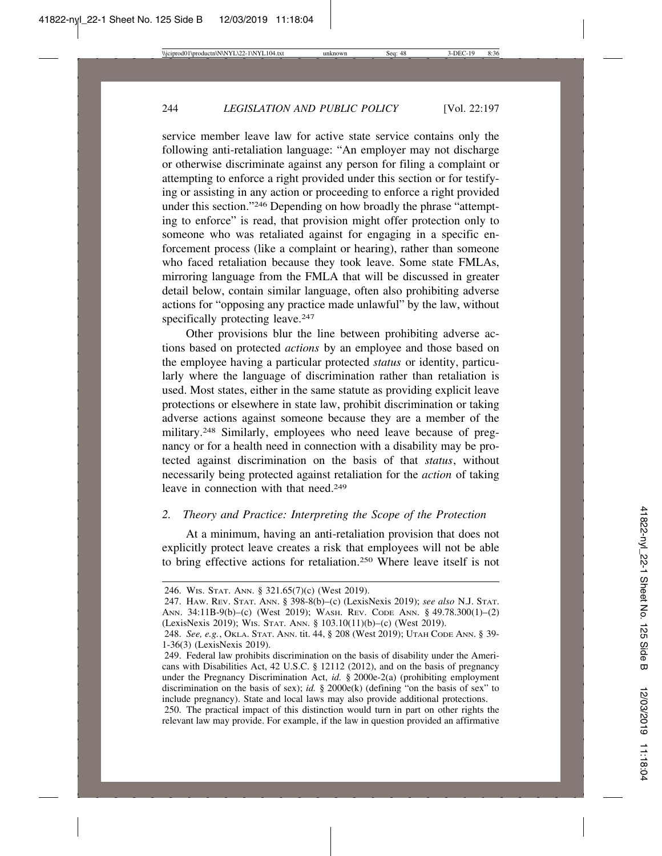service member leave law for active state service contains only the following anti-retaliation language: "An employer may not discharge or otherwise discriminate against any person for filing a complaint or attempting to enforce a right provided under this section or for testifying or assisting in any action or proceeding to enforce a right provided under this section."246 Depending on how broadly the phrase "attempting to enforce" is read, that provision might offer protection only to someone who was retaliated against for engaging in a specific enforcement process (like a complaint or hearing), rather than someone who faced retaliation because they took leave. Some state FMLAs, mirroring language from the FMLA that will be discussed in greater detail below, contain similar language, often also prohibiting adverse actions for "opposing any practice made unlawful" by the law, without specifically protecting leave.<sup>247</sup>

Other provisions blur the line between prohibiting adverse actions based on protected *actions* by an employee and those based on the employee having a particular protected *status* or identity, particularly where the language of discrimination rather than retaliation is used. Most states, either in the same statute as providing explicit leave protections or elsewhere in state law, prohibit discrimination or taking adverse actions against someone because they are a member of the military.248 Similarly, employees who need leave because of pregnancy or for a health need in connection with a disability may be protected against discrimination on the basis of that *status*, without necessarily being protected against retaliation for the *action* of taking leave in connection with that need.<sup>249</sup>

### *2. Theory and Practice: Interpreting the Scope of the Protection*

At a minimum, having an anti-retaliation provision that does not explicitly protect leave creates a risk that employees will not be able to bring effective actions for retaliation.250 Where leave itself is not

<sup>246.</sup> WIS. STAT. ANN. § 321.65(7)(c) (West 2019).

<sup>247.</sup> HAW. REV. STAT. ANN. § 398-8(b)–(c) (LexisNexis 2019); *see also* N.J. STAT. ANN. 34:11B-9(b)–(c) (West 2019); WASH. REV. CODE ANN. § 49.78.300(1)–(2) (LexisNexis 2019); WIS. STAT. ANN. § 103.10(11)(b)–(c) (West 2019).

<sup>248.</sup> *See, e.g.*, OKLA. STAT. ANN. tit. 44, § 208 (West 2019); UTAH CODE ANN. § 39- 1-36(3) (LexisNexis 2019).

<sup>249.</sup> Federal law prohibits discrimination on the basis of disability under the Americans with Disabilities Act, 42 U.S.C. § 12112 (2012), and on the basis of pregnancy under the Pregnancy Discrimination Act, *id.* § 2000e-2(a) (prohibiting employment discrimination on the basis of sex); *id.* § 2000e(k) (defining "on the basis of sex" to include pregnancy). State and local laws may also provide additional protections.

<sup>250.</sup> The practical impact of this distinction would turn in part on other rights the relevant law may provide. For example, if the law in question provided an affirmative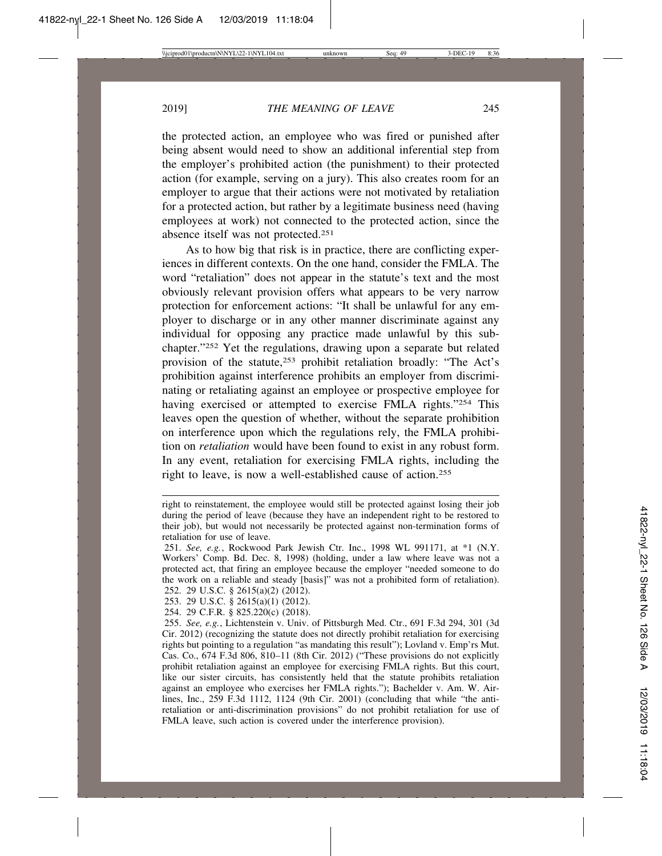the protected action, an employee who was fired or punished after being absent would need to show an additional inferential step from the employer's prohibited action (the punishment) to their protected action (for example, serving on a jury). This also creates room for an employer to argue that their actions were not motivated by retaliation for a protected action, but rather by a legitimate business need (having employees at work) not connected to the protected action, since the absence itself was not protected.251

As to how big that risk is in practice, there are conflicting experiences in different contexts. On the one hand, consider the FMLA. The word "retaliation" does not appear in the statute's text and the most obviously relevant provision offers what appears to be very narrow protection for enforcement actions: "It shall be unlawful for any employer to discharge or in any other manner discriminate against any individual for opposing any practice made unlawful by this subchapter."252 Yet the regulations, drawing upon a separate but related provision of the statute,<sup>253</sup> prohibit retaliation broadly: "The Act's prohibition against interference prohibits an employer from discriminating or retaliating against an employee or prospective employee for having exercised or attempted to exercise FMLA rights."254 This leaves open the question of whether, without the separate prohibition on interference upon which the regulations rely, the FMLA prohibition on *retaliation* would have been found to exist in any robust form. In any event, retaliation for exercising FMLA rights, including the right to leave, is now a well-established cause of action.255

right to reinstatement, the employee would still be protected against losing their job during the period of leave (because they have an independent right to be restored to their job), but would not necessarily be protected against non-termination forms of retaliation for use of leave.

<sup>251.</sup> *See, e.g.*, Rockwood Park Jewish Ctr. Inc., 1998 WL 991171, at \*1 (N.Y. Workers' Comp. Bd. Dec. 8, 1998) (holding, under a law where leave was not a protected act, that firing an employee because the employer "needed someone to do the work on a reliable and steady [basis]" was not a prohibited form of retaliation).

<sup>252. 29</sup> U.S.C. § 2615(a)(2) (2012).

<sup>253. 29</sup> U.S.C. § 2615(a)(1) (2012).

<sup>254. 29</sup> C.F.R. § 825.220(c) (2018).

<sup>255.</sup> *See, e.g.*, Lichtenstein v. Univ. of Pittsburgh Med. Ctr., 691 F.3d 294, 301 (3d Cir. 2012) (recognizing the statute does not directly prohibit retaliation for exercising rights but pointing to a regulation "as mandating this result"); Lovland v. Emp'rs Mut. Cas. Co., 674 F.3d 806, 810–11 (8th Cir. 2012) ("These provisions do not explicitly prohibit retaliation against an employee for exercising FMLA rights. But this court, like our sister circuits, has consistently held that the statute prohibits retaliation against an employee who exercises her FMLA rights."); Bachelder v. Am. W. Airlines, Inc., 259 F.3d 1112, 1124 (9th Cir. 2001) (concluding that while "the antiretaliation or anti-discrimination provisions" do not prohibit retaliation for use of FMLA leave, such action is covered under the interference provision).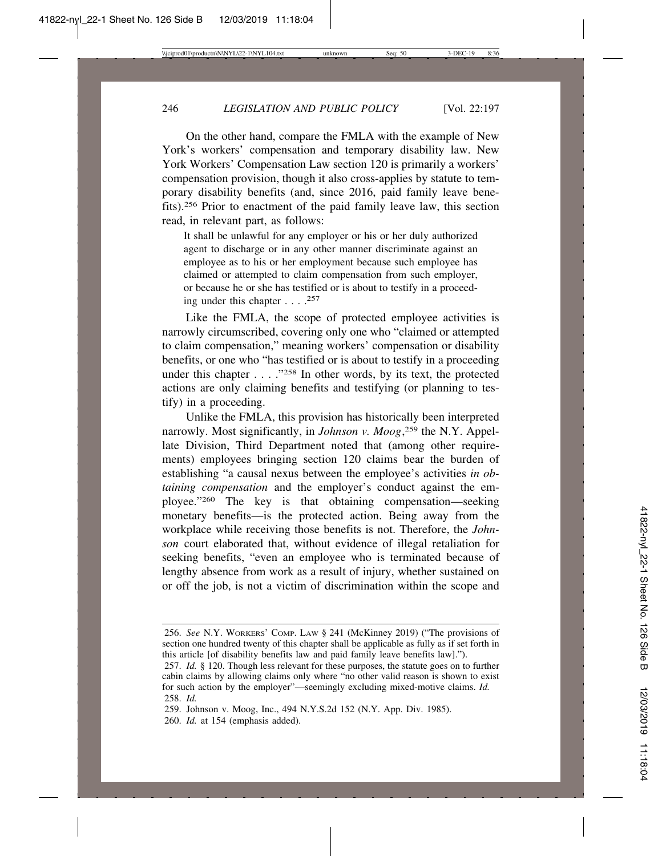On the other hand, compare the FMLA with the example of New York's workers' compensation and temporary disability law. New York Workers' Compensation Law section 120 is primarily a workers' compensation provision, though it also cross-applies by statute to temporary disability benefits (and, since 2016, paid family leave benefits).256 Prior to enactment of the paid family leave law, this section read, in relevant part, as follows:

It shall be unlawful for any employer or his or her duly authorized agent to discharge or in any other manner discriminate against an employee as to his or her employment because such employee has claimed or attempted to claim compensation from such employer, or because he or she has testified or is about to testify in a proceeding under this chapter . . . .257

Like the FMLA, the scope of protected employee activities is narrowly circumscribed, covering only one who "claimed or attempted to claim compensation," meaning workers' compensation or disability benefits, or one who "has testified or is about to testify in a proceeding under this chapter . . . ."258 In other words, by its text, the protected actions are only claiming benefits and testifying (or planning to testify) in a proceeding.

Unlike the FMLA, this provision has historically been interpreted narrowly. Most significantly, in *Johnson v. Moog*, 259 the N.Y. Appellate Division, Third Department noted that (among other requirements) employees bringing section 120 claims bear the burden of establishing "a causal nexus between the employee's activities *in obtaining compensation* and the employer's conduct against the employee."260 The key is that obtaining compensation—seeking monetary benefits—is the protected action. Being away from the workplace while receiving those benefits is not. Therefore, the *Johnson* court elaborated that, without evidence of illegal retaliation for seeking benefits, "even an employee who is terminated because of lengthy absence from work as a result of injury, whether sustained on or off the job, is not a victim of discrimination within the scope and

<sup>256.</sup> *See* N.Y. WORKERS' COMP. LAW § 241 (McKinney 2019) ("The provisions of section one hundred twenty of this chapter shall be applicable as fully as if set forth in this article [of disability benefits law and paid family leave benefits law].").

<sup>257.</sup> *Id.* § 120. Though less relevant for these purposes, the statute goes on to further cabin claims by allowing claims only where "no other valid reason is shown to exist for such action by the employer"—seemingly excluding mixed-motive claims. *Id.* 258. *Id.*

<sup>259.</sup> Johnson v. Moog, Inc., 494 N.Y.S.2d 152 (N.Y. App. Div. 1985).

<sup>260.</sup> *Id.* at 154 (emphasis added).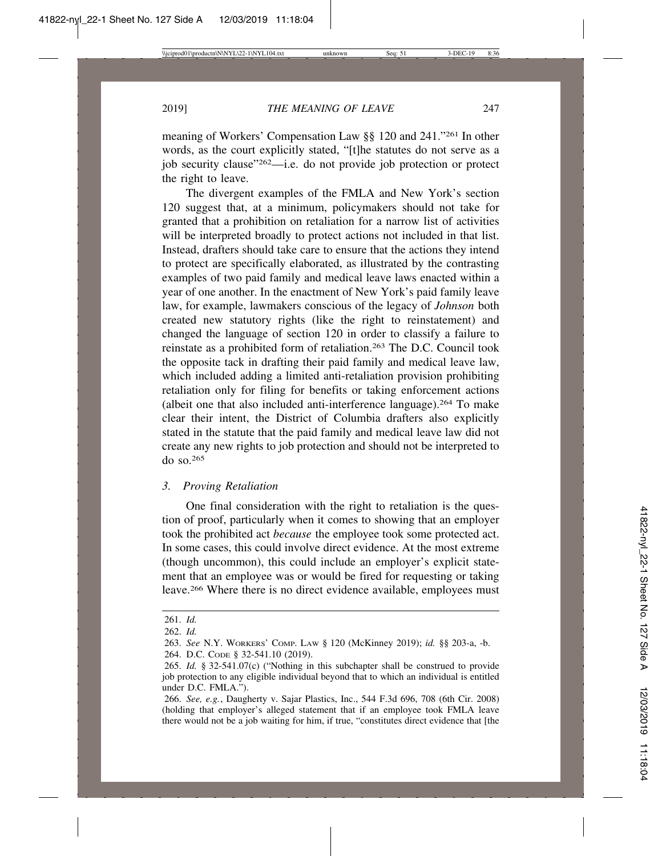meaning of Workers' Compensation Law §§ 120 and 241."261 In other words, as the court explicitly stated, "[t]he statutes do not serve as a job security clause"262—i.e. do not provide job protection or protect the right to leave.

The divergent examples of the FMLA and New York's section 120 suggest that, at a minimum, policymakers should not take for granted that a prohibition on retaliation for a narrow list of activities will be interpreted broadly to protect actions not included in that list. Instead, drafters should take care to ensure that the actions they intend to protect are specifically elaborated, as illustrated by the contrasting examples of two paid family and medical leave laws enacted within a year of one another. In the enactment of New York's paid family leave law, for example, lawmakers conscious of the legacy of *Johnson* both created new statutory rights (like the right to reinstatement) and changed the language of section 120 in order to classify a failure to reinstate as a prohibited form of retaliation.263 The D.C. Council took the opposite tack in drafting their paid family and medical leave law, which included adding a limited anti-retaliation provision prohibiting retaliation only for filing for benefits or taking enforcement actions (albeit one that also included anti-interference language).264 To make clear their intent, the District of Columbia drafters also explicitly stated in the statute that the paid family and medical leave law did not create any new rights to job protection and should not be interpreted to do so.265

### *3. Proving Retaliation*

One final consideration with the right to retaliation is the question of proof, particularly when it comes to showing that an employer took the prohibited act *because* the employee took some protected act. In some cases, this could involve direct evidence. At the most extreme (though uncommon), this could include an employer's explicit statement that an employee was or would be fired for requesting or taking leave.266 Where there is no direct evidence available, employees must

<sup>261.</sup> *Id.*

<sup>262.</sup> *Id.*

<sup>263.</sup> *See* N.Y. WORKERS' COMP. LAW § 120 (McKinney 2019); *id.* §§ 203-a, -b.

<sup>264.</sup> D.C. CODE § 32-541.10 (2019).

<sup>265.</sup> *Id.* § 32-541.07(c) ("Nothing in this subchapter shall be construed to provide job protection to any eligible individual beyond that to which an individual is entitled under D.C. FMLA.").

<sup>266.</sup> *See, e.g.*, Daugherty v. Sajar Plastics, Inc., 544 F.3d 696, 708 (6th Cir. 2008) (holding that employer's alleged statement that if an employee took FMLA leave there would not be a job waiting for him, if true, "constitutes direct evidence that [the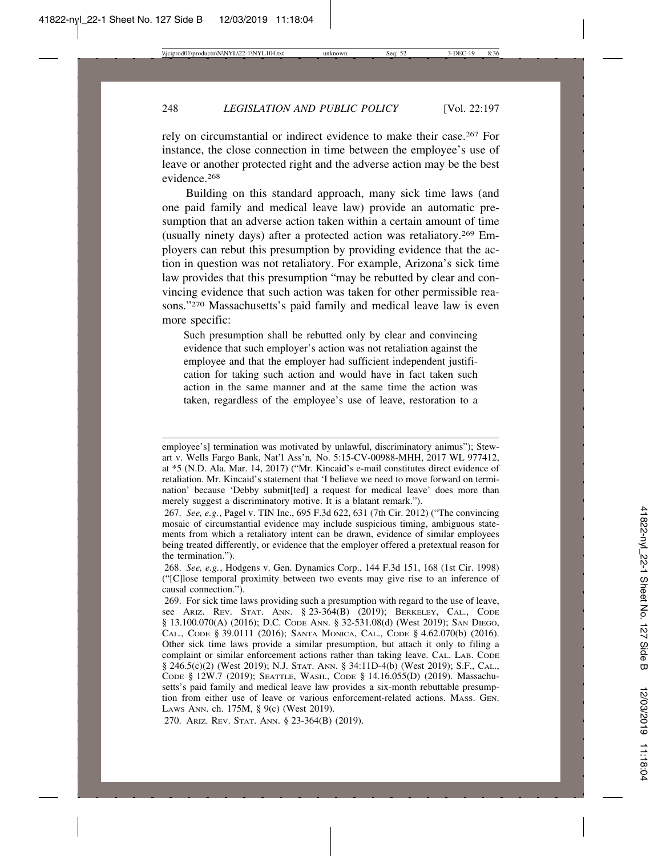rely on circumstantial or indirect evidence to make their case.267 For instance, the close connection in time between the employee's use of leave or another protected right and the adverse action may be the best evidence.268

Building on this standard approach, many sick time laws (and one paid family and medical leave law) provide an automatic presumption that an adverse action taken within a certain amount of time (usually ninety days) after a protected action was retaliatory.269 Employers can rebut this presumption by providing evidence that the action in question was not retaliatory. For example, Arizona's sick time law provides that this presumption "may be rebutted by clear and convincing evidence that such action was taken for other permissible reasons."270 Massachusetts's paid family and medical leave law is even more specific:

Such presumption shall be rebutted only by clear and convincing evidence that such employer's action was not retaliation against the employee and that the employer had sufficient independent justification for taking such action and would have in fact taken such action in the same manner and at the same time the action was taken, regardless of the employee's use of leave, restoration to a

270. ARIZ. REV. STAT. ANN. § 23-364(B) (2019).

employee's] termination was motivated by unlawful, discriminatory animus"); Stewart v. Wells Fargo Bank, Nat'l Ass'n*,* No. 5:15-CV-00988-MHH, 2017 WL 977412, at \*5 (N.D. Ala. Mar. 14, 2017) ("Mr. Kincaid's e-mail constitutes direct evidence of retaliation. Mr. Kincaid's statement that 'I believe we need to move forward on termination' because 'Debby submit[ted] a request for medical leave' does more than merely suggest a discriminatory motive. It is a blatant remark.").

<sup>267.</sup> *See, e.g.*, Pagel v. TIN Inc., 695 F.3d 622, 631 (7th Cir. 2012) ("The convincing mosaic of circumstantial evidence may include suspicious timing, ambiguous statements from which a retaliatory intent can be drawn, evidence of similar employees being treated differently, or evidence that the employer offered a pretextual reason for the termination.").

<sup>268.</sup> *See, e.g.*, Hodgens v. Gen. Dynamics Corp., 144 F.3d 151, 168 (1st Cir. 1998) ("[C]lose temporal proximity between two events may give rise to an inference of causal connection.").

<sup>269.</sup> For sick time laws providing such a presumption with regard to the use of leave, see ARIZ. REV. STAT. ANN. § 23-364(B) (2019); BERKELEY, CAL., CODE § 13.100.070(A) (2016); D.C. CODE ANN. § 32-531.08(d) (West 2019); SAN DIEGO, CAL., CODE § 39.0111 (2016); SANTA MONICA, CAL., CODE § 4.62.070(b) (2016). Other sick time laws provide a similar presumption, but attach it only to filing a complaint or similar enforcement actions rather than taking leave. CAL. LAB. CODE § 246.5(c)(2) (West 2019); N.J. STAT. ANN. § 34:11D-4(b) (West 2019); S.F., CAL., CODE § 12W.7 (2019); SEATTLE, WASH., CODE § 14.16.055(D) (2019). Massachusetts's paid family and medical leave law provides a six-month rebuttable presumption from either use of leave or various enforcement-related actions. MASS. GEN. LAWS ANN. ch. 175M, § 9(c) (West 2019).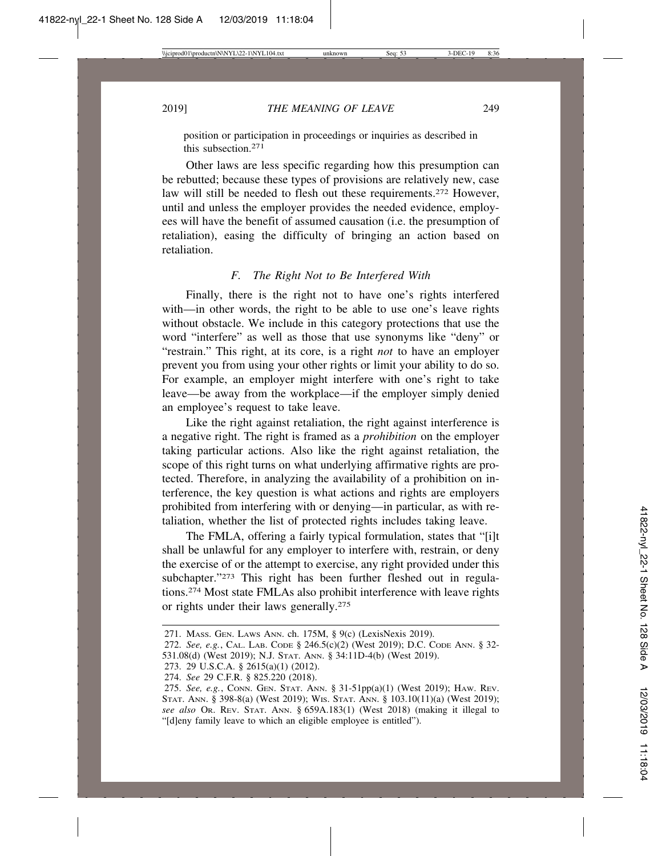position or participation in proceedings or inquiries as described in this subsection<sup>271</sup>

Other laws are less specific regarding how this presumption can be rebutted; because these types of provisions are relatively new, case law will still be needed to flesh out these requirements.272 However, until and unless the employer provides the needed evidence, employees will have the benefit of assumed causation (i.e. the presumption of retaliation), easing the difficulty of bringing an action based on retaliation.

#### *F. The Right Not to Be Interfered With*

Finally, there is the right not to have one's rights interfered with—in other words, the right to be able to use one's leave rights without obstacle. We include in this category protections that use the word "interfere" as well as those that use synonyms like "deny" or "restrain." This right, at its core, is a right *not* to have an employer prevent you from using your other rights or limit your ability to do so. For example, an employer might interfere with one's right to take leave—be away from the workplace—if the employer simply denied an employee's request to take leave.

Like the right against retaliation, the right against interference is a negative right. The right is framed as a *prohibition* on the employer taking particular actions. Also like the right against retaliation, the scope of this right turns on what underlying affirmative rights are protected. Therefore, in analyzing the availability of a prohibition on interference, the key question is what actions and rights are employers prohibited from interfering with or denying—in particular, as with retaliation, whether the list of protected rights includes taking leave.

The FMLA, offering a fairly typical formulation, states that "[i]t shall be unlawful for any employer to interfere with, restrain, or deny the exercise of or the attempt to exercise, any right provided under this subchapter."<sup>273</sup> This right has been further fleshed out in regulations.274 Most state FMLAs also prohibit interference with leave rights or rights under their laws generally.275

<sup>271.</sup> MASS. GEN. LAWS ANN. ch. 175M, § 9(c) (LexisNexis 2019).

<sup>272.</sup> *See, e.g.*, CAL. LAB. CODE § 246.5(c)(2) (West 2019); D.C. CODE ANN. § 32-

<sup>531.08(</sup>d) (West 2019); N.J. STAT. ANN. § 34:11D-4(b) (West 2019).

<sup>273. 29</sup> U.S.C.A. § 2615(a)(1) (2012).

<sup>274.</sup> *See* 29 C.F.R. § 825.220 (2018).

<sup>275.</sup> *See, e.g.*, CONN. GEN. STAT. ANN. § 31-51pp(a)(1) (West 2019); HAW. REV. STAT. ANN. § 398-8(a) (West 2019); WIS. STAT. ANN. § 103.10(11)(a) (West 2019); *see also* OR. REV. STAT. ANN. § 659A.183(1) (West 2018) (making it illegal to "[d]eny family leave to which an eligible employee is entitled").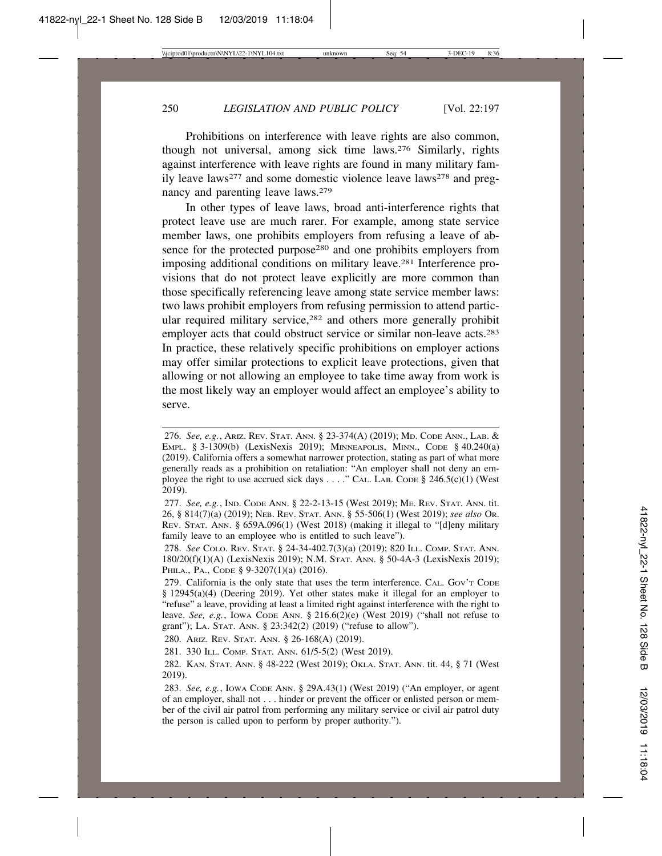Prohibitions on interference with leave rights are also common, though not universal, among sick time laws.276 Similarly, rights against interference with leave rights are found in many military family leave laws<sup>277</sup> and some domestic violence leave laws<sup>278</sup> and pregnancy and parenting leave laws.279

In other types of leave laws, broad anti-interference rights that protect leave use are much rarer. For example, among state service member laws, one prohibits employers from refusing a leave of absence for the protected purpose<sup>280</sup> and one prohibits employers from imposing additional conditions on military leave.281 Interference provisions that do not protect leave explicitly are more common than those specifically referencing leave among state service member laws: two laws prohibit employers from refusing permission to attend particular required military service,<sup>282</sup> and others more generally prohibit employer acts that could obstruct service or similar non-leave acts.<sup>283</sup> In practice, these relatively specific prohibitions on employer actions may offer similar protections to explicit leave protections, given that allowing or not allowing an employee to take time away from work is the most likely way an employer would affect an employee's ability to serve.

280. ARIZ. REV. STAT. ANN. § 26-168(A) (2019).

281. 330 ILL. COMP. STAT. ANN. 61/5-5(2) (West 2019).

<sup>276.</sup> *See, e.g.*, ARIZ. REV. STAT. ANN. § 23-374(A) (2019); MD. CODE ANN., LAB. & EMPL. § 3-1309(b) (LexisNexis 2019); MINNEAPOLIS, MINN., CODE § 40.240(a) (2019). California offers a somewhat narrower protection, stating as part of what more generally reads as a prohibition on retaliation: "An employer shall not deny an employee the right to use accrued sick days  $\dots$ ." CAL. LAB. CODE § 246.5(c)(1) (West 2019).

<sup>277.</sup> *See, e.g.*, IND. CODE ANN. § 22-2-13-15 (West 2019); ME. REV. STAT. ANN. tit. 26, § 814(7)(a) (2019); NEB. REV. STAT. ANN. § 55-506(1) (West 2019); *see also* OR. REV. STAT. ANN. § 659A.096(1) (West 2018) (making it illegal to "[d]eny military family leave to an employee who is entitled to such leave").

<sup>278.</sup> *See* COLO. REV. STAT. § 24-34-402.7(3)(a) (2019); 820 ILL. COMP. STAT. ANN. 180/20(f)(1)(A) (LexisNexis 2019); N.M. STAT. ANN. § 50-4A-3 (LexisNexis 2019); PHILA., PA., CODE § 9-3207(1)(a) (2016).

<sup>279.</sup> California is the only state that uses the term interference. CAL. GOV'T CODE § 12945(a)(4) (Deering 2019). Yet other states make it illegal for an employer to "refuse" a leave, providing at least a limited right against interference with the right to leave. *See, e.g.*, Iowa Code Ann. § 216.6(2)(e) (West 2019) ("shall not refuse to grant"); LA. STAT. ANN. § 23:342(2) (2019) ("refuse to allow").

<sup>282.</sup> KAN. STAT. ANN. § 48-222 (West 2019); OKLA. STAT. ANN. tit. 44, § 71 (West 2019).

<sup>283.</sup> *See, e.g.*, IOWA CODE ANN. § 29A.43(1) (West 2019) ("An employer, or agent of an employer, shall not . . . hinder or prevent the officer or enlisted person or member of the civil air patrol from performing any military service or civil air patrol duty the person is called upon to perform by proper authority.").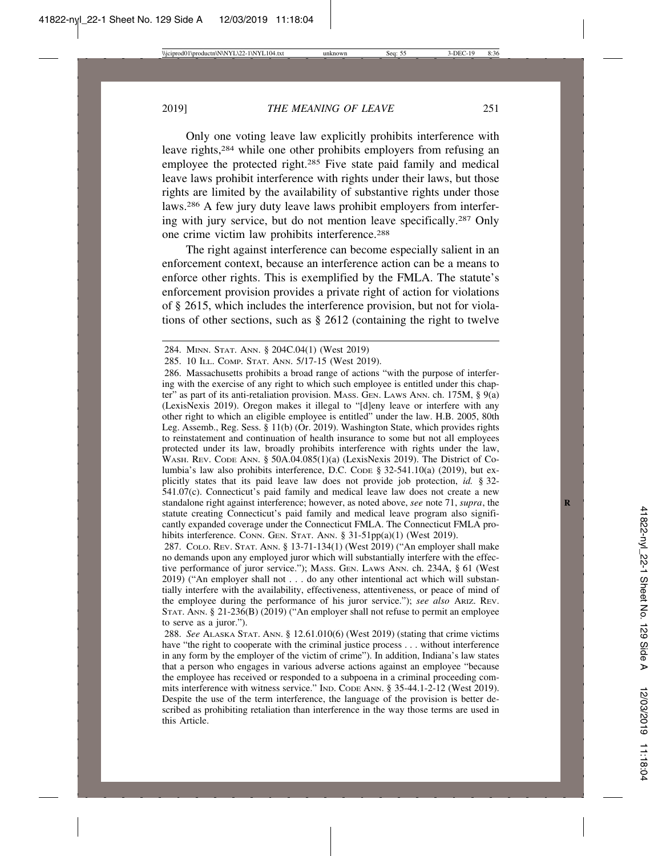Only one voting leave law explicitly prohibits interference with leave rights,284 while one other prohibits employers from refusing an employee the protected right.<sup>285</sup> Five state paid family and medical leave laws prohibit interference with rights under their laws, but those rights are limited by the availability of substantive rights under those laws.286 A few jury duty leave laws prohibit employers from interfering with jury service, but do not mention leave specifically.287 Only one crime victim law prohibits interference.288

The right against interference can become especially salient in an enforcement context, because an interference action can be a means to enforce other rights. This is exemplified by the FMLA. The statute's enforcement provision provides a private right of action for violations of § 2615, which includes the interference provision, but not for violations of other sections, such as § 2612 (containing the right to twelve

287. COLO. REV. STAT. ANN. § 13-71-134(1) (West 2019) ("An employer shall make no demands upon any employed juror which will substantially interfere with the effective performance of juror service."); MASS. GEN. LAWS ANN. ch. 234A, § 61 (West 2019) ("An employer shall not . . . do any other intentional act which will substantially interfere with the availability, effectiveness, attentiveness, or peace of mind of the employee during the performance of his juror service."); *see also* ARIZ. REV. STAT. ANN. § 21-236(B) (2019) ("An employer shall not refuse to permit an employee to serve as a juror.").

288. *See* ALASKA STAT. ANN. § 12.61.010(6) (West 2019) (stating that crime victims have "the right to cooperate with the criminal justice process . . . without interference in any form by the employer of the victim of crime"). In addition, Indiana's law states that a person who engages in various adverse actions against an employee "because the employee has received or responded to a subpoena in a criminal proceeding commits interference with witness service." IND. CODE ANN. § 35-44.1-2-12 (West 2019). Despite the use of the term interference, the language of the provision is better described as prohibiting retaliation than interference in the way those terms are used in this Article.

<sup>284.</sup> MINN. STAT. ANN. § 204C.04(1) (West 2019)

<sup>285. 10</sup> ILL. COMP. STAT. ANN. 5/17-15 (West 2019).

<sup>286.</sup> Massachusetts prohibits a broad range of actions "with the purpose of interfering with the exercise of any right to which such employee is entitled under this chapter" as part of its anti-retaliation provision. MASS. GEN. LAWS ANN. ch. 175M,  $\S$  9(a) (LexisNexis 2019). Oregon makes it illegal to "[d]eny leave or interfere with any other right to which an eligible employee is entitled" under the law. H.B. 2005, 80th Leg. Assemb., Reg. Sess. § 11(b) (Or. 2019). Washington State, which provides rights to reinstatement and continuation of health insurance to some but not all employees protected under its law, broadly prohibits interference with rights under the law, WASH. REV. CODE ANN. § 50A.04.085(1)(a) (LexisNexis 2019). The District of Columbia's law also prohibits interference, D.C. CODE § 32-541.10(a) (2019), but explicitly states that its paid leave law does not provide job protection, *id.* § 32- 541.07(c). Connecticut's paid family and medical leave law does not create a new standalone right against interference; however, as noted above, *see* note 71, *supra*, the **R** statute creating Connecticut's paid family and medical leave program also significantly expanded coverage under the Connecticut FMLA. The Connecticut FMLA prohibits interference. CONN. GEN. STAT. ANN. § 31-51pp(a)(1) (West 2019).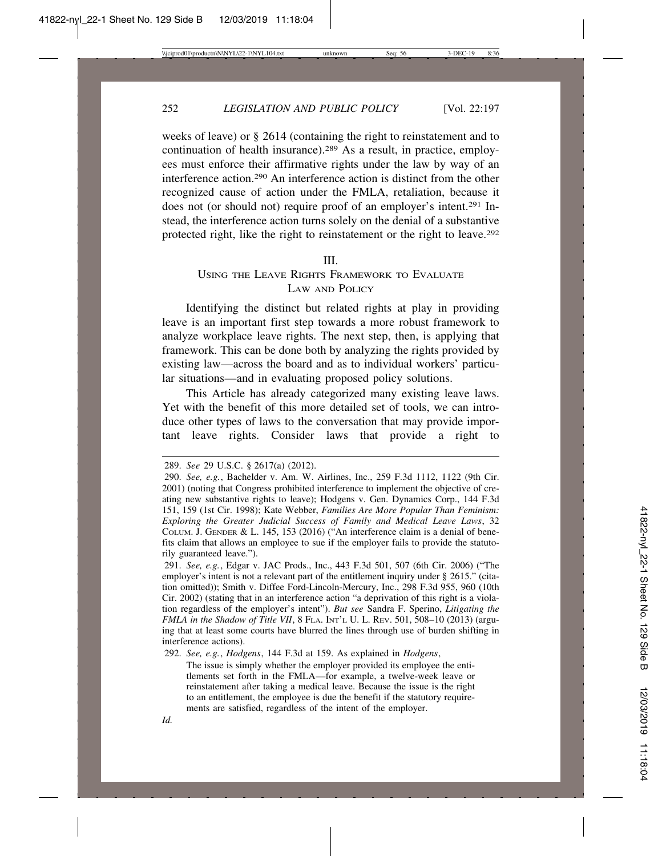weeks of leave) or § 2614 (containing the right to reinstatement and to continuation of health insurance).289 As a result, in practice, employees must enforce their affirmative rights under the law by way of an interference action.290 An interference action is distinct from the other recognized cause of action under the FMLA, retaliation, because it does not (or should not) require proof of an employer's intent.291 Instead, the interference action turns solely on the denial of a substantive protected right, like the right to reinstatement or the right to leave.292

#### III.

## USING THE LEAVE RIGHTS FRAMEWORK TO EVALUATE LAW AND POLICY

Identifying the distinct but related rights at play in providing leave is an important first step towards a more robust framework to analyze workplace leave rights. The next step, then, is applying that framework. This can be done both by analyzing the rights provided by existing law—across the board and as to individual workers' particular situations—and in evaluating proposed policy solutions.

This Article has already categorized many existing leave laws. Yet with the benefit of this more detailed set of tools, we can introduce other types of laws to the conversation that may provide important leave rights. Consider laws that provide a right to

291. *See, e.g.*, Edgar v. JAC Prods., Inc., 443 F.3d 501, 507 (6th Cir. 2006) ("The employer's intent is not a relevant part of the entitlement inquiry under § 2615." (citation omitted)); Smith v. Diffee Ford-Lincoln-Mercury, Inc., 298 F.3d 955, 960 (10th Cir. 2002) (stating that in an interference action "a deprivation of this right is a violation regardless of the employer's intent"). *But see* Sandra F. Sperino, *Litigating the FMLA in the Shadow of Title VII*, 8 FLA. INT'L U. L. REV. 501, 508–10 (2013) (arguing that at least some courts have blurred the lines through use of burden shifting in interference actions).

292. *See, e.g.*, *Hodgens*, 144 F.3d at 159. As explained in *Hodgens*,

The issue is simply whether the employer provided its employee the entitlements set forth in the FMLA—for example, a twelve-week leave or reinstatement after taking a medical leave. Because the issue is the right to an entitlement, the employee is due the benefit if the statutory requirements are satisfied, regardless of the intent of the employer.

<sup>289.</sup> *See* 29 U.S.C. § 2617(a) (2012).

<sup>290.</sup> *See, e.g.*, Bachelder v. Am. W. Airlines, Inc., 259 F.3d 1112, 1122 (9th Cir. 2001) (noting that Congress prohibited interference to implement the objective of creating new substantive rights to leave); Hodgens v. Gen. Dynamics Corp., 144 F.3d 151, 159 (1st Cir. 1998); Kate Webber, *Families Are More Popular Than Feminism: Exploring the Greater Judicial Success of Family and Medical Leave Laws*, 32 COLUM. J. GENDER & L. 145, 153 (2016) ("An interference claim is a denial of benefits claim that allows an employee to sue if the employer fails to provide the statutorily guaranteed leave.").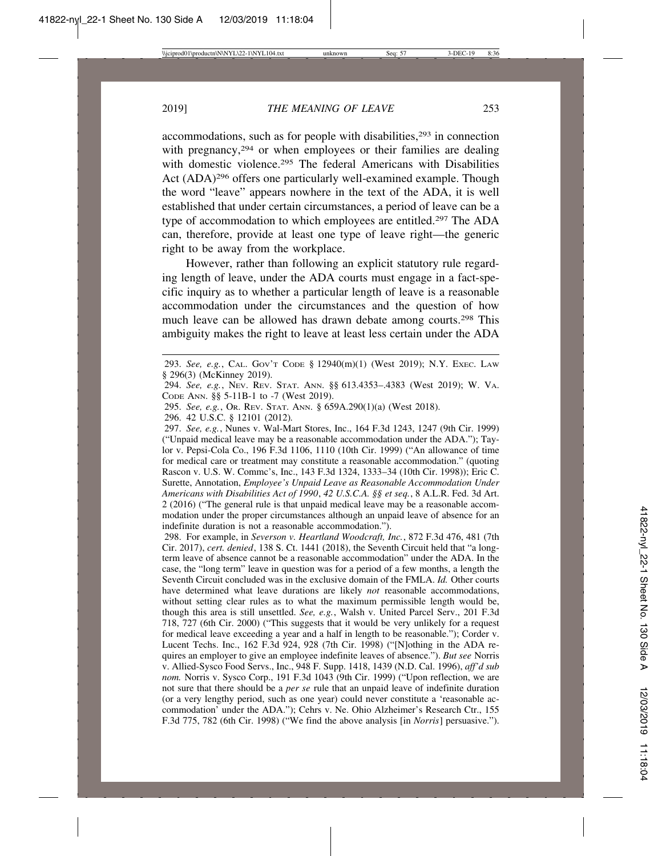accommodations, such as for people with disabilities,<sup>293</sup> in connection with pregnancy,<sup>294</sup> or when employees or their families are dealing with domestic violence.<sup>295</sup> The federal Americans with Disabilities Act (ADA)<sup>296</sup> offers one particularly well-examined example. Though the word "leave" appears nowhere in the text of the ADA, it is well established that under certain circumstances, a period of leave can be a type of accommodation to which employees are entitled.297 The ADA can, therefore, provide at least one type of leave right—the generic right to be away from the workplace.

However, rather than following an explicit statutory rule regarding length of leave, under the ADA courts must engage in a fact-specific inquiry as to whether a particular length of leave is a reasonable accommodation under the circumstances and the question of how much leave can be allowed has drawn debate among courts.298 This ambiguity makes the right to leave at least less certain under the ADA

294. *See, e.g.*, NEV. REV. STAT. ANN. §§ 613.4353–.4383 (West 2019); W. VA. CODE ANN. §§ 5-11B-1 to -7 (West 2019).

296. 42 U.S.C. § 12101 (2012)*.*

297. *See, e.g.*, Nunes v. Wal-Mart Stores, Inc., 164 F.3d 1243, 1247 (9th Cir. 1999) ("Unpaid medical leave may be a reasonable accommodation under the ADA."); Taylor v. Pepsi-Cola Co., 196 F.3d 1106, 1110 (10th Cir. 1999) ("An allowance of time for medical care or treatment may constitute a reasonable accommodation." (quoting Rascon v. U.S. W. Commc's, Inc., 143 F.3d 1324, 1333–34 (10th Cir. 1998)); Eric C. Surette, Annotation, *Employee's Unpaid Leave as Reasonable Accommodation Under Americans with Disabilities Act of 1990*, *42 U.S.C.A. §§ et seq.*, 8 A.L.R. Fed. 3d Art. 2 (2016) ("The general rule is that unpaid medical leave may be a reasonable accommodation under the proper circumstances although an unpaid leave of absence for an indefinite duration is not a reasonable accommodation.").

298. For example, in *Severson v. Heartland Woodcraft, Inc.*, 872 F.3d 476, 481 (7th Cir. 2017), *cert. denied*, 138 S. Ct. 1441 (2018), the Seventh Circuit held that "a longterm leave of absence cannot be a reasonable accommodation" under the ADA. In the case, the "long term" leave in question was for a period of a few months, a length the Seventh Circuit concluded was in the exclusive domain of the FMLA. *Id.* Other courts have determined what leave durations are likely *not* reasonable accommodations, without setting clear rules as to what the maximum permissible length would be, though this area is still unsettled. *See, e.g.*, Walsh v. United Parcel Serv., 201 F.3d 718, 727 (6th Cir. 2000) ("This suggests that it would be very unlikely for a request for medical leave exceeding a year and a half in length to be reasonable."); Corder v. Lucent Techs. Inc., 162 F.3d 924, 928 (7th Cir. 1998) ("[N]othing in the ADA requires an employer to give an employee indefinite leaves of absence."). *But see* Norris v. Allied-Sysco Food Servs., Inc., 948 F. Supp. 1418, 1439 (N.D. Cal. 1996), *aff'd sub nom.* Norris v. Sysco Corp., 191 F.3d 1043 (9th Cir. 1999) ("Upon reflection, we are not sure that there should be a *per se* rule that an unpaid leave of indefinite duration (or a very lengthy period, such as one year) could never constitute a 'reasonable accommodation' under the ADA."); Cehrs v. Ne. Ohio Alzheimer's Research Ctr., 155 F.3d 775, 782 (6th Cir. 1998) ("We find the above analysis [in *Norris*] persuasive.").

<sup>293.</sup> *See, e.g.*, CAL. GOV'T CODE § 12940(m)(1) (West 2019); N.Y. EXEC. LAW § 296(3) (McKinney 2019).

<sup>295.</sup> *See, e.g.*, OR. REV. STAT. ANN. § 659A.290(1)(a) (West 2018).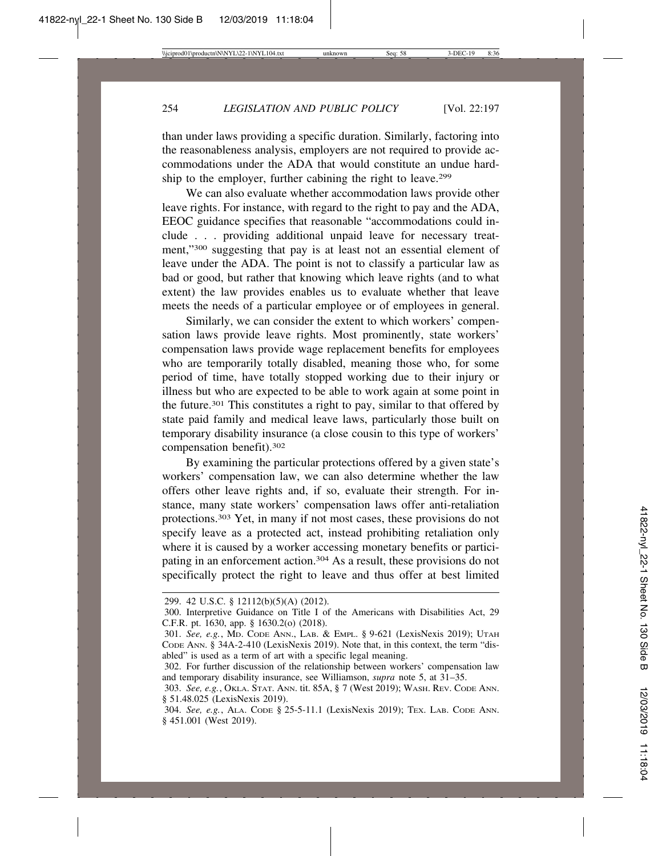than under laws providing a specific duration. Similarly, factoring into the reasonableness analysis, employers are not required to provide accommodations under the ADA that would constitute an undue hardship to the employer, further cabining the right to leave.299

We can also evaluate whether accommodation laws provide other leave rights. For instance, with regard to the right to pay and the ADA, EEOC guidance specifies that reasonable "accommodations could include . . . providing additional unpaid leave for necessary treatment,"300 suggesting that pay is at least not an essential element of leave under the ADA. The point is not to classify a particular law as bad or good, but rather that knowing which leave rights (and to what extent) the law provides enables us to evaluate whether that leave meets the needs of a particular employee or of employees in general.

Similarly, we can consider the extent to which workers' compensation laws provide leave rights. Most prominently, state workers' compensation laws provide wage replacement benefits for employees who are temporarily totally disabled, meaning those who, for some period of time, have totally stopped working due to their injury or illness but who are expected to be able to work again at some point in the future.301 This constitutes a right to pay, similar to that offered by state paid family and medical leave laws, particularly those built on temporary disability insurance (a close cousin to this type of workers' compensation benefit).302

By examining the particular protections offered by a given state's workers' compensation law, we can also determine whether the law offers other leave rights and, if so, evaluate their strength. For instance, many state workers' compensation laws offer anti-retaliation protections.303 Yet, in many if not most cases, these provisions do not specify leave as a protected act, instead prohibiting retaliation only where it is caused by a worker accessing monetary benefits or participating in an enforcement action.<sup>304</sup> As a result, these provisions do not specifically protect the right to leave and thus offer at best limited

<sup>299. 42</sup> U.S.C. § 12112(b)(5)(A) (2012).

<sup>300.</sup> Interpretive Guidance on Title I of the Americans with Disabilities Act, 29 C.F.R. pt. 1630, app. § 1630.2(o) (2018).

<sup>301.</sup> *See, e.g.*, MD. CODE ANN., LAB. & EMPL. § 9-621 (LexisNexis 2019); UTAH CODE ANN. § 34A-2-410 (LexisNexis 2019). Note that, in this context, the term "disabled" is used as a term of art with a specific legal meaning.

<sup>302.</sup> For further discussion of the relationship between workers' compensation law and temporary disability insurance, see Williamson, *supra* note 5, at 31–35.

<sup>303.</sup> *See, e.g.*, OKLA. STAT. ANN. tit. 85A, § 7 (West 2019); WASH. REV. CODE ANN. § 51.48.025 (LexisNexis 2019).

<sup>304.</sup> *See, e.g.*, ALA. CODE § 25-5-11.1 (LexisNexis 2019); TEX. LAB. CODE ANN. § 451.001 (West 2019).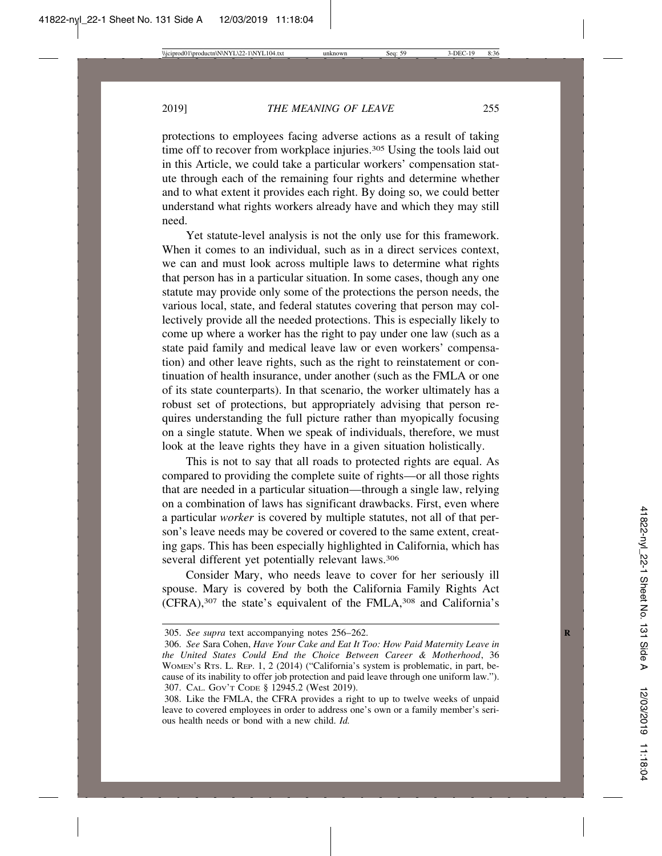protections to employees facing adverse actions as a result of taking time off to recover from workplace injuries.<sup>305</sup> Using the tools laid out in this Article, we could take a particular workers' compensation statute through each of the remaining four rights and determine whether and to what extent it provides each right. By doing so, we could better understand what rights workers already have and which they may still need.

Yet statute-level analysis is not the only use for this framework. When it comes to an individual, such as in a direct services context, we can and must look across multiple laws to determine what rights that person has in a particular situation. In some cases, though any one statute may provide only some of the protections the person needs, the various local, state, and federal statutes covering that person may collectively provide all the needed protections. This is especially likely to come up where a worker has the right to pay under one law (such as a state paid family and medical leave law or even workers' compensation) and other leave rights, such as the right to reinstatement or continuation of health insurance, under another (such as the FMLA or one of its state counterparts). In that scenario, the worker ultimately has a robust set of protections, but appropriately advising that person requires understanding the full picture rather than myopically focusing on a single statute. When we speak of individuals, therefore, we must look at the leave rights they have in a given situation holistically.

This is not to say that all roads to protected rights are equal. As compared to providing the complete suite of rights—or all those rights that are needed in a particular situation—through a single law, relying on a combination of laws has significant drawbacks. First, even where a particular *worker* is covered by multiple statutes, not all of that person's leave needs may be covered or covered to the same extent, creating gaps. This has been especially highlighted in California, which has several different yet potentially relevant laws.<sup>306</sup>

Consider Mary, who needs leave to cover for her seriously ill spouse. Mary is covered by both the California Family Rights Act (CFRA),307 the state's equivalent of the FMLA,308 and California's

<sup>305.</sup> *See supra* text accompanying notes 256–262. **R**

<sup>306.</sup> *See* Sara Cohen, *Have Your Cake and Eat It Too: How Paid Maternity Leave in the United States Could End the Choice Between Career & Motherhood*, 36 WOMEN'S RTS. L. REP. 1, 2 (2014) ("California's system is problematic, in part, because of its inability to offer job protection and paid leave through one uniform law."). 307. CAL. GOV'T CODE § 12945.2 (West 2019).

<sup>308.</sup> Like the FMLA, the CFRA provides a right to up to twelve weeks of unpaid leave to covered employees in order to address one's own or a family member's serious health needs or bond with a new child. *Id.*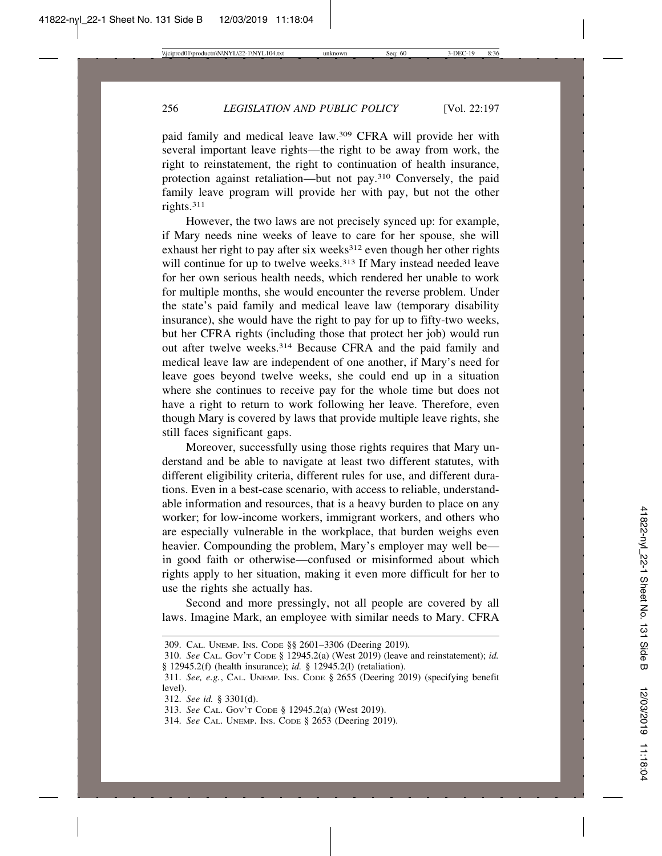paid family and medical leave law.309 CFRA will provide her with several important leave rights—the right to be away from work, the right to reinstatement, the right to continuation of health insurance, protection against retaliation—but not pay.310 Conversely, the paid family leave program will provide her with pay, but not the other rights.311

However, the two laws are not precisely synced up: for example, if Mary needs nine weeks of leave to care for her spouse, she will exhaust her right to pay after six weeks $312$  even though her other rights will continue for up to twelve weeks.<sup>313</sup> If Mary instead needed leave for her own serious health needs, which rendered her unable to work for multiple months, she would encounter the reverse problem. Under the state's paid family and medical leave law (temporary disability insurance), she would have the right to pay for up to fifty-two weeks, but her CFRA rights (including those that protect her job) would run out after twelve weeks.314 Because CFRA and the paid family and medical leave law are independent of one another, if Mary's need for leave goes beyond twelve weeks, she could end up in a situation where she continues to receive pay for the whole time but does not have a right to return to work following her leave. Therefore, even though Mary is covered by laws that provide multiple leave rights, she still faces significant gaps.

Moreover, successfully using those rights requires that Mary understand and be able to navigate at least two different statutes, with different eligibility criteria, different rules for use, and different durations. Even in a best-case scenario, with access to reliable, understandable information and resources, that is a heavy burden to place on any worker; for low-income workers, immigrant workers, and others who are especially vulnerable in the workplace, that burden weighs even heavier. Compounding the problem, Mary's employer may well be in good faith or otherwise—confused or misinformed about which rights apply to her situation, making it even more difficult for her to use the rights she actually has.

Second and more pressingly, not all people are covered by all laws. Imagine Mark, an employee with similar needs to Mary. CFRA

<sup>309.</sup> CAL. UNEMP. INS. CODE §§ 2601–3306 (Deering 2019)*.*

<sup>310.</sup> *See* CAL. GOV'T CODE § 12945.2(a) (West 2019) (leave and reinstatement); *id.* § 12945.2(f) (health insurance); *id.* § 12945.2(l) (retaliation).

<sup>311.</sup> *See, e.g.*, CAL. UNEMP. INS. CODE § 2655 (Deering 2019) (specifying benefit level).

<sup>312.</sup> *See id.* § 3301(d).

<sup>313.</sup> *See* CAL. GOV'T CODE § 12945.2(a) (West 2019).

<sup>314.</sup> *See* CAL. UNEMP. INS. CODE § 2653 (Deering 2019).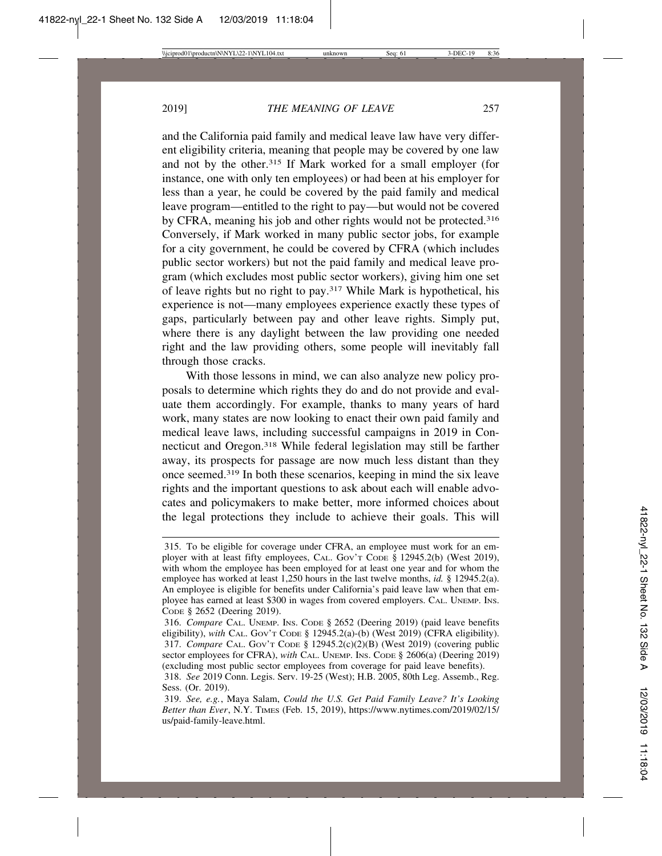and the California paid family and medical leave law have very different eligibility criteria, meaning that people may be covered by one law and not by the other.315 If Mark worked for a small employer (for instance, one with only ten employees) or had been at his employer for less than a year, he could be covered by the paid family and medical leave program—entitled to the right to pay—but would not be covered by CFRA, meaning his job and other rights would not be protected.316 Conversely, if Mark worked in many public sector jobs, for example for a city government, he could be covered by CFRA (which includes public sector workers) but not the paid family and medical leave program (which excludes most public sector workers), giving him one set of leave rights but no right to pay.317 While Mark is hypothetical, his experience is not—many employees experience exactly these types of gaps, particularly between pay and other leave rights. Simply put, where there is any daylight between the law providing one needed right and the law providing others, some people will inevitably fall through those cracks.

With those lessons in mind, we can also analyze new policy proposals to determine which rights they do and do not provide and evaluate them accordingly. For example, thanks to many years of hard work, many states are now looking to enact their own paid family and medical leave laws, including successful campaigns in 2019 in Connecticut and Oregon.318 While federal legislation may still be farther away, its prospects for passage are now much less distant than they once seemed.319 In both these scenarios, keeping in mind the six leave rights and the important questions to ask about each will enable advocates and policymakers to make better, more informed choices about the legal protections they include to achieve their goals. This will

<sup>315.</sup> To be eligible for coverage under CFRA, an employee must work for an employer with at least fifty employees, CAL. GOV'T CODE § 12945.2(b) (West 2019), with whom the employee has been employed for at least one year and for whom the employee has worked at least 1,250 hours in the last twelve months, *id.* § 12945.2(a). An employee is eligible for benefits under California's paid leave law when that employee has earned at least \$300 in wages from covered employers. CAL. UNEMP. INS. CODE § 2652 (Deering 2019).

<sup>316.</sup> *Compare* CAL. UNEMP. INS. CODE § 2652 (Deering 2019) (paid leave benefits eligibility), *with* CAL. GOV'T CODE § 12945.2(a)-(b) (West 2019) (CFRA eligibility). 317. *Compare* CAL. GOV'T CODE § 12945.2(c)(2)(B) (West 2019) (covering public sector employees for CFRA), *with* CAL. UNEMP. INS. CODE § 2606(a) (Deering 2019) (excluding most public sector employees from coverage for paid leave benefits).

<sup>318.</sup> *See* 2019 Conn. Legis. Serv. 19-25 (West); H.B. 2005, 80th Leg. Assemb., Reg. Sess. (Or. 2019).

<sup>319.</sup> *See, e.g.*, Maya Salam, *Could the U.S. Get Paid Family Leave? It's Looking Better than Ever*, N.Y. TIMES (Feb. 15, 2019), https://www.nytimes.com/2019/02/15/ us/paid-family-leave.html.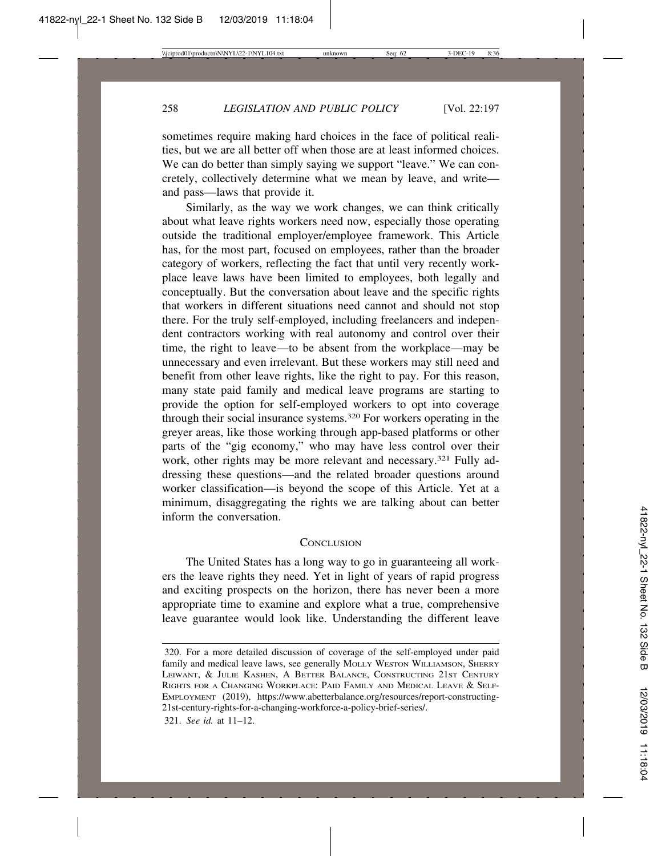sometimes require making hard choices in the face of political realities, but we are all better off when those are at least informed choices. We can do better than simply saying we support "leave." We can concretely, collectively determine what we mean by leave, and write and pass—laws that provide it.

Similarly, as the way we work changes, we can think critically about what leave rights workers need now, especially those operating outside the traditional employer/employee framework. This Article has, for the most part, focused on employees, rather than the broader category of workers, reflecting the fact that until very recently workplace leave laws have been limited to employees, both legally and conceptually. But the conversation about leave and the specific rights that workers in different situations need cannot and should not stop there. For the truly self-employed, including freelancers and independent contractors working with real autonomy and control over their time, the right to leave—to be absent from the workplace—may be unnecessary and even irrelevant. But these workers may still need and benefit from other leave rights, like the right to pay. For this reason, many state paid family and medical leave programs are starting to provide the option for self-employed workers to opt into coverage through their social insurance systems.320 For workers operating in the greyer areas, like those working through app-based platforms or other parts of the "gig economy," who may have less control over their work, other rights may be more relevant and necessary.<sup>321</sup> Fully addressing these questions—and the related broader questions around worker classification—is beyond the scope of this Article. Yet at a minimum, disaggregating the rights we are talking about can better inform the conversation.

#### **CONCLUSION**

The United States has a long way to go in guaranteeing all workers the leave rights they need. Yet in light of years of rapid progress and exciting prospects on the horizon, there has never been a more appropriate time to examine and explore what a true, comprehensive leave guarantee would look like. Understanding the different leave

<sup>320.</sup> For a more detailed discussion of coverage of the self-employed under paid family and medical leave laws, see generally MOLLY WESTON WILLIAMSON, SHERRY LEIWANT, & JULIE KASHEN, A BETTER BALANCE, CONSTRUCTING 21ST CENTURY RIGHTS FOR A CHANGING WORKPLACE: PAID FAMILY AND MEDICAL LEAVE & SELF-EMPLOYMENT (2019), https://www.abetterbalance.org/resources/report-constructing-21st-century-rights-for-a-changing-workforce-a-policy-brief-series/.

<sup>321.</sup> *See id.* at 11–12.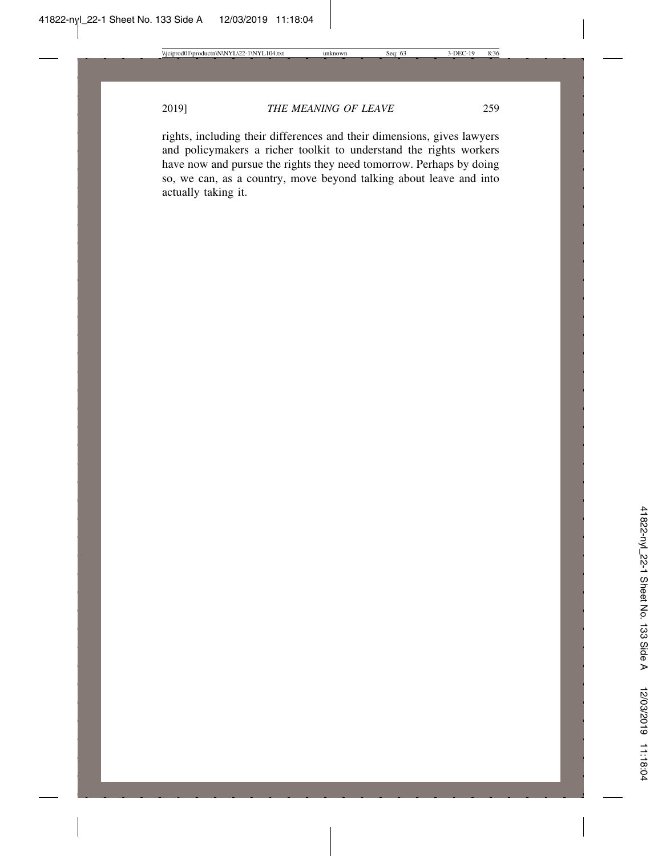rights, including their differences and their dimensions, gives lawyers and policymakers a richer toolkit to understand the rights workers have now and pursue the rights they need tomorrow. Perhaps by doing so, we can, as a country, move beyond talking about leave and into actually taking it.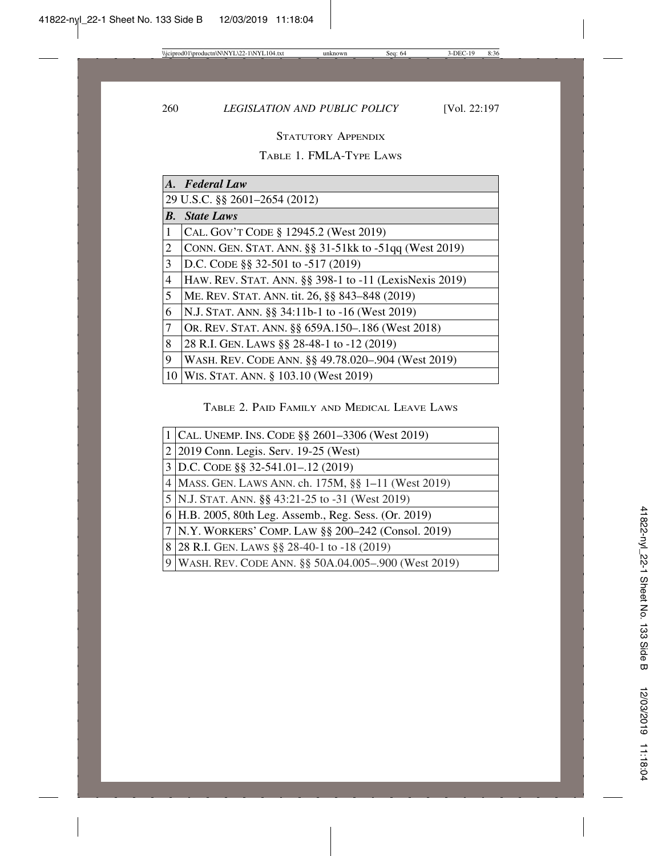## STATUTORY APPENDIX

## TABLE 1. FMLA-TYPE LAWS

|                    | A. Federal Law                                         |
|--------------------|--------------------------------------------------------|
|                    | 29 U.S.C. §§ 2601-2654 (2012)                          |
| $\boldsymbol{B}$ . | <b>State Laws</b>                                      |
| 1                  | CAL. GOV'T CODE § 12945.2 (West 2019)                  |
| 2                  | CONN. GEN. STAT. ANN. §§ 31-51kk to -51qq (West 2019)  |
| 3                  | D.C. CODE §§ 32-501 to -517 (2019)                     |
| 4                  | HAW. REV. STAT. ANN. §§ 398-1 to -11 (LexisNexis 2019) |
| 5                  | ME. REV. STAT. ANN. tit. 26, §§ 843-848 (2019)         |
| 6                  | N.J. STAT. ANN. §§ 34:11b-1 to -16 (West 2019)         |
| $\tau$             | OR. REV. STAT. ANN. §§ 659A.150-.186 (West 2018)       |
| 8                  | 28 R.I. GEN. LAWS § § 28-48-1 to -12 (2019)            |
| 9                  | WASH. REV. CODE ANN. §§ 49.78.020-.904 (West 2019)     |
| 10                 | WIS. STAT. ANN. § 103.10 (West 2019)                   |

### TABLE 2. PAID FAMILY AND MEDICAL LEAVE LAWS

| 1   CAL. UNEMP. INS. CODE $\S$ § 2601–3306 (West 2019)  |
|---------------------------------------------------------|
| 2 2019 Conn. Legis. Serv. 19-25 (West)                  |
| $3$ D.C. CODE §§ 32-541.01-.12 (2019)                   |
| 4 MASS. GEN. LAWS ANN. ch. 175M, §§ 1–11 (West 2019)    |
| 5 N.J. STAT. ANN. §§ 43:21-25 to -31 (West 2019)        |
| 6 H.B. 2005, 80th Leg. Assemb., Reg. Sess. (Or. 2019)   |
| 7 N.Y. WORKERS' COMP. LAW §§ 200–242 (Consol. 2019)     |
| 8 28 R.I. GEN. LAWS § 28-40-1 to -18 (2019)             |
| 9   WASH. REV. CODE ANN. §§ 50A.04.005–.900 (West 2019) |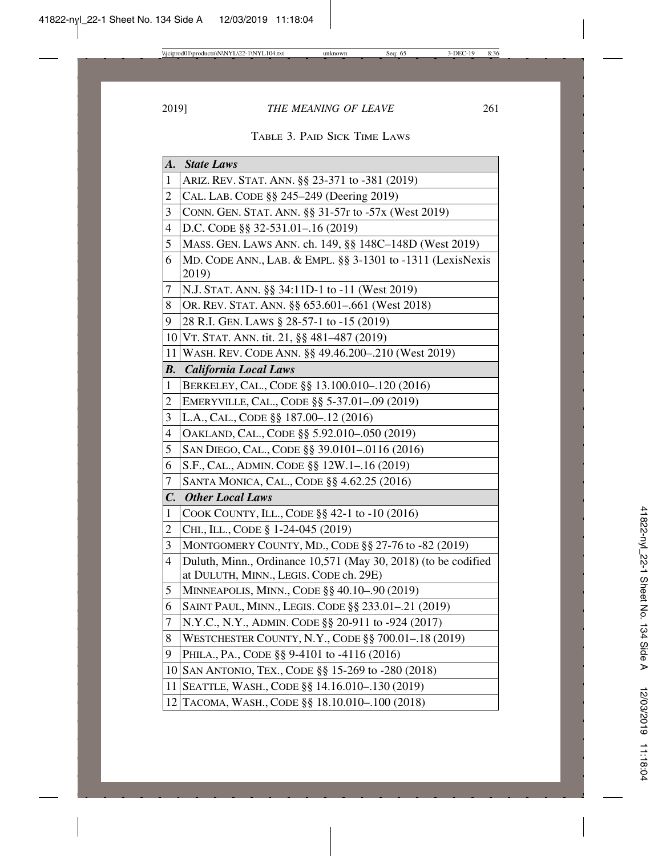TABLE 3. PAID SICK TIME LAWS

| $\boldsymbol{A}$ .       | <b>State Laws</b>                                                                                        |
|--------------------------|----------------------------------------------------------------------------------------------------------|
| $\mathbf{1}$             | ARIZ. REV. STAT. ANN. §§ 23-371 to -381 (2019)                                                           |
| $\overline{c}$           | CAL. LAB. CODE §§ 245-249 (Deering 2019)                                                                 |
| 3                        | CONN. GEN. STAT. ANN. §§ 31-57r to -57x (West 2019)                                                      |
| 4                        | D.C. CODE §§ 32-531.01-.16 (2019)                                                                        |
| 5                        | MASS. GEN. LAWS ANN. ch. 149, §§ 148C-148D (West 2019)                                                   |
| 6                        | MD. CODE ANN., LAB. & EMPL. §§ 3-1301 to -1311 (LexisNexis<br>2019)                                      |
| 7                        | N.J. STAT. ANN. §§ 34:11D-1 to -11 (West 2019)                                                           |
| 8                        | OR. REV. STAT. ANN. §§ 653.601–.661 (West 2018)                                                          |
| 9                        | 28 R.I. GEN. LAWS § 28-57-1 to -15 (2019)                                                                |
| 10 <sup>1</sup>          | VT. STAT. ANN. tit. 21, §§ 481-487 (2019)                                                                |
| 11                       | WASH. REV. CODE ANN. §§ 49.46.200-.210 (West 2019)                                                       |
| $\boldsymbol{B}$ .       | <b>California Local Laws</b>                                                                             |
| $\mathbf 1$              | BERKELEY, CAL., CODE §§ 13.100.010-.120 (2016)                                                           |
| $\overline{c}$           | EMERYVILLE, CAL., CODE §§ 5-37.01-.09 (2019)                                                             |
| 3                        | L.A., CAL., CODE §§ 187.00-.12 (2016)                                                                    |
| $\overline{\mathcal{L}}$ | OAKLAND, CAL., CODE §§ 5.92.010-.050 (2019)                                                              |
| 5                        | SAN DIEGO, CAL., CODE §§ 39.0101-.0116 (2016)                                                            |
| 6                        | S.F., CAL., ADMIN. CODE §§ 12W.1-.16 (2019)                                                              |
| $\overline{7}$           | SANTA MONICA, CAL., CODE §§ 4.62.25 (2016)                                                               |
| $\mathcal{C}$ .          | <b>Other Local Laws</b>                                                                                  |
| $\mathbf{1}$             | COOK COUNTY, ILL., CODE §§ 42-1 to -10 (2016)                                                            |
| 2                        | CHI., ILL., CODE § 1-24-045 (2019)                                                                       |
| 3                        | MONTGOMERY COUNTY, MD., CODE §§ 27-76 to -82 (2019)                                                      |
| 4                        | Duluth, Minn., Ordinance 10,571 (May 30, 2018) (to be codified<br>at DULUTH, MINN., LEGIS. CODE ch. 29E) |
| 5                        | MINNEAPOLIS, MINN., CODE §§ 40.10-.90 (2019)                                                             |
| 6                        | SAINT PAUL, MINN., LEGIS. CODE §§ 233.01-.21 (2019)                                                      |
| 7                        | N.Y.C., N.Y., ADMIN. CODE §§ 20-911 to -924 (2017)                                                       |
| 8                        | WESTCHESTER COUNTY, N.Y., CODE §§ 700.01-.18 (2019)                                                      |
| 9.                       | PHILA., PA., CODE §§ 9-4101 to -4116 (2016)                                                              |
| 10                       | SAN ANTONIO, TEX., CODE §§ 15-269 to -280 (2018)                                                         |
| 11                       | SEATTLE, WASH., CODE §§ 14.16.010-.130 (2019)                                                            |
| 12                       | TACOMA, WASH., CODE §§ 18.10.010-.100 (2018)                                                             |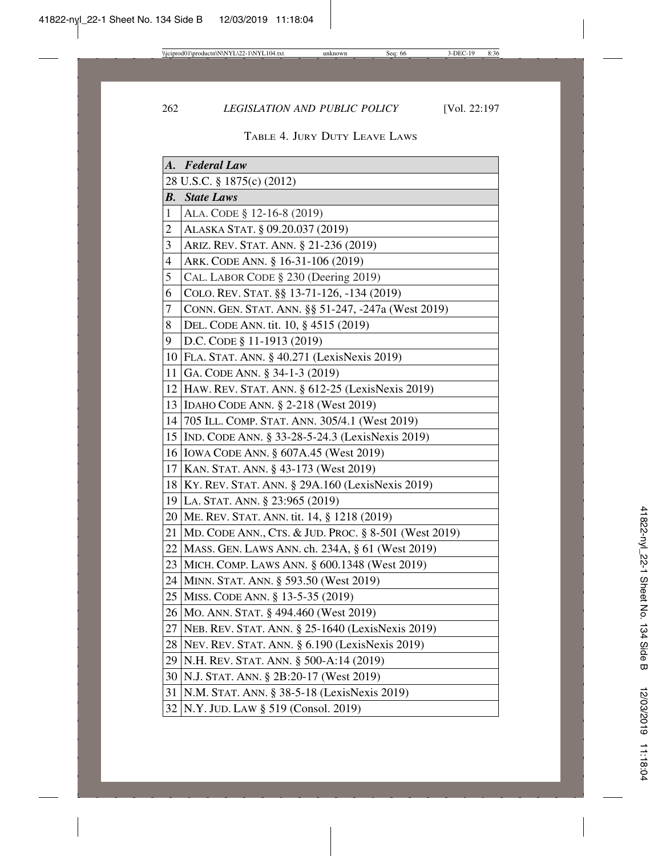|                | A. Federal Law                                       |
|----------------|------------------------------------------------------|
|                | 28 U.S.C. § 1875(c) (2012)                           |
| <b>B.</b>      | <b>State Laws</b>                                    |
| $\mathbf{1}$   | ALA. CODE § 12-16-8 (2019)                           |
| $\overline{c}$ | ALASKA STAT. § 09.20.037 (2019)                      |
| 3              | ARIZ. REV. STAT. ANN. § 21-236 (2019)                |
| $\overline{4}$ | ARK. CODE ANN. § 16-31-106 (2019)                    |
| 5              | CAL. LABOR CODE § 230 (Deering 2019)                 |
| 6              | COLO. REV. STAT. §§ 13-71-126, -134 (2019)           |
| 7              | CONN. GEN. STAT. ANN. §§ 51-247, -247a (West 2019)   |
| 8              | DEL. CODE ANN. tit. 10, § 4515 (2019)                |
| 9              | D.C. CODE § 11-1913 (2019)                           |
|                | 10 FLA. STAT. ANN. § 40.271 (LexisNexis 2019)        |
| 11             | GA. CODE ANN. § 34-1-3 (2019)                        |
|                | 12 HAW. REV. STAT. ANN. § 612-25 (LexisNexis 2019)   |
|                | 13   IDAHO CODE ANN. § 2-218 (West 2019)             |
| 14             | 705 ILL. COMP. STAT. ANN. 305/4.1 (West 2019)        |
| 15             | IND. CODE ANN. § 33-28-5-24.3 (LexisNexis 2019)      |
|                | 16   IOWA CODE ANN. § 607A.45 (West 2019)            |
| 17             | KAN. STAT. ANN. § 43-173 (West 2019)                 |
| 18             | $ $ KY. REV. STAT. ANN. § 29A.160 (LexisNexis 2019)  |
|                | 19 LA. STAT. ANN. § 23:965 (2019)                    |
|                | 20 ME. REV. STAT. ANN. tit. 14, § 1218 (2019)        |
| 21             | MD. CODE ANN., CTS. & JUD. PROC. § 8-501 (West 2019) |
| 22             | MASS. GEN. LAWS ANN. ch. 234A, § 61 (West 2019)      |
| 23             | MICH. COMP. LAWS ANN. § 600.1348 (West 2019)         |
| 24             | MINN. STAT. ANN. § 593.50 (West 2019)                |
| 25             | MISS. CODE ANN. § 13-5-35 (2019)                     |
| 26             | MO. ANN. STAT. § 494.460 (West 2019)                 |
| 27             | NEB. REV. STAT. ANN. § 25-1640 (LexisNexis 2019)     |
|                | 28   NEV. REV. STAT. ANN. § 6.190 (LexisNexis 2019)  |
|                | 29 N.H. REV. STAT. ANN. § 500-A:14 (2019)            |
|                | 30 N.J. STAT. ANN. § 2B:20-17 (West 2019)            |
| 31             | N.M. STAT. ANN. § 38-5-18 (LexisNexis 2019)          |
|                | 32   N.Y. JUD. LAW § 519 (Consol. 2019)              |

# TABLE 4. JURY DUTY LEAVE LAWS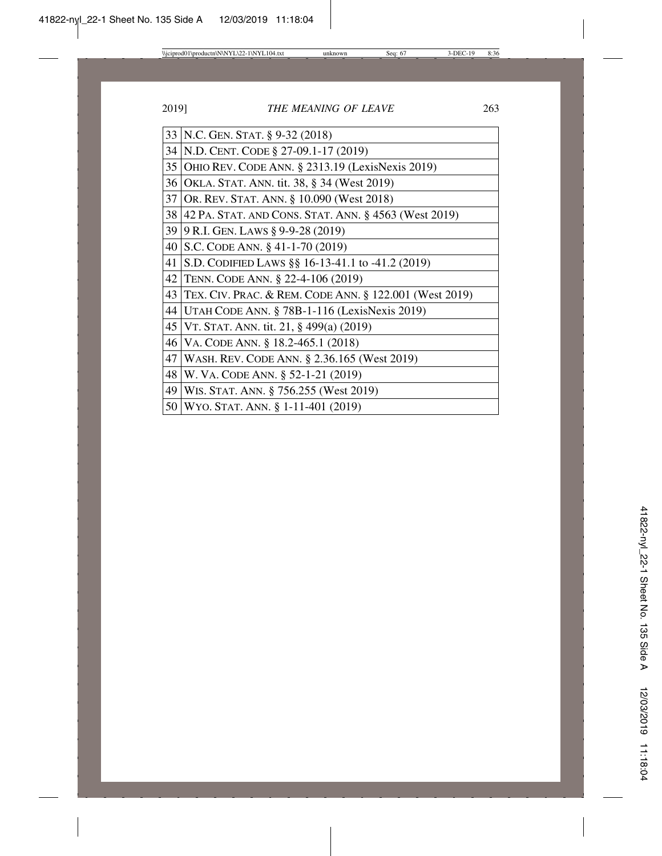| 33 | N.C. GEN. STAT. § 9-32 (2018)                          |
|----|--------------------------------------------------------|
| 34 | N.D. CENT. CODE § 27-09.1-17 (2019)                    |
| 35 | OHIO REV. CODE ANN. § 2313.19 (LexisNexis 2019)        |
| 36 | OKLA. STAT. ANN. tit. 38, § 34 (West 2019)             |
| 37 | OR. REV. STAT. ANN. § 10.090 (West 2018)               |
| 38 | 42 PA. STAT. AND CONS. STAT. ANN. § 4563 (West 2019)   |
| 39 | 9 R.I. GEN. LAWS § 9-9-28 (2019)                       |
| 40 | S.C. CODE ANN. $\S$ 41-1-70 (2019)                     |
| 41 | S.D. CODIFIED LAWS §§ 16-13-41.1 to -41.2 (2019)       |
| 42 | TENN. CODE ANN. § 22-4-106 (2019)                      |
| 43 | TEX. CIV. PRAC. & REM. CODE ANN. § 122.001 (West 2019) |
| 44 | UTAH CODE ANN. § 78B-1-116 (LexisNexis 2019)           |
| 45 | VT. STAT. ANN. tit. 21, § 499(a) (2019)                |
| 46 | VA. CODE ANN. § 18.2-465.1 (2018)                      |
| 47 | WASH. REV. CODE ANN. § 2.36.165 (West 2019)            |
| 48 | W. VA. CODE ANN. § 52-1-21 (2019)                      |
| 49 | WIS. STAT. ANN. § 756.255 (West 2019)                  |
| 50 | WYO. STAT. ANN. § 1-11-401 (2019)                      |
|    |                                                        |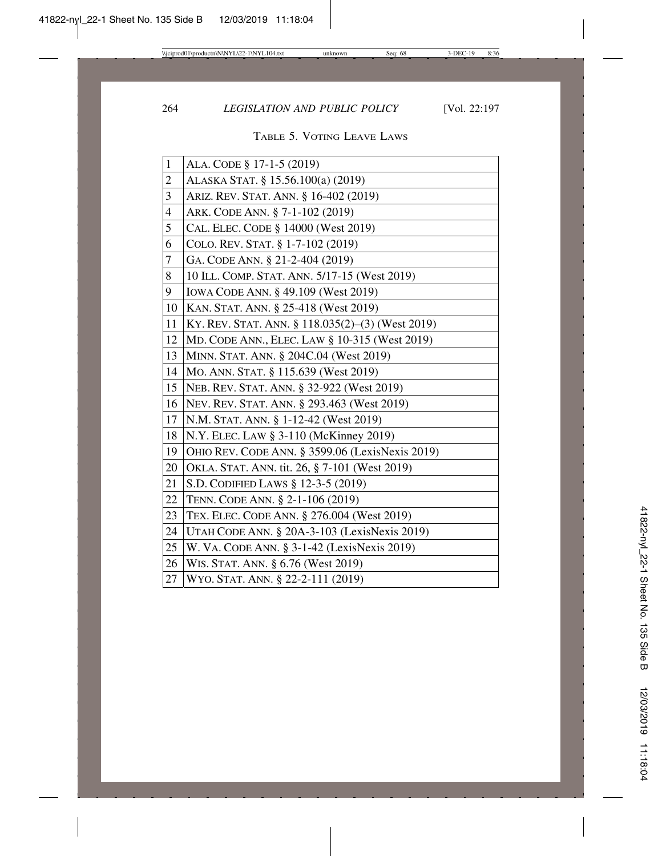### TABLE 5. VOTING LEAVE LAWS

| $\mathbf{1}$   | ALA. CODE § 17-1-5 (2019)                        |
|----------------|--------------------------------------------------|
| $\overline{2}$ | ALASKA STAT. § 15.56.100(a) (2019)               |
| 3              | ARIZ. REV. STAT. ANN. § 16-402 (2019)            |
| $\overline{4}$ | ARK. CODE ANN. § 7-1-102 (2019)                  |
| 5              | CAL. ELEC. CODE § 14000 (West 2019)              |
| 6              | COLO. REV. STAT. § 1-7-102 (2019)                |
| $\overline{7}$ | GA. CODE ANN. § 21-2-404 (2019)                  |
| 8              | 10 ILL. COMP. STAT. ANN. 5/17-15 (West 2019)     |
| 9              | IOWA CODE ANN. § 49.109 (West 2019)              |
| 10             | KAN. STAT. ANN. § 25-418 (West 2019)             |
| 11             | KY. REV. STAT. ANN. § 118.035(2)–(3) (West 2019) |
| 12             | MD. CODE ANN., ELEC. LAW § 10-315 (West 2019)    |
| 13             | MINN. STAT. ANN. § 204C.04 (West 2019)           |
| 14             | MO. ANN. STAT. § 115.639 (West 2019)             |
| 15             | NEB. REV. STAT. ANN. § 32-922 (West 2019)        |
| 16             | NEV. REV. STAT. ANN. § 293.463 (West 2019)       |
| 17             | N.M. STAT. ANN. § 1-12-42 (West 2019)            |
| 18             | N.Y. ELEC. LAW § 3-110 (McKinney 2019)           |
| 19             | OHIO REV. CODE ANN. § 3599.06 (LexisNexis 2019)  |
| 20             | OKLA. STAT. ANN. tit. 26, § 7-101 (West 2019)    |
| 21             | S.D. CODIFIED LAWS § 12-3-5 (2019)               |
| 22             | TENN. CODE ANN. § 2-1-106 (2019)                 |
| 23             | TEX. ELEC. CODE ANN. § 276.004 (West 2019)       |
| 24             | UTAH CODE ANN. § 20A-3-103 (LexisNexis 2019)     |
| 25             | W. VA. CODE ANN. § 3-1-42 (LexisNexis 2019)      |
| 26             | WIS. STAT. ANN. § 6.76 (West 2019)               |
| 27             | WYO. STAT. ANN. § 22-2-111 (2019)                |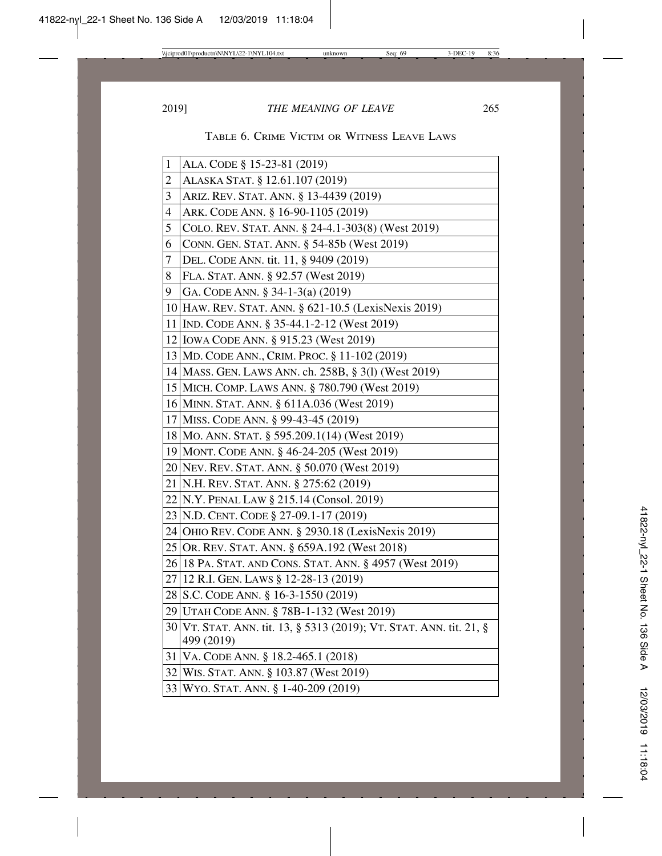### TABLE 6. CRIME VICTIM OR WITNESS LEAVE LAWS

| $\mathbf{1}$             | ALA. CODE § 15-23-81 (2019)                                         |
|--------------------------|---------------------------------------------------------------------|
| $\overline{c}$           | ALASKA STAT. § 12.61.107 (2019)                                     |
| 3                        | ARIZ. REV. STAT. ANN. § 13-4439 (2019)                              |
| $\overline{\mathcal{L}}$ | ARK. CODE ANN. § 16-90-1105 (2019)                                  |
| 5                        | COLO. REV. STAT. ANN. § 24-4.1-303(8) (West 2019)                   |
| 6                        | CONN. GEN. STAT. ANN. § 54-85b (West 2019)                          |
| 7                        | DEL. CODE ANN. tit. 11, § 9409 (2019)                               |
| 8                        | FLA. STAT. ANN. § 92.57 (West 2019)                                 |
| 9                        | GA. CODE ANN. § 34-1-3(a) (2019)                                    |
|                          | 10   HAW. REV. STAT. ANN. § 621-10.5 (LexisNexis 2019)              |
|                          | 11 IND. CODE ANN. § 35-44.1-2-12 (West 2019)                        |
|                          | 12 IOWA CODE ANN. § 915.23 (West 2019)                              |
|                          | 13 MD. CODE ANN., CRIM. PROC. § 11-102 (2019)                       |
|                          | 14 MASS. GEN. LAWS ANN. ch. 258B, § 3(1) (West 2019)                |
|                          | 15 MICH. COMP. LAWS ANN. § 780.790 (West 2019)                      |
|                          | 16 MINN. STAT. ANN. § 611A.036 (West 2019)                          |
|                          | 17 MISS. CODE ANN. § 99-43-45 (2019)                                |
|                          | 18 MO. ANN. STAT. § 595.209.1(14) (West 2019)                       |
|                          | 19 MONT. CODE ANN. § 46-24-205 (West 2019)                          |
|                          | 20 NEV. REV. STAT. ANN. § 50.070 (West 2019)                        |
|                          | 21 N.H. REV. STAT. ANN. § 275:62 (2019)                             |
|                          | 22 N.Y. PENAL LAW § 215.14 (Consol. 2019)                           |
|                          | 23 N.D. CENT. CODE § 27-09.1-17 (2019)                              |
|                          | 24 OHIO REV. CODE ANN. § 2930.18 (LexisNexis 2019)                  |
|                          | 25 OR. REV. STAT. ANN. § 659A.192 (West 2018)                       |
|                          | 26 18 PA. STAT. AND CONS. STAT. ANN. § 4957 (West 2019)             |
|                          | 27 12 R.I. GEN. LAWS § 12-28-13 (2019)                              |
|                          | 28 S.C. CODE ANN. § 16-3-1550 (2019)                                |
|                          | 29 UTAH CODE ANN. § 78B-1-132 (West 2019)                           |
|                          | 30 VT. STAT. ANN. tit. 13, § 5313 (2019); VT. STAT. ANN. tit. 21, § |
|                          | 499 (2019)                                                          |
|                          | 31 VA. CODE ANN. § 18.2-465.1 (2018)                                |
|                          | 32 WIS. STAT. ANN. § 103.87 (West 2019)                             |
|                          | 33 WYO. STAT. ANN. § 1-40-209 (2019)                                |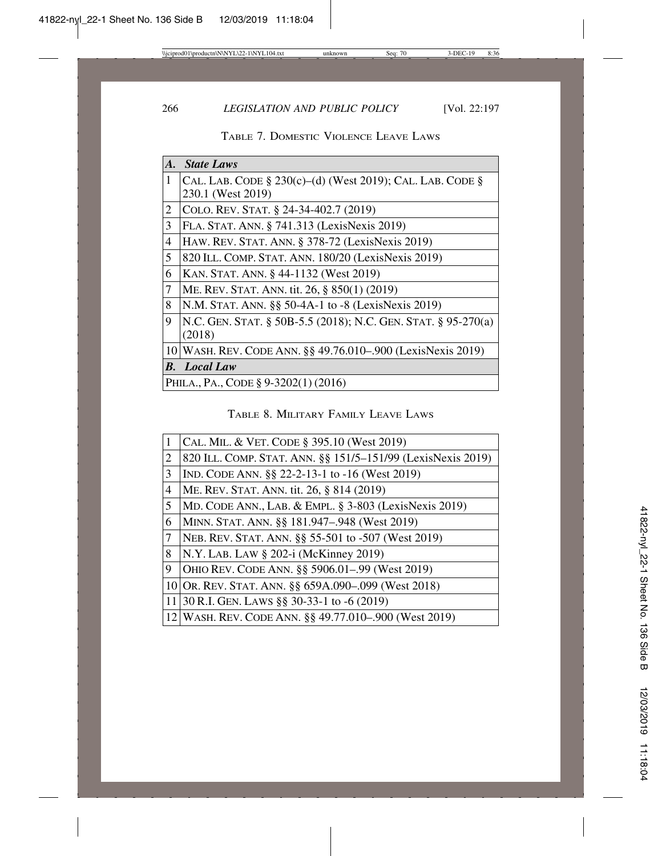| A. | <b>State Laws</b>                                                       |
|----|-------------------------------------------------------------------------|
| 1  | CAL. LAB. CODE $\S$ 230(c)–(d) (West 2019); CAL. LAB. CODE $\S$         |
|    | 230.1 (West 2019)                                                       |
| 2  | COLO. REV. STAT. § 24-34-402.7 (2019)                                   |
| 3  | FLA. STAT. ANN. § 741.313 (LexisNexis 2019)                             |
| 4  | HAW. REV. STAT. ANN. § 378-72 (LexisNexis 2019)                         |
| 5  | 820 ILL. COMP. STAT. ANN. 180/20 (LexisNexis 2019)                      |
| 6  | KAN. STAT. ANN. § 44-1132 (West 2019)                                   |
| 7  | ME. REV. STAT. ANN. tit. 26, § 850(1) (2019)                            |
| 8  | N.M. STAT. ANN. §§ 50-4A-1 to -8 (LexisNexis 2019)                      |
| 9  | N.C. GEN. STAT. § 50B-5.5 (2018); N.C. GEN. STAT. § 95-270(a)<br>(2018) |
|    | 10 WASH. REV. CODE ANN. §§ 49.76.010-.900 (LexisNexis 2019)             |
|    | <b>B.</b> Local Law                                                     |
|    | PHILA., PA., CODE § 9-3202(1) (2016)                                    |

TABLE 7. DOMESTIC VIOLENCE LEAVE LAWS

TABLE 8. MILITARY FAMILY LEAVE LAWS

| $\mathbf{1}$ | CAL. MIL. & VET. CODE § 395.10 (West 2019)                  |
|--------------|-------------------------------------------------------------|
| 2            | 820 ILL. COMP. STAT. ANN. §§ 151/5-151/99 (LexisNexis 2019) |
| 3            | IND. CODE ANN. §§ 22-2-13-1 to -16 (West 2019)              |
| 4            | ME. REV. STAT. ANN. tit. 26, § 814 (2019)                   |
| 5            | MD. CODE ANN., LAB. & EMPL. $\S$ 3-803 (LexisNexis 2019)    |
| 6            | MINN. STAT. ANN. §§ 181.947-.948 (West 2019)                |
| $\tau$       | NEB. REV. STAT. ANN. §§ 55-501 to -507 (West 2019)          |
| 8            | $N.Y.$ LAB. LAW § 202-i (McKinney 2019)                     |
| 9            | OHIO REV. CODE ANN. §§ 5906.01-.99 (West 2019)              |
|              | 10 OR. REV. STAT. ANN. §§ 659A.090-.099 (West 2018)         |
|              | 11 30 R.I. GEN. LAWS $\S$ 30-33-1 to -6 (2019)              |
|              | 12 WASH. REV. CODE ANN. §§ 49.77.010-.900 (West 2019)       |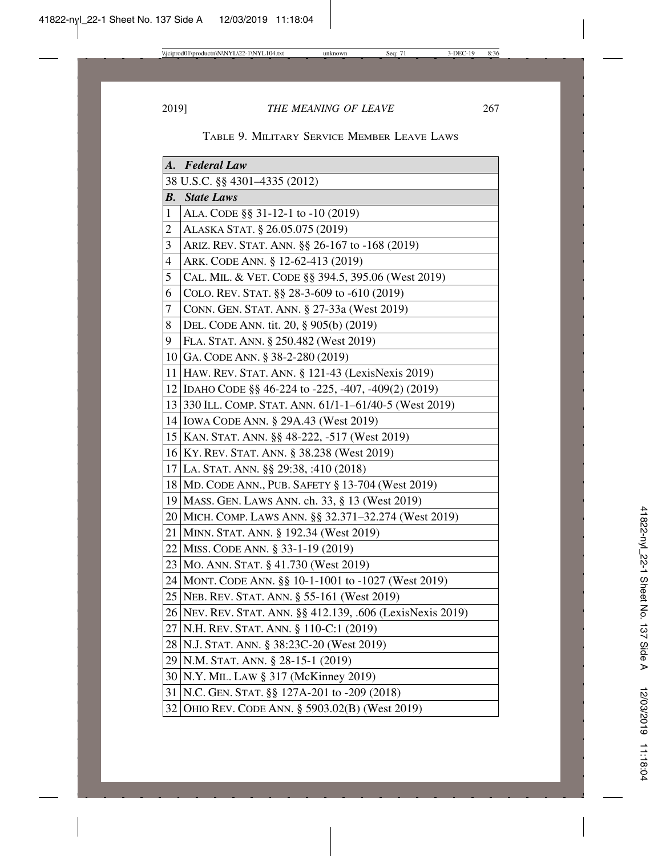|    | A. Federal Law                                               |
|----|--------------------------------------------------------------|
|    | 38 U.S.C. §§ 4301-4335 (2012)                                |
| В. | <b>State Laws</b>                                            |
| 1  | ALA. CODE §§ 31-12-1 to -10 (2019)                           |
| 2  | ALASKA STAT. § 26.05.075 (2019)                              |
| 3  | Ariz. Rev. Stat. Ann. §§ 26-167 to -168 (2019)               |
| 4  | ARK. CODE ANN. § 12-62-413 (2019)                            |
| 5  | CAL. MIL. & VET. CODE §§ 394.5, 395.06 (West 2019)           |
| 6  | COLO. REV. STAT. §§ 28-3-609 to -610 (2019)                  |
| 7  | CONN. GEN. STAT. ANN. § 27-33a (West 2019)                   |
| 8  | DEL. CODE ANN. tit. 20, § 905(b) (2019)                      |
| 9  | FLA. STAT. ANN. § 250.482 (West 2019)                        |
|    | 10 GA. CODE ANN. § 38-2-280 (2019)                           |
| 11 | HAW. REV. STAT. ANN. § 121-43 (LexisNexis 2019)              |
|    | 12 IDAHO CODE §§ 46-224 to -225, -407, -409(2) (2019)        |
|    | 13 330 ILL. COMP. STAT. ANN. 61/1-1-61/40-5 (West 2019)      |
|    | 14   IOWA CODE ANN. § 29A.43 (West 2019)                     |
|    | 15 KAN. STAT. ANN. §§ 48-222, -517 (West 2019)               |
|    | 16 KY. REV. STAT. ANN. § 38.238 (West 2019)                  |
|    | 17 LA. STAT. ANN. §§ 29:38, :410 (2018)                      |
|    | 18 MD. CODE ANN., PUB. SAFETY § 13-704 (West 2019)           |
|    | 19   MASS. GEN. LAWS ANN. ch. 33, § 13 (West 2019)           |
|    | 20 MICH. COMP. LAWS ANN. §§ 32.371-32.274 (West 2019)        |
|    | 21 MINN. STAT. ANN. § 192.34 (West 2019)                     |
|    | 22 MISS. CODE ANN. § 33-1-19 (2019)                          |
|    | 23   MO. ANN. STAT. § 41.730 (West 2019)                     |
|    | 24   MONT. CODE ANN. §§ 10-1-1001 to -1027 (West 2019)       |
|    | 25   NEB. REV. STAT. ANN. § 55-161 (West 2019)               |
|    | 26   NEV. REV. STAT. ANN. §§ 412.139, .606 (LexisNexis 2019) |
|    | 27 N.H. REV. STAT. ANN. § 110-C:1 (2019)                     |
|    | 28   N.J. STAT. ANN. § 38:23C-20 (West 2019)                 |
|    | 29 N.M. STAT. ANN. § 28-15-1 (2019)                          |
|    | 30 N.Y. MIL. LAW § 317 (McKinney 2019)                       |
|    | 31 N.C. GEN. STAT. §§ 127A-201 to -209 (2018)                |
|    | 32 OHIO REV. CODE ANN. § 5903.02(B) (West 2019)              |

| TABLE 9. MILITARY SERVICE MEMBER LEAVE LAWS |
|---------------------------------------------|
|---------------------------------------------|